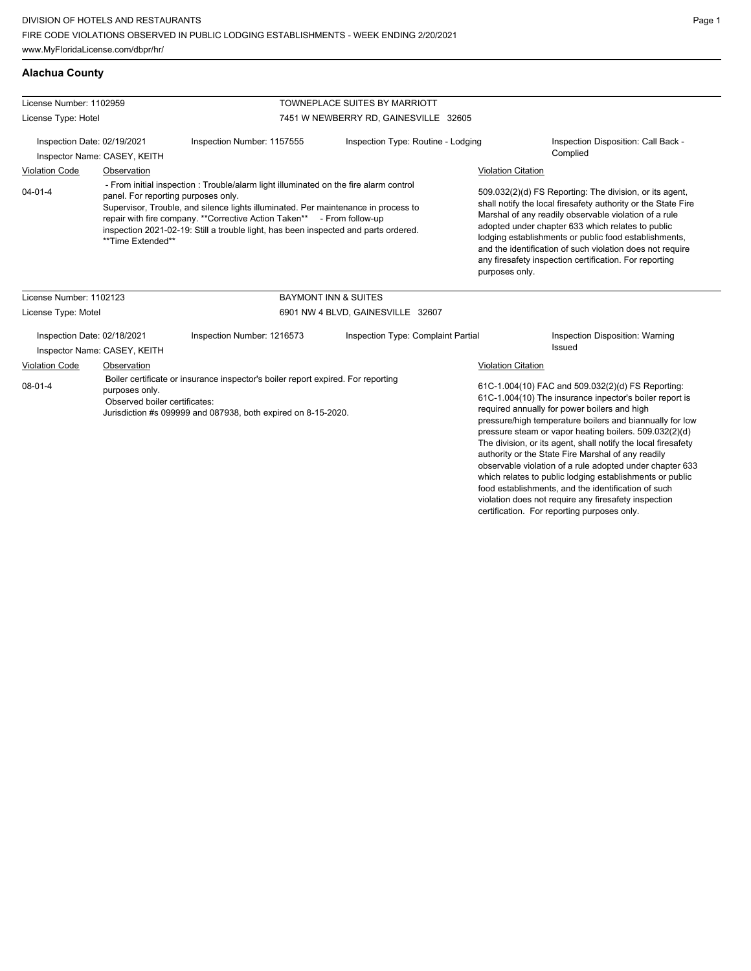## **Alachua County**

| License Number: 1102959                                                                                                                                                                                               |                                                             |                                                                                                                                                                                                                                                                                                                                                                                      | <b>TOWNEPLACE SUITES BY MARRIOTT</b>                                                                                                                                                                                                                                                                                                                                                                                                     |                           |                                                                                                                                                                                                                                                                                                                                                                                                                                                                                                                                   |
|-----------------------------------------------------------------------------------------------------------------------------------------------------------------------------------------------------------------------|-------------------------------------------------------------|--------------------------------------------------------------------------------------------------------------------------------------------------------------------------------------------------------------------------------------------------------------------------------------------------------------------------------------------------------------------------------------|------------------------------------------------------------------------------------------------------------------------------------------------------------------------------------------------------------------------------------------------------------------------------------------------------------------------------------------------------------------------------------------------------------------------------------------|---------------------------|-----------------------------------------------------------------------------------------------------------------------------------------------------------------------------------------------------------------------------------------------------------------------------------------------------------------------------------------------------------------------------------------------------------------------------------------------------------------------------------------------------------------------------------|
| License Type: Hotel                                                                                                                                                                                                   |                                                             |                                                                                                                                                                                                                                                                                                                                                                                      | 7451 W NEWBERRY RD, GAINESVILLE 32605                                                                                                                                                                                                                                                                                                                                                                                                    |                           |                                                                                                                                                                                                                                                                                                                                                                                                                                                                                                                                   |
|                                                                                                                                                                                                                       | Inspection Date: 02/19/2021<br>Inspector Name: CASEY, KEITH | Inspection Number: 1157555                                                                                                                                                                                                                                                                                                                                                           | Inspection Type: Routine - Lodging                                                                                                                                                                                                                                                                                                                                                                                                       |                           | Inspection Disposition: Call Back -<br>Complied                                                                                                                                                                                                                                                                                                                                                                                                                                                                                   |
| <b>Violation Code</b>                                                                                                                                                                                                 | Observation                                                 |                                                                                                                                                                                                                                                                                                                                                                                      |                                                                                                                                                                                                                                                                                                                                                                                                                                          | <b>Violation Citation</b> |                                                                                                                                                                                                                                                                                                                                                                                                                                                                                                                                   |
| $04 - 01 - 4$                                                                                                                                                                                                         | **Time Extended**                                           | - From initial inspection : Trouble/alarm light illuminated on the fire alarm control<br>panel. For reporting purposes only.<br>Supervisor, Trouble, and silence lights illuminated. Per maintenance in process to<br>repair with fire company. ** Corrective Action Taken** - From follow-up<br>inspection 2021-02-19: Still a trouble light, has been inspected and parts ordered. | 509.032(2)(d) FS Reporting: The division, or its agent,<br>shall notify the local firesafety authority or the State Fire<br>Marshal of any readily observable violation of a rule<br>adopted under chapter 633 which relates to public<br>lodging establishments or public food establishments,<br>and the identification of such violation does not require<br>any firesafety inspection certification. For reporting<br>purposes only. |                           |                                                                                                                                                                                                                                                                                                                                                                                                                                                                                                                                   |
| License Number: 1102123                                                                                                                                                                                               |                                                             |                                                                                                                                                                                                                                                                                                                                                                                      | <b>BAYMONT INN &amp; SUITES</b>                                                                                                                                                                                                                                                                                                                                                                                                          |                           |                                                                                                                                                                                                                                                                                                                                                                                                                                                                                                                                   |
| License Type: Motel                                                                                                                                                                                                   |                                                             | 6901 NW 4 BLVD, GAINESVILLE 32607                                                                                                                                                                                                                                                                                                                                                    |                                                                                                                                                                                                                                                                                                                                                                                                                                          |                           |                                                                                                                                                                                                                                                                                                                                                                                                                                                                                                                                   |
|                                                                                                                                                                                                                       | Inspection Date: 02/18/2021<br>Inspector Name: CASEY, KEITH | Inspection Number: 1216573                                                                                                                                                                                                                                                                                                                                                           | Inspection Type: Complaint Partial                                                                                                                                                                                                                                                                                                                                                                                                       |                           | Inspection Disposition: Warning<br>Issued                                                                                                                                                                                                                                                                                                                                                                                                                                                                                         |
| <b>Violation Code</b>                                                                                                                                                                                                 | Observation                                                 |                                                                                                                                                                                                                                                                                                                                                                                      |                                                                                                                                                                                                                                                                                                                                                                                                                                          | <b>Violation Citation</b> |                                                                                                                                                                                                                                                                                                                                                                                                                                                                                                                                   |
| Boiler certificate or insurance inspector's boiler report expired. For reporting<br>$08 - 01 - 4$<br>purposes only.<br>Observed boiler certificates:<br>Jurisdiction #s 099999 and 087938, both expired on 8-15-2020. |                                                             |                                                                                                                                                                                                                                                                                                                                                                                      |                                                                                                                                                                                                                                                                                                                                                                                                                                          |                           | 61C-1.004(10) FAC and 509.032(2)(d) FS Reporting:<br>61C-1.004(10) The insurance inpector's boiler report is<br>required annually for power boilers and high<br>pressure/high temperature boilers and biannually for low<br>pressure steam or vapor heating boilers. 509.032(2)(d)<br>The division, or its agent, shall notify the local firesafety<br>authority or the State Fire Marshal of any readily<br>observable violation of a rule adopted under chapter 633<br>which relates to public lodging establishments or public |

food establishments, and the identification of such violation does not require any firesafety inspection certification. For reporting purposes only.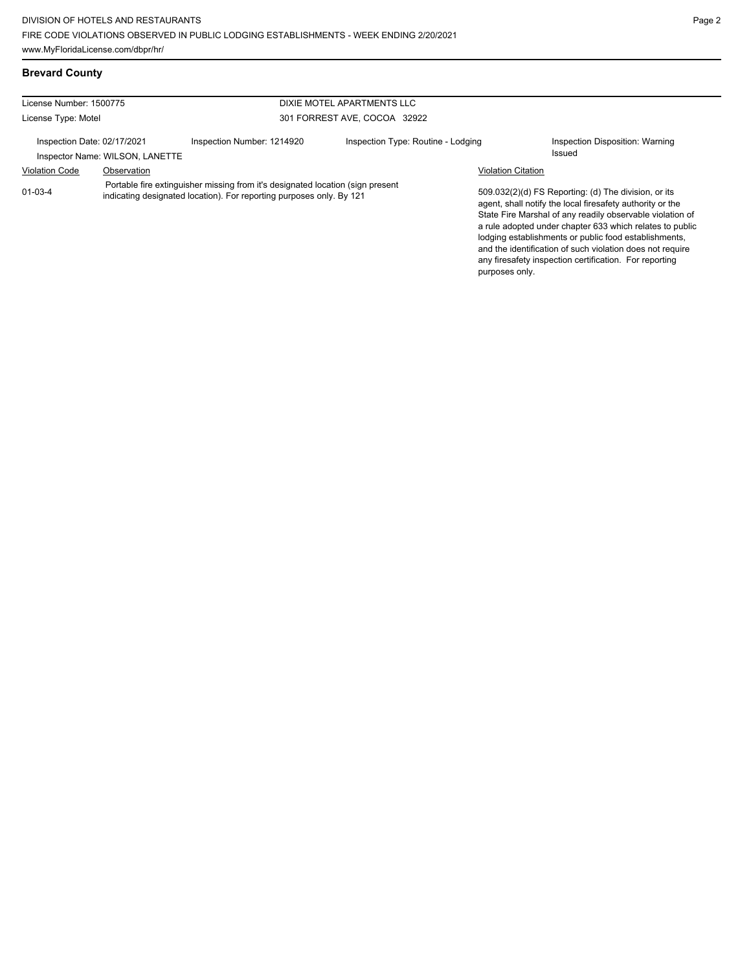## **Brevard County**

| License Number: 1500775     |                                 |                                                                                                                                                         | DIXIE MOTEL APARTMENTS LLC         |                           |                                                                                                                                                                                                                                                                                                                                                                  |  |
|-----------------------------|---------------------------------|---------------------------------------------------------------------------------------------------------------------------------------------------------|------------------------------------|---------------------------|------------------------------------------------------------------------------------------------------------------------------------------------------------------------------------------------------------------------------------------------------------------------------------------------------------------------------------------------------------------|--|
| License Type: Motel         |                                 |                                                                                                                                                         | 301 FORREST AVE, COCOA 32922       |                           |                                                                                                                                                                                                                                                                                                                                                                  |  |
| Inspection Date: 02/17/2021 | Inspector Name: WILSON, LANETTE | Inspection Number: 1214920                                                                                                                              | Inspection Type: Routine - Lodging |                           | Inspection Disposition: Warning<br>Issued                                                                                                                                                                                                                                                                                                                        |  |
| <b>Violation Code</b>       | Observation                     |                                                                                                                                                         |                                    | <b>Violation Citation</b> |                                                                                                                                                                                                                                                                                                                                                                  |  |
| $01 - 03 - 4$               |                                 | Portable fire extinguisher missing from it's designated location (sign present)<br>indicating designated location). For reporting purposes only. By 121 |                                    |                           | 509.032(2)(d) FS Reporting: (d) The division, or its<br>agent, shall notify the local firesafety authority or the<br>State Fire Marshal of any readily observable violation of<br>a rule adopted under chapter 633 which relates to public<br>lodging establishments or public food establishments,<br>and the identification of such violation does not require |  |

any firesafety inspection certification. For reporting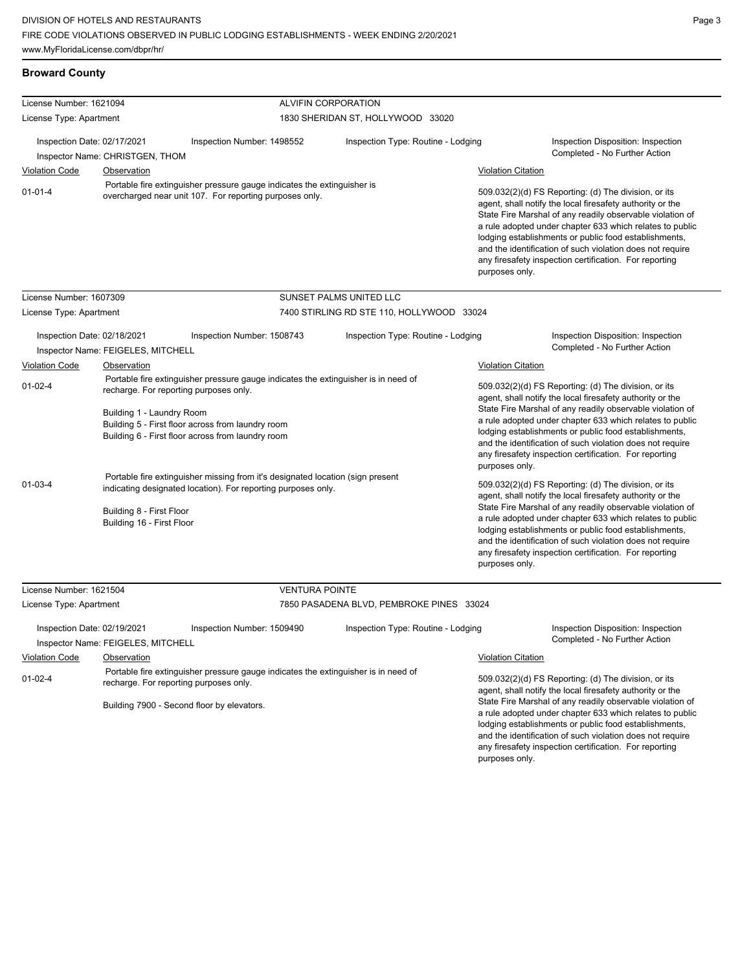## **Broward County**

| License Number: 1621094                                                                               |                                                                     | ALVIFIN CORPORATION                                                                                                                                                                          |                                                                                    |                                                                                                                                                                                                                                                                                                                                                                                                                                              |                                                                                                                                                                                                                                                                                                                                                                                                                            |  |  |
|-------------------------------------------------------------------------------------------------------|---------------------------------------------------------------------|----------------------------------------------------------------------------------------------------------------------------------------------------------------------------------------------|------------------------------------------------------------------------------------|----------------------------------------------------------------------------------------------------------------------------------------------------------------------------------------------------------------------------------------------------------------------------------------------------------------------------------------------------------------------------------------------------------------------------------------------|----------------------------------------------------------------------------------------------------------------------------------------------------------------------------------------------------------------------------------------------------------------------------------------------------------------------------------------------------------------------------------------------------------------------------|--|--|
| License Type: Apartment                                                                               |                                                                     |                                                                                                                                                                                              | 1830 SHERIDAN ST, HOLLYWOOD 33020                                                  |                                                                                                                                                                                                                                                                                                                                                                                                                                              |                                                                                                                                                                                                                                                                                                                                                                                                                            |  |  |
| Inspection Date: 02/17/2021                                                                           | Inspector Name: CHRISTGEN, THOM                                     | Inspection Number: 1498552                                                                                                                                                                   | Inspection Type: Routine - Lodging                                                 |                                                                                                                                                                                                                                                                                                                                                                                                                                              | Inspection Disposition: Inspection<br>Completed - No Further Action                                                                                                                                                                                                                                                                                                                                                        |  |  |
| <b>Violation Code</b>                                                                                 | Observation                                                         |                                                                                                                                                                                              |                                                                                    | <b>Violation Citation</b>                                                                                                                                                                                                                                                                                                                                                                                                                    |                                                                                                                                                                                                                                                                                                                                                                                                                            |  |  |
| $01 - 01 - 4$                                                                                         |                                                                     | Portable fire extinguisher pressure gauge indicates the extinguisher is<br>overcharged near unit 107. For reporting purposes only.                                                           |                                                                                    | 509.032(2)(d) FS Reporting: (d) The division, or its<br>agent, shall notify the local firesafety authority or the<br>State Fire Marshal of any readily observable violation of<br>a rule adopted under chapter 633 which relates to public<br>lodging establishments or public food establishments,<br>and the identification of such violation does not require<br>any firesafety inspection certification. For reporting<br>purposes only. |                                                                                                                                                                                                                                                                                                                                                                                                                            |  |  |
| License Number: 1607309                                                                               |                                                                     |                                                                                                                                                                                              | SUNSET PALMS UNITED LLC                                                            |                                                                                                                                                                                                                                                                                                                                                                                                                                              |                                                                                                                                                                                                                                                                                                                                                                                                                            |  |  |
| License Type: Apartment                                                                               |                                                                     |                                                                                                                                                                                              | 7400 STIRLING RD STE 110, HOLLYWOOD 33024                                          |                                                                                                                                                                                                                                                                                                                                                                                                                                              |                                                                                                                                                                                                                                                                                                                                                                                                                            |  |  |
| Inspection Date: 02/18/2021                                                                           | Inspector Name: FEIGELES, MITCHELL                                  | Inspection Number: 1508743                                                                                                                                                                   | Inspection Type: Routine - Lodging                                                 |                                                                                                                                                                                                                                                                                                                                                                                                                                              | Inspection Disposition: Inspection<br>Completed - No Further Action                                                                                                                                                                                                                                                                                                                                                        |  |  |
| <b>Violation Code</b>                                                                                 | Observation                                                         |                                                                                                                                                                                              |                                                                                    | Violation Citation                                                                                                                                                                                                                                                                                                                                                                                                                           |                                                                                                                                                                                                                                                                                                                                                                                                                            |  |  |
| $01 - 02 - 4$                                                                                         | recharge. For reporting purposes only.<br>Building 1 - Laundry Room | Portable fire extinguisher pressure gauge indicates the extinguisher is in need of<br>Building 5 - First floor across from laundry room<br>Building 6 - First floor across from laundry room |                                                                                    | purposes only.                                                                                                                                                                                                                                                                                                                                                                                                                               | 509.032(2)(d) FS Reporting: (d) The division, or its<br>agent, shall notify the local firesafety authority or the<br>State Fire Marshal of any readily observable violation of<br>a rule adopted under chapter 633 which relates to public<br>lodging establishments or public food establishments,<br>and the identification of such violation does not require<br>any firesafety inspection certification. For reporting |  |  |
| $01 - 03 - 4$                                                                                         | Building 8 - First Floor<br>Building 16 - First Floor               | Portable fire extinguisher missing from it's designated location (sign present<br>indicating designated location). For reporting purposes only.                                              |                                                                                    | purposes only.                                                                                                                                                                                                                                                                                                                                                                                                                               | 509.032(2)(d) FS Reporting: (d) The division, or its<br>agent, shall notify the local firesafety authority or the<br>State Fire Marshal of any readily observable violation of<br>a rule adopted under chapter 633 which relates to public<br>lodging establishments or public food establishments,<br>and the identification of such violation does not require<br>any firesafety inspection certification. For reporting |  |  |
| License Number: 1621504                                                                               |                                                                     | <b>VENTURA POINTE</b>                                                                                                                                                                        |                                                                                    |                                                                                                                                                                                                                                                                                                                                                                                                                                              |                                                                                                                                                                                                                                                                                                                                                                                                                            |  |  |
| License Type: Apartment                                                                               |                                                                     |                                                                                                                                                                                              | 7850 PASADENA BLVD, PEMBROKE PINES 33024                                           |                                                                                                                                                                                                                                                                                                                                                                                                                                              |                                                                                                                                                                                                                                                                                                                                                                                                                            |  |  |
| Inspection Date: 02/19/2021                                                                           | Inspector Name: FEIGELES, MITCHELL                                  | Inspection Number: 1509490                                                                                                                                                                   | Inspection Type: Routine - Lodging                                                 |                                                                                                                                                                                                                                                                                                                                                                                                                                              | Inspection Disposition: Inspection<br>Completed - No Further Action                                                                                                                                                                                                                                                                                                                                                        |  |  |
| <b>Violation Code</b>                                                                                 | Observation                                                         |                                                                                                                                                                                              |                                                                                    | <b>Violation Citation</b>                                                                                                                                                                                                                                                                                                                                                                                                                    |                                                                                                                                                                                                                                                                                                                                                                                                                            |  |  |
| $01 - 02 - 4$<br>recharge. For reporting purposes only.<br>Building 7900 - Second floor by elevators. |                                                                     |                                                                                                                                                                                              | Portable fire extinguisher pressure gauge indicates the extinguisher is in need of |                                                                                                                                                                                                                                                                                                                                                                                                                                              | 509.032(2)(d) FS Reporting: (d) The division, or its<br>agent, shall notify the local firesafety authority or the<br>State Fire Marshal of any readily observable violation of<br>a rule adopted under chapter 633 which relates to public                                                                                                                                                                                 |  |  |

lodging establishments or public food establishments, and the identification of such violation does not require any firesafety inspection certification. For reporting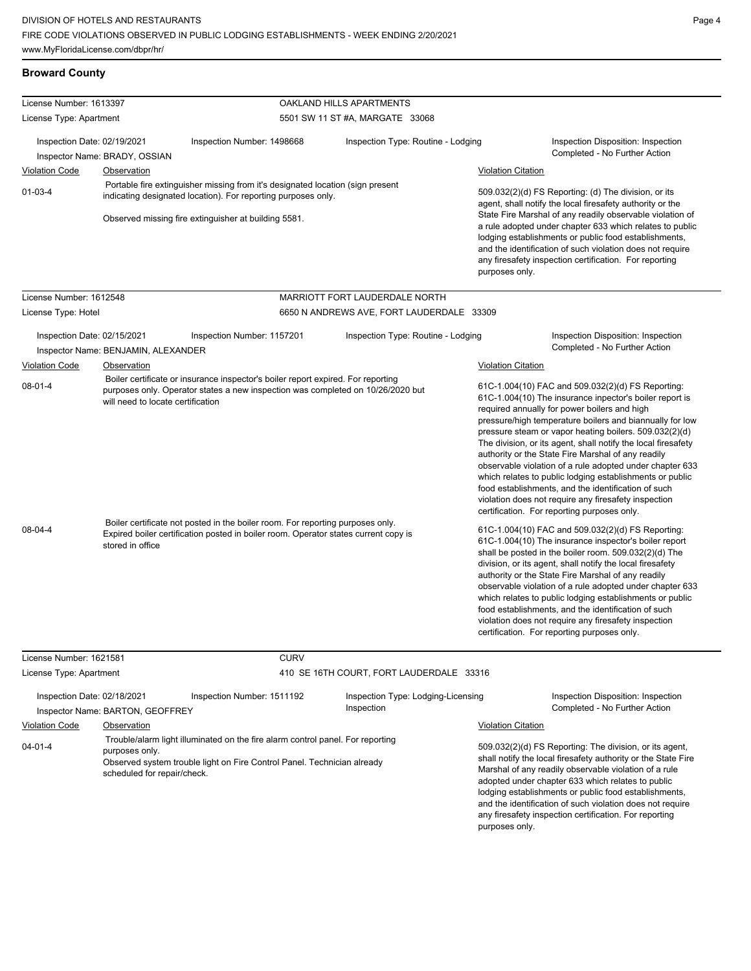#### **Broward County**

04-01-4

| License Number: 1613397                              |                                              |                                                                                                                                                                       | OAKLAND HILLS APARTMENTS                         |                           |                                                                                                                                                                                                                                                                                                                                                                                                                                                                                                                                                                                                                                                                                                 |
|------------------------------------------------------|----------------------------------------------|-----------------------------------------------------------------------------------------------------------------------------------------------------------------------|--------------------------------------------------|---------------------------|-------------------------------------------------------------------------------------------------------------------------------------------------------------------------------------------------------------------------------------------------------------------------------------------------------------------------------------------------------------------------------------------------------------------------------------------------------------------------------------------------------------------------------------------------------------------------------------------------------------------------------------------------------------------------------------------------|
| License Type: Apartment                              |                                              |                                                                                                                                                                       | 5501 SW 11 ST #A, MARGATE 33068                  |                           |                                                                                                                                                                                                                                                                                                                                                                                                                                                                                                                                                                                                                                                                                                 |
| Inspection Date: 02/19/2021<br><b>Violation Code</b> | Inspector Name: BRADY, OSSIAN<br>Observation | Inspection Number: 1498668<br>Portable fire extinguisher missing from it's designated location (sign present                                                          | Inspection Type: Routine - Lodging               | <b>Violation Citation</b> | Inspection Disposition: Inspection<br>Completed - No Further Action                                                                                                                                                                                                                                                                                                                                                                                                                                                                                                                                                                                                                             |
| $01 - 03 - 4$                                        |                                              | indicating designated location). For reporting purposes only.<br>Observed missing fire extinguisher at building 5581.                                                 |                                                  | purposes only.            | 509.032(2)(d) FS Reporting: (d) The division, or its<br>agent, shall notify the local firesafety authority or the<br>State Fire Marshal of any readily observable violation of<br>a rule adopted under chapter 633 which relates to public<br>lodging establishments or public food establishments,<br>and the identification of such violation does not require<br>any firesafety inspection certification. For reporting                                                                                                                                                                                                                                                                      |
| License Number: 1612548                              |                                              |                                                                                                                                                                       | MARRIOTT FORT LAUDERDALE NORTH                   |                           |                                                                                                                                                                                                                                                                                                                                                                                                                                                                                                                                                                                                                                                                                                 |
| License Type: Hotel                                  |                                              |                                                                                                                                                                       | 6650 N ANDREWS AVE, FORT LAUDERDALE 33309        |                           |                                                                                                                                                                                                                                                                                                                                                                                                                                                                                                                                                                                                                                                                                                 |
| Inspection Date: 02/15/2021                          | Inspector Name: BENJAMIN, ALEXANDER          | Inspection Number: 1157201                                                                                                                                            | Inspection Type: Routine - Lodging               |                           | Inspection Disposition: Inspection<br>Completed - No Further Action                                                                                                                                                                                                                                                                                                                                                                                                                                                                                                                                                                                                                             |
| <b>Violation Code</b>                                | Observation                                  |                                                                                                                                                                       |                                                  | <b>Violation Citation</b> |                                                                                                                                                                                                                                                                                                                                                                                                                                                                                                                                                                                                                                                                                                 |
| $08 - 01 - 4$                                        | will need to locate certification            | Boiler certificate or insurance inspector's boiler report expired. For reporting<br>purposes only. Operator states a new inspection was completed on 10/26/2020 but   |                                                  |                           | 61C-1.004(10) FAC and 509.032(2)(d) FS Reporting:<br>61C-1.004(10) The insurance inpector's boiler report is<br>required annually for power boilers and high<br>pressure/high temperature boilers and biannually for low<br>pressure steam or vapor heating boilers. 509.032(2)(d)<br>The division, or its agent, shall notify the local firesafety<br>authority or the State Fire Marshal of any readily<br>observable violation of a rule adopted under chapter 633<br>which relates to public lodging establishments or public<br>food establishments, and the identification of such<br>violation does not require any firesafety inspection<br>certification. For reporting purposes only. |
| 08-04-4                                              | stored in office                             | Boiler certificate not posted in the boiler room. For reporting purposes only.<br>Expired boiler certification posted in boiler room. Operator states current copy is |                                                  |                           | 61C-1.004(10) FAC and 509.032(2)(d) FS Reporting:<br>61C-1.004(10) The insurance inspector's boiler report<br>shall be posted in the boiler room. 509.032(2)(d) The<br>division, or its agent, shall notify the local firesafety<br>authority or the State Fire Marshal of any readily<br>observable violation of a rule adopted under chapter 633<br>which relates to public lodging establishments or public<br>food establishments, and the identification of such<br>violation does not require any firesafety inspection<br>certification. For reporting purposes only.                                                                                                                    |
| License Number: 1621581                              |                                              | <b>CURV</b>                                                                                                                                                           |                                                  |                           |                                                                                                                                                                                                                                                                                                                                                                                                                                                                                                                                                                                                                                                                                                 |
| License Type: Apartment                              |                                              |                                                                                                                                                                       | 410 SE 16TH COURT, FORT LAUDERDALE 33316         |                           |                                                                                                                                                                                                                                                                                                                                                                                                                                                                                                                                                                                                                                                                                                 |
| Inspection Date: 02/18/2021                          | Inspector Name: BARTON, GEOFFREY             | Inspection Number: 1511192                                                                                                                                            | Inspection Type: Lodging-Licensing<br>Inspection |                           | Inspection Disposition: Inspection<br>Completed - No Further Action                                                                                                                                                                                                                                                                                                                                                                                                                                                                                                                                                                                                                             |
| <b>Violation Code</b>                                | Observation                                  |                                                                                                                                                                       |                                                  | <b>Violation Citation</b> |                                                                                                                                                                                                                                                                                                                                                                                                                                                                                                                                                                                                                                                                                                 |
|                                                      |                                              | Trouble/alarm light illuminated on the fire alarm control panel. For reporting                                                                                        |                                                  |                           |                                                                                                                                                                                                                                                                                                                                                                                                                                                                                                                                                                                                                                                                                                 |

purposes only. Observed system trouble light on Fire Control Panel. Technician already scheduled for repair/check.

509.032(2)(d) FS Reporting: The division, or its agent, shall notify the local firesafety authority or the State Fire Marshal of any readily observable violation of a rule adopted under chapter 633 which relates to public lodging establishments or public food establishments, and the identification of such violation does not require any firesafety inspection certification. For reporting purposes only.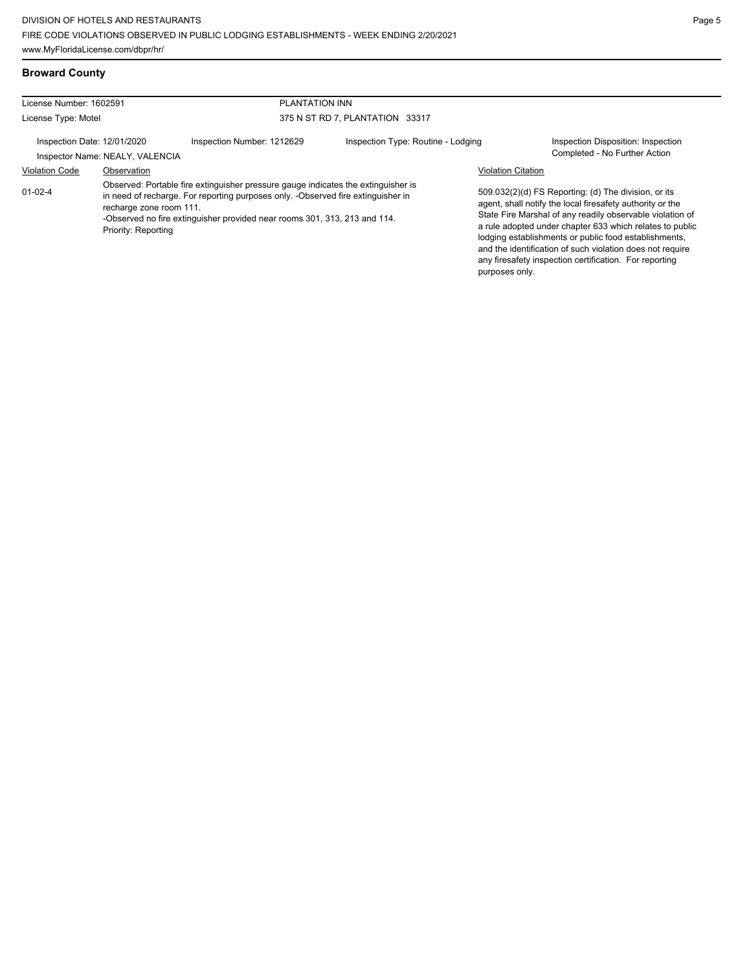## **Broward County**

| License Number: 1602591<br>License Type: Motel |                                                               |                                                                                                                                                                                                                                                    | <b>PLANTATION INN</b><br>375 N ST RD 7, PLANTATION 33317 |                                             |                                                                                                                                                                                                                                                                                                                                                                                                                            |  |
|------------------------------------------------|---------------------------------------------------------------|----------------------------------------------------------------------------------------------------------------------------------------------------------------------------------------------------------------------------------------------------|----------------------------------------------------------|---------------------------------------------|----------------------------------------------------------------------------------------------------------------------------------------------------------------------------------------------------------------------------------------------------------------------------------------------------------------------------------------------------------------------------------------------------------------------------|--|
|                                                |                                                               |                                                                                                                                                                                                                                                    |                                                          |                                             |                                                                                                                                                                                                                                                                                                                                                                                                                            |  |
| Inspection Date: 12/01/2020                    | Inspector Name: NEALY, VALENCIA                               | Inspection Number: 1212629                                                                                                                                                                                                                         | Inspection Type: Routine - Lodging                       |                                             | Inspection Disposition: Inspection<br>Completed - No Further Action                                                                                                                                                                                                                                                                                                                                                        |  |
| <b>Violation Code</b><br>$01 - 02 - 4$         | Observation<br>recharge zone room 111.<br>Priority: Reporting | Observed: Portable fire extinguisher pressure gauge indicates the extinguisher is<br>in need of recharge. For reporting purposes only. -Observed fire extinguisher in<br>-Observed no fire extinguisher provided near rooms 301, 313, 213 and 114. |                                                          | <b>Violation Citation</b><br>purposes only. | 509.032(2)(d) FS Reporting: (d) The division, or its<br>agent, shall notify the local firesafety authority or the<br>State Fire Marshal of any readily observable violation of<br>a rule adopted under chapter 633 which relates to public<br>lodging establishments or public food establishments,<br>and the identification of such violation does not require<br>any firesafety inspection certification. For reporting |  |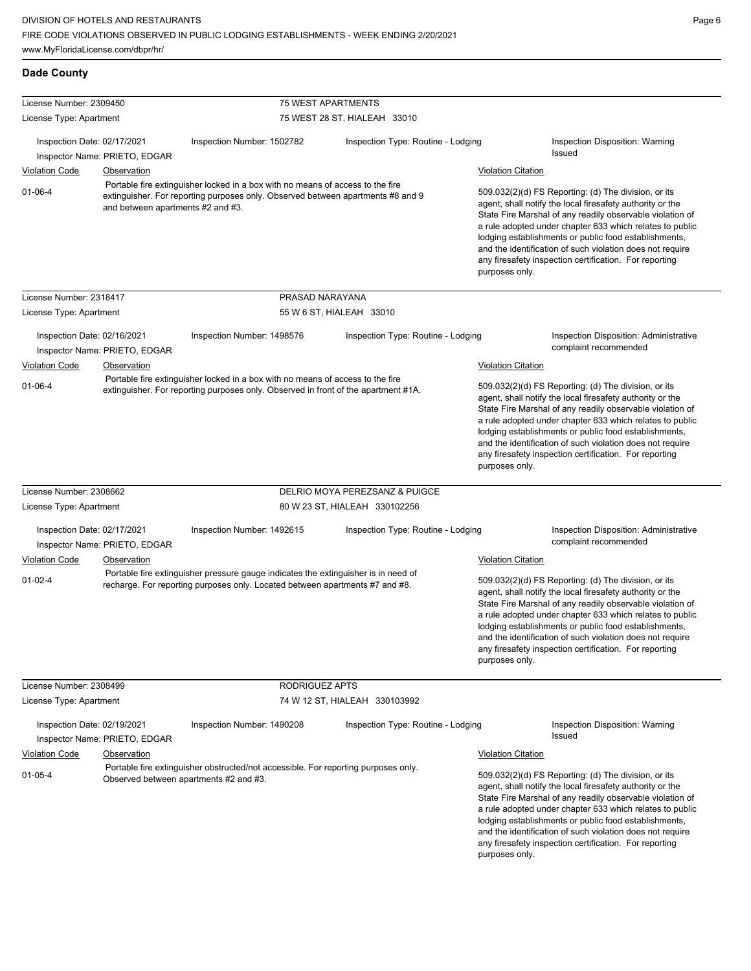| License Number: 2309450                                      |                                   |                                                                                                                                                                      | <b>75 WEST APARTMENTS</b>          |                                                                                                                                                                                                                                                                                                                                                                                                                                              |
|--------------------------------------------------------------|-----------------------------------|----------------------------------------------------------------------------------------------------------------------------------------------------------------------|------------------------------------|----------------------------------------------------------------------------------------------------------------------------------------------------------------------------------------------------------------------------------------------------------------------------------------------------------------------------------------------------------------------------------------------------------------------------------------------|
| License Type: Apartment                                      |                                   |                                                                                                                                                                      | 75 WEST 28 ST, HIALEAH 33010       |                                                                                                                                                                                                                                                                                                                                                                                                                                              |
| Inspection Date: 02/17/2021                                  | Inspector Name: PRIETO, EDGAR     | Inspection Number: 1502782                                                                                                                                           | Inspection Type: Routine - Lodging | Inspection Disposition: Warning<br>Issued                                                                                                                                                                                                                                                                                                                                                                                                    |
| <b>Violation Code</b>                                        | <b>Observation</b>                |                                                                                                                                                                      |                                    | <b>Violation Citation</b>                                                                                                                                                                                                                                                                                                                                                                                                                    |
| $01-06-4$                                                    | and between apartments #2 and #3. | Portable fire extinguisher locked in a box with no means of access to the fire<br>extinguisher. For reporting purposes only. Observed between apartments #8 and 9    |                                    | 509.032(2)(d) FS Reporting: (d) The division, or its<br>agent, shall notify the local firesafety authority or the<br>State Fire Marshal of any readily observable violation of<br>a rule adopted under chapter 633 which relates to public<br>lodging establishments or public food establishments,<br>and the identification of such violation does not require<br>any firesafety inspection certification. For reporting<br>purposes only. |
| License Number: 2318417                                      |                                   | PRASAD NARAYANA                                                                                                                                                      |                                    |                                                                                                                                                                                                                                                                                                                                                                                                                                              |
| License Type: Apartment                                      |                                   |                                                                                                                                                                      | 55 W 6 ST, HIALEAH 33010           |                                                                                                                                                                                                                                                                                                                                                                                                                                              |
| Inspection Date: 02/16/2021                                  | Inspector Name: PRIETO, EDGAR     | Inspection Number: 1498576                                                                                                                                           | Inspection Type: Routine - Lodging | Inspection Disposition: Administrative<br>complaint recommended                                                                                                                                                                                                                                                                                                                                                                              |
| <b>Violation Code</b>                                        | <b>Observation</b>                |                                                                                                                                                                      |                                    | <b>Violation Citation</b>                                                                                                                                                                                                                                                                                                                                                                                                                    |
| $01 - 06 - 4$                                                |                                   | Portable fire extinguisher locked in a box with no means of access to the fire<br>extinguisher. For reporting purposes only. Observed in front of the apartment #1A. |                                    | 509.032(2)(d) FS Reporting: (d) The division, or its<br>agent, shall notify the local firesafety authority or the<br>State Fire Marshal of any readily observable violation of<br>a rule adopted under chapter 633 which relates to public<br>lodging establishments or public food establishments,<br>and the identification of such violation does not require<br>any firesafety inspection certification. For reporting<br>purposes only. |
| License Number: 2308662                                      |                                   |                                                                                                                                                                      | DELRIO MOYA PEREZSANZ & PUIGCE     |                                                                                                                                                                                                                                                                                                                                                                                                                                              |
| License Type: Apartment                                      |                                   |                                                                                                                                                                      | 80 W 23 ST, HIALEAH 330102256      |                                                                                                                                                                                                                                                                                                                                                                                                                                              |
| Inspection Date: 02/17/2021                                  | Inspector Name: PRIETO, EDGAR     | Inspection Number: 1492615                                                                                                                                           | Inspection Type: Routine - Lodging | Inspection Disposition: Administrative<br>complaint recommended                                                                                                                                                                                                                                                                                                                                                                              |
| Violation Code                                               | Observation                       |                                                                                                                                                                      |                                    | <b>Violation Citation</b>                                                                                                                                                                                                                                                                                                                                                                                                                    |
| $01 - 02 - 4$                                                |                                   | Portable fire extinguisher pressure gauge indicates the extinguisher is in need of<br>recharge. For reporting purposes only. Located between apartments #7 and #8.   |                                    | 509.032(2)(d) FS Reporting: (d) The division, or its<br>agent, shall notify the local firesafety authority or the<br>State Fire Marshal of any readily observable violation of<br>a rule adopted under chapter 633 which relates to public<br>lodging establishments or public food establishments,<br>and the identification of such violation does not require<br>any firesafety inspection certification. For reporting<br>purposes only. |
| License Number: 2308499                                      |                                   | <b>RODRIGUEZ APTS</b>                                                                                                                                                |                                    |                                                                                                                                                                                                                                                                                                                                                                                                                                              |
| License Type: Apartment                                      |                                   |                                                                                                                                                                      | 74 W 12 ST, HIALEAH 330103992      |                                                                                                                                                                                                                                                                                                                                                                                                                                              |
| Inspection Date: 02/19/2021<br>Inspector Name: PRIETO, EDGAR |                                   | Inspection Number: 1490208                                                                                                                                           | Inspection Type: Routine - Lodging | Inspection Disposition: Warning<br>Issued                                                                                                                                                                                                                                                                                                                                                                                                    |
| <b>Violation Code</b>                                        | <b>Observation</b>                |                                                                                                                                                                      |                                    | <b>Violation Citation</b>                                                                                                                                                                                                                                                                                                                                                                                                                    |
| $01-05-4$                                                    |                                   | Portable fire extinguisher obstructed/not accessible. For reporting purposes only.<br>Observed between apartments #2 and #3.                                         |                                    | 509.032(2)(d) FS Reporting: (d) The division, or its<br>agent, shall notify the local firesafety authority or the<br>State Fire Marshal of any readily observable violation of<br>a rule adopted under chapter 633 which relates to public<br>lodging establishments or public food establishments,<br>and the identification of such violation does not require<br>any firesafety inspection certification. For reporting<br>purposes only. |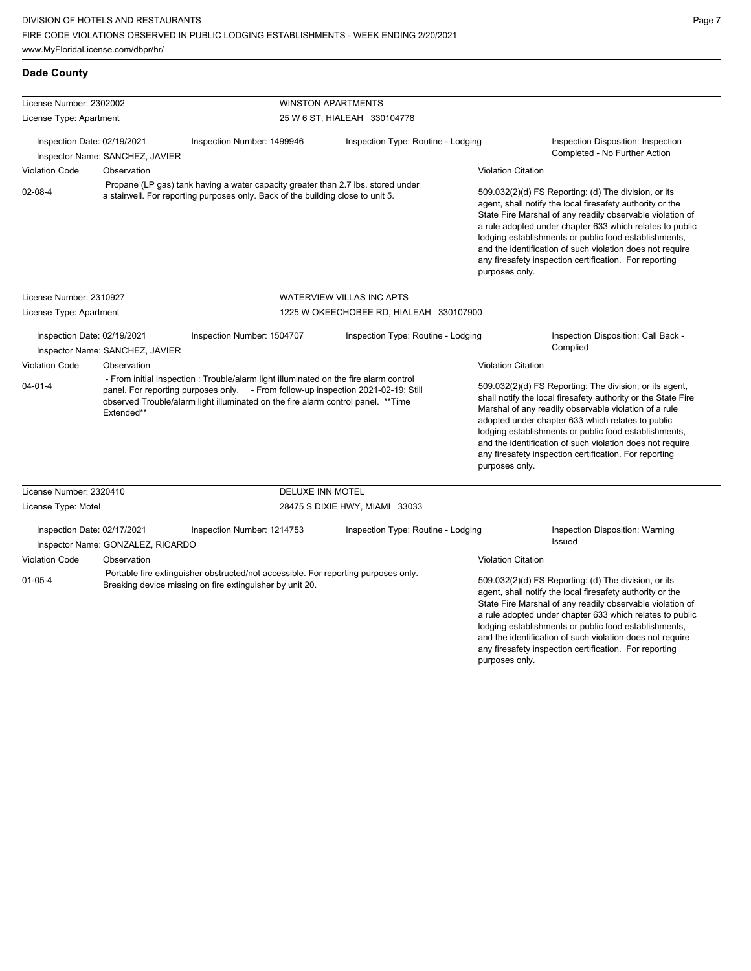any firesafety inspection certification. For reporting

| License Number: 2302002                                        |                                                                                                                                                                                                                                                                                                                                                                                                                                                                                                                                                         |                                                                                                                                                | <b>WINSTON APARTMENTS</b>                                                                                                                                                                                                                                      |                                                          |                                                                                                                                                                                                                                                                                                                                                                                                                                          |  |
|----------------------------------------------------------------|---------------------------------------------------------------------------------------------------------------------------------------------------------------------------------------------------------------------------------------------------------------------------------------------------------------------------------------------------------------------------------------------------------------------------------------------------------------------------------------------------------------------------------------------------------|------------------------------------------------------------------------------------------------------------------------------------------------|----------------------------------------------------------------------------------------------------------------------------------------------------------------------------------------------------------------------------------------------------------------|----------------------------------------------------------|------------------------------------------------------------------------------------------------------------------------------------------------------------------------------------------------------------------------------------------------------------------------------------------------------------------------------------------------------------------------------------------------------------------------------------------|--|
| License Type: Apartment                                        |                                                                                                                                                                                                                                                                                                                                                                                                                                                                                                                                                         |                                                                                                                                                | 25 W 6 ST, HIALEAH 330104778                                                                                                                                                                                                                                   |                                                          |                                                                                                                                                                                                                                                                                                                                                                                                                                          |  |
|                                                                | Inspection Date: 02/19/2021<br>Inspector Name: SANCHEZ, JAVIER                                                                                                                                                                                                                                                                                                                                                                                                                                                                                          | Inspection Number: 1499946                                                                                                                     | Inspection Type: Routine - Lodging                                                                                                                                                                                                                             |                                                          | Inspection Disposition: Inspection<br>Completed - No Further Action                                                                                                                                                                                                                                                                                                                                                                      |  |
| <b>Violation Code</b>                                          | Observation                                                                                                                                                                                                                                                                                                                                                                                                                                                                                                                                             |                                                                                                                                                |                                                                                                                                                                                                                                                                |                                                          | <b>Violation Citation</b>                                                                                                                                                                                                                                                                                                                                                                                                                |  |
| $02 - 08 - 4$                                                  | Propane (LP gas) tank having a water capacity greater than 2.7 lbs. stored under<br>509.032(2)(d) FS Reporting: (d) The division, or its<br>a stairwell. For reporting purposes only. Back of the building close to unit 5.<br>agent, shall notify the local firesafety authority or the<br>State Fire Marshal of any readily observable violation of<br>lodging establishments or public food establishments,<br>and the identification of such violation does not require<br>any firesafety inspection certification. For reporting<br>purposes only. |                                                                                                                                                |                                                                                                                                                                                                                                                                | a rule adopted under chapter 633 which relates to public |                                                                                                                                                                                                                                                                                                                                                                                                                                          |  |
| License Number: 2310927                                        |                                                                                                                                                                                                                                                                                                                                                                                                                                                                                                                                                         |                                                                                                                                                | <b>WATERVIEW VILLAS INC APTS</b>                                                                                                                                                                                                                               |                                                          |                                                                                                                                                                                                                                                                                                                                                                                                                                          |  |
| License Type: Apartment                                        |                                                                                                                                                                                                                                                                                                                                                                                                                                                                                                                                                         |                                                                                                                                                | 1225 W OKEECHOBEE RD, HIALEAH 330107900                                                                                                                                                                                                                        |                                                          |                                                                                                                                                                                                                                                                                                                                                                                                                                          |  |
| Inspection Date: 02/19/2021<br>Inspector Name: SANCHEZ, JAVIER |                                                                                                                                                                                                                                                                                                                                                                                                                                                                                                                                                         | Inspection Number: 1504707                                                                                                                     | Inspection Type: Routine - Lodging                                                                                                                                                                                                                             |                                                          | Inspection Disposition: Call Back -<br>Complied                                                                                                                                                                                                                                                                                                                                                                                          |  |
| Violation Code                                                 | Observation                                                                                                                                                                                                                                                                                                                                                                                                                                                                                                                                             |                                                                                                                                                | - From initial inspection : Trouble/alarm light illuminated on the fire alarm control<br>panel. For reporting purposes only. - From follow-up inspection 2021-02-19: Still<br>observed Trouble/alarm light illuminated on the fire alarm control panel. **Time |                                                          | <b>Violation Citation</b>                                                                                                                                                                                                                                                                                                                                                                                                                |  |
| $04 - 01 - 4$<br>Extended**                                    |                                                                                                                                                                                                                                                                                                                                                                                                                                                                                                                                                         |                                                                                                                                                |                                                                                                                                                                                                                                                                |                                                          | 509.032(2)(d) FS Reporting: The division, or its agent,<br>shall notify the local firesafety authority or the State Fire<br>Marshal of any readily observable violation of a rule<br>adopted under chapter 633 which relates to public<br>lodging establishments or public food establishments,<br>and the identification of such violation does not require<br>any firesafety inspection certification. For reporting<br>purposes only. |  |
| License Number: 2320410                                        |                                                                                                                                                                                                                                                                                                                                                                                                                                                                                                                                                         | <b>DELUXE INN MOTEL</b>                                                                                                                        |                                                                                                                                                                                                                                                                |                                                          |                                                                                                                                                                                                                                                                                                                                                                                                                                          |  |
| License Type: Motel                                            |                                                                                                                                                                                                                                                                                                                                                                                                                                                                                                                                                         |                                                                                                                                                | 28475 S DIXIE HWY, MIAMI 33033                                                                                                                                                                                                                                 |                                                          |                                                                                                                                                                                                                                                                                                                                                                                                                                          |  |
|                                                                | Inspection Date: 02/17/2021<br>Inspector Name: GONZALEZ, RICARDO                                                                                                                                                                                                                                                                                                                                                                                                                                                                                        | Inspection Number: 1214753                                                                                                                     | Inspection Type: Routine - Lodging                                                                                                                                                                                                                             |                                                          | Inspection Disposition: Warning<br>Issued                                                                                                                                                                                                                                                                                                                                                                                                |  |
| Violation Code                                                 | Observation                                                                                                                                                                                                                                                                                                                                                                                                                                                                                                                                             |                                                                                                                                                |                                                                                                                                                                                                                                                                | <b>Violation Citation</b>                                |                                                                                                                                                                                                                                                                                                                                                                                                                                          |  |
| $01 - 05 - 4$                                                  |                                                                                                                                                                                                                                                                                                                                                                                                                                                                                                                                                         | Portable fire extinguisher obstructed/not accessible. For reporting purposes only.<br>Breaking device missing on fire extinguisher by unit 20. |                                                                                                                                                                                                                                                                |                                                          | 509.032(2)(d) FS Reporting: (d) The division, or its<br>agent, shall notify the local firesafety authority or the<br>State Fire Marshal of any readily observable violation of<br>a rule adopted under chapter 633 which relates to public<br>lodging establishments or public food establishments,<br>and the identification of such violation does not require                                                                         |  |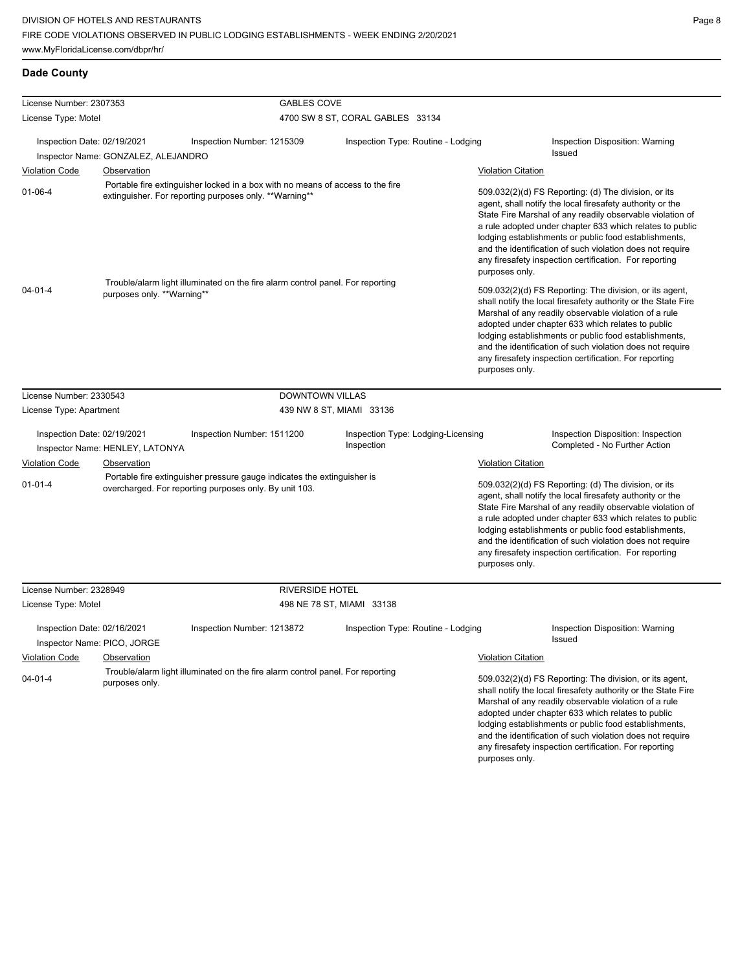| License Number: 2307353          |                                     | <b>GABLES COVE</b>                                                                                                                       |                                                  |                                                                                                                                                                                                                                                                                                                                                                                                                                                                |
|----------------------------------|-------------------------------------|------------------------------------------------------------------------------------------------------------------------------------------|--------------------------------------------------|----------------------------------------------------------------------------------------------------------------------------------------------------------------------------------------------------------------------------------------------------------------------------------------------------------------------------------------------------------------------------------------------------------------------------------------------------------------|
| License Type: Motel              |                                     |                                                                                                                                          | 4700 SW 8 ST, CORAL GABLES 33134                 |                                                                                                                                                                                                                                                                                                                                                                                                                                                                |
| Inspection Date: 02/19/2021      | Inspector Name: GONZALEZ, ALEJANDRO | Inspection Number: 1215309                                                                                                               | Inspection Type: Routine - Lodging               | <b>Inspection Disposition: Warning</b><br>Issued                                                                                                                                                                                                                                                                                                                                                                                                               |
| <b>Violation Code</b>            | Observation                         |                                                                                                                                          |                                                  | <b>Violation Citation</b>                                                                                                                                                                                                                                                                                                                                                                                                                                      |
| $01 - 06 - 4$                    |                                     | Portable fire extinguisher locked in a box with no means of access to the fire<br>extinguisher. For reporting purposes only. **Warning** |                                                  | 509.032(2)(d) FS Reporting: (d) The division, or its<br>agent, shall notify the local firesafety authority or the<br>State Fire Marshal of any readily observable violation of<br>a rule adopted under chapter 633 which relates to public<br>lodging establishments or public food establishments,<br>and the identification of such violation does not require<br>any firesafety inspection certification. For reporting<br>purposes only.                   |
| $04 - 01 - 4$                    | purposes only. **Warning**          | Trouble/alarm light illuminated on the fire alarm control panel. For reporting                                                           |                                                  | 509.032(2)(d) FS Reporting: The division, or its agent,<br>shall notify the local firesafety authority or the State Fire<br>Marshal of any readily observable violation of a rule<br>adopted under chapter 633 which relates to public<br>lodging establishments or public food establishments,<br>and the identification of such violation does not require<br>any firesafety inspection certification. For reporting<br>purposes only.                       |
| License Number: 2330543          |                                     | <b>DOWNTOWN VILLAS</b>                                                                                                                   |                                                  |                                                                                                                                                                                                                                                                                                                                                                                                                                                                |
| License Type: Apartment          |                                     |                                                                                                                                          | 439 NW 8 ST, MIAMI 33136                         |                                                                                                                                                                                                                                                                                                                                                                                                                                                                |
| Inspection Date: 02/19/2021      | Inspector Name: HENLEY, LATONYA     | Inspection Number: 1511200                                                                                                               | Inspection Type: Lodging-Licensing<br>Inspection | <b>Inspection Disposition: Inspection</b><br>Completed - No Further Action                                                                                                                                                                                                                                                                                                                                                                                     |
| <b>Violation Code</b>            | Observation                         |                                                                                                                                          |                                                  | <b>Violation Citation</b>                                                                                                                                                                                                                                                                                                                                                                                                                                      |
| $01 - 01 - 4$                    |                                     | Portable fire extinguisher pressure gauge indicates the extinguisher is<br>overcharged. For reporting purposes only. By unit 103.        |                                                  | 509.032(2)(d) FS Reporting: (d) The division, or its<br>agent, shall notify the local firesafety authority or the<br>State Fire Marshal of any readily observable violation of<br>a rule adopted under chapter 633 which relates to public<br>lodging establishments or public food establishments,<br>and the identification of such violation does not require<br>any firesafety inspection certification. For reporting<br>purposes only.                   |
| License Number: 2328949          |                                     | <b>RIVERSIDE HOTEL</b>                                                                                                                   |                                                  |                                                                                                                                                                                                                                                                                                                                                                                                                                                                |
| License Type: Motel              |                                     |                                                                                                                                          | 498 NE 78 ST, MIAMI 33138                        |                                                                                                                                                                                                                                                                                                                                                                                                                                                                |
| Inspection Date: 02/16/2021      | Inspector Name: PICO, JORGE         | Inspection Number: 1213872                                                                                                               | Inspection Type: Routine - Lodging               | <b>Inspection Disposition: Warning</b><br>Issued                                                                                                                                                                                                                                                                                                                                                                                                               |
| <b>Violation Code</b><br>04-01-4 | Observation<br>purposes only.       | Trouble/alarm light illuminated on the fire alarm control panel. For reporting                                                           |                                                  | Violation Citation<br>509.032(2)(d) FS Reporting: The division, or its agent,<br>shall notify the local firesafety authority or the State Fire<br>Marshal of any readily observable violation of a rule<br>adopted under chapter 633 which relates to public<br>lodging establishments or public food establishments,<br>and the identification of such violation does not require<br>any firesafety inspection certification. For reporting<br>purposes only. |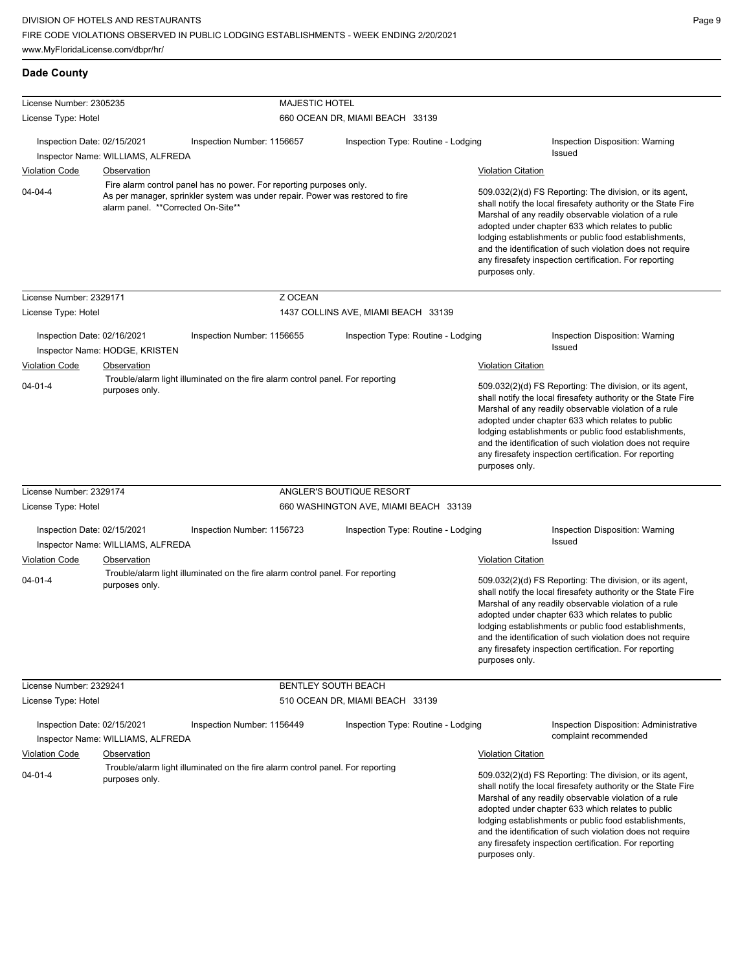| <b>Dade County</b>                                                                                                |                                                                                                                                                                                            |                                                                                |                                 |                                       |  |                                                                                                                                                                                                                                                                                                                                                                                                                                          |                                                                                                                                                                                                                                                                                                                                                                                                                        |  |
|-------------------------------------------------------------------------------------------------------------------|--------------------------------------------------------------------------------------------------------------------------------------------------------------------------------------------|--------------------------------------------------------------------------------|---------------------------------|---------------------------------------|--|------------------------------------------------------------------------------------------------------------------------------------------------------------------------------------------------------------------------------------------------------------------------------------------------------------------------------------------------------------------------------------------------------------------------------------------|------------------------------------------------------------------------------------------------------------------------------------------------------------------------------------------------------------------------------------------------------------------------------------------------------------------------------------------------------------------------------------------------------------------------|--|
| License Number: 2305235                                                                                           |                                                                                                                                                                                            |                                                                                | <b>MAJESTIC HOTEL</b>           |                                       |  |                                                                                                                                                                                                                                                                                                                                                                                                                                          |                                                                                                                                                                                                                                                                                                                                                                                                                        |  |
| License Type: Hotel                                                                                               |                                                                                                                                                                                            |                                                                                | 660 OCEAN DR, MIAMI BEACH 33139 |                                       |  |                                                                                                                                                                                                                                                                                                                                                                                                                                          |                                                                                                                                                                                                                                                                                                                                                                                                                        |  |
| Inspection Date: 02/15/2021                                                                                       | Inspector Name: WILLIAMS, ALFREDA                                                                                                                                                          | Inspection Number: 1156657                                                     |                                 | Inspection Type: Routine - Lodging    |  |                                                                                                                                                                                                                                                                                                                                                                                                                                          | Inspection Disposition: Warning<br><b>Issued</b>                                                                                                                                                                                                                                                                                                                                                                       |  |
| <b>Violation Code</b>                                                                                             | <b>Observation</b>                                                                                                                                                                         |                                                                                |                                 |                                       |  | <b>Violation Citation</b>                                                                                                                                                                                                                                                                                                                                                                                                                |                                                                                                                                                                                                                                                                                                                                                                                                                        |  |
| $04 - 04 - 4$                                                                                                     | Fire alarm control panel has no power. For reporting purposes only.<br>As per manager, sprinkler system was under repair. Power was restored to fire<br>alarm panel. **Corrected On-Site** |                                                                                |                                 |                                       |  | 509.032(2)(d) FS Reporting: The division, or its agent,<br>shall notify the local firesafety authority or the State Fire<br>Marshal of any readily observable violation of a rule<br>adopted under chapter 633 which relates to public<br>lodging establishments or public food establishments,<br>and the identification of such violation does not require<br>any firesafety inspection certification. For reporting<br>purposes only. |                                                                                                                                                                                                                                                                                                                                                                                                                        |  |
| License Number: 2329171                                                                                           |                                                                                                                                                                                            |                                                                                | Z OCEAN                         |                                       |  |                                                                                                                                                                                                                                                                                                                                                                                                                                          |                                                                                                                                                                                                                                                                                                                                                                                                                        |  |
| License Type: Hotel                                                                                               |                                                                                                                                                                                            |                                                                                |                                 | 1437 COLLINS AVE, MIAMI BEACH 33139   |  |                                                                                                                                                                                                                                                                                                                                                                                                                                          |                                                                                                                                                                                                                                                                                                                                                                                                                        |  |
| Inspection Date: 02/16/2021<br>Violation Code                                                                     | Inspector Name: HODGE, KRISTEN<br>Observation                                                                                                                                              | Inspection Number: 1156655                                                     |                                 | Inspection Type: Routine - Lodging    |  | <b>Violation Citation</b>                                                                                                                                                                                                                                                                                                                                                                                                                | Inspection Disposition: Warning<br><b>Issued</b>                                                                                                                                                                                                                                                                                                                                                                       |  |
| Trouble/alarm light illuminated on the fire alarm control panel. For reporting<br>$04 - 01 - 4$<br>purposes only. |                                                                                                                                                                                            |                                                                                |                                 |                                       |  | 509.032(2)(d) FS Reporting: The division, or its agent,<br>shall notify the local firesafety authority or the State Fire<br>Marshal of any readily observable violation of a rule<br>adopted under chapter 633 which relates to public<br>lodging establishments or public food establishments,<br>and the identification of such violation does not require<br>any firesafety inspection certification. For reporting<br>purposes only. |                                                                                                                                                                                                                                                                                                                                                                                                                        |  |
| License Number: 2329174                                                                                           |                                                                                                                                                                                            |                                                                                |                                 | ANGLER'S BOUTIQUE RESORT              |  |                                                                                                                                                                                                                                                                                                                                                                                                                                          |                                                                                                                                                                                                                                                                                                                                                                                                                        |  |
| License Type: Hotel                                                                                               |                                                                                                                                                                                            |                                                                                |                                 | 660 WASHINGTON AVE, MIAMI BEACH 33139 |  |                                                                                                                                                                                                                                                                                                                                                                                                                                          |                                                                                                                                                                                                                                                                                                                                                                                                                        |  |
| Inspection Date: 02/15/2021                                                                                       |                                                                                                                                                                                            | Inspection Number: 1156723                                                     |                                 | Inspection Type: Routine - Lodging    |  |                                                                                                                                                                                                                                                                                                                                                                                                                                          | Inspection Disposition: Warning                                                                                                                                                                                                                                                                                                                                                                                        |  |
|                                                                                                                   | Inspector Name: WILLIAMS, ALFREDA                                                                                                                                                          |                                                                                |                                 |                                       |  |                                                                                                                                                                                                                                                                                                                                                                                                                                          | Issued                                                                                                                                                                                                                                                                                                                                                                                                                 |  |
| <b>Violation Code</b>                                                                                             | Observation                                                                                                                                                                                |                                                                                |                                 |                                       |  | <b>Violation Citation</b>                                                                                                                                                                                                                                                                                                                                                                                                                |                                                                                                                                                                                                                                                                                                                                                                                                                        |  |
| $04 - 01 - 4$                                                                                                     | purposes only.                                                                                                                                                                             | Trouble/alarm light illuminated on the fire alarm control panel. For reporting |                                 |                                       |  | purposes only.                                                                                                                                                                                                                                                                                                                                                                                                                           | 509.032(2)(d) FS Reporting: The division, or its agent,<br>shall notify the local firesafety authority or the State Fire<br>Marshal of any readily observable violation of a rule<br>adopted under chapter 633 which relates to public<br>lodging establishments or public food establishments,<br>and the identification of such violation does not require<br>any firesafety inspection certification. For reporting |  |
| License Number: 2329241                                                                                           |                                                                                                                                                                                            |                                                                                | BENTLEY SOUTH BEACH             |                                       |  |                                                                                                                                                                                                                                                                                                                                                                                                                                          |                                                                                                                                                                                                                                                                                                                                                                                                                        |  |
| License Type: Hotel                                                                                               |                                                                                                                                                                                            |                                                                                |                                 | 510 OCEAN DR, MIAMI BEACH 33139       |  |                                                                                                                                                                                                                                                                                                                                                                                                                                          |                                                                                                                                                                                                                                                                                                                                                                                                                        |  |
| Inspection Date: 02/15/2021                                                                                       | Inspector Name: WILLIAMS, ALFREDA                                                                                                                                                          | Inspection Number: 1156449                                                     |                                 | Inspection Type: Routine - Lodging    |  |                                                                                                                                                                                                                                                                                                                                                                                                                                          | Inspection Disposition: Administrative<br>complaint recommended                                                                                                                                                                                                                                                                                                                                                        |  |
| <b>Violation Code</b>                                                                                             | Observation                                                                                                                                                                                |                                                                                |                                 |                                       |  | <b>Violation Citation</b>                                                                                                                                                                                                                                                                                                                                                                                                                |                                                                                                                                                                                                                                                                                                                                                                                                                        |  |
| $04 - 01 - 4$                                                                                                     | purposes only.                                                                                                                                                                             | Trouble/alarm light illuminated on the fire alarm control panel. For reporting |                                 |                                       |  | purposes only.                                                                                                                                                                                                                                                                                                                                                                                                                           | 509.032(2)(d) FS Reporting: The division, or its agent,<br>shall notify the local firesafety authority or the State Fire<br>Marshal of any readily observable violation of a rule<br>adopted under chapter 633 which relates to public<br>lodging establishments or public food establishments,<br>and the identification of such violation does not require<br>any firesafety inspection certification. For reporting |  |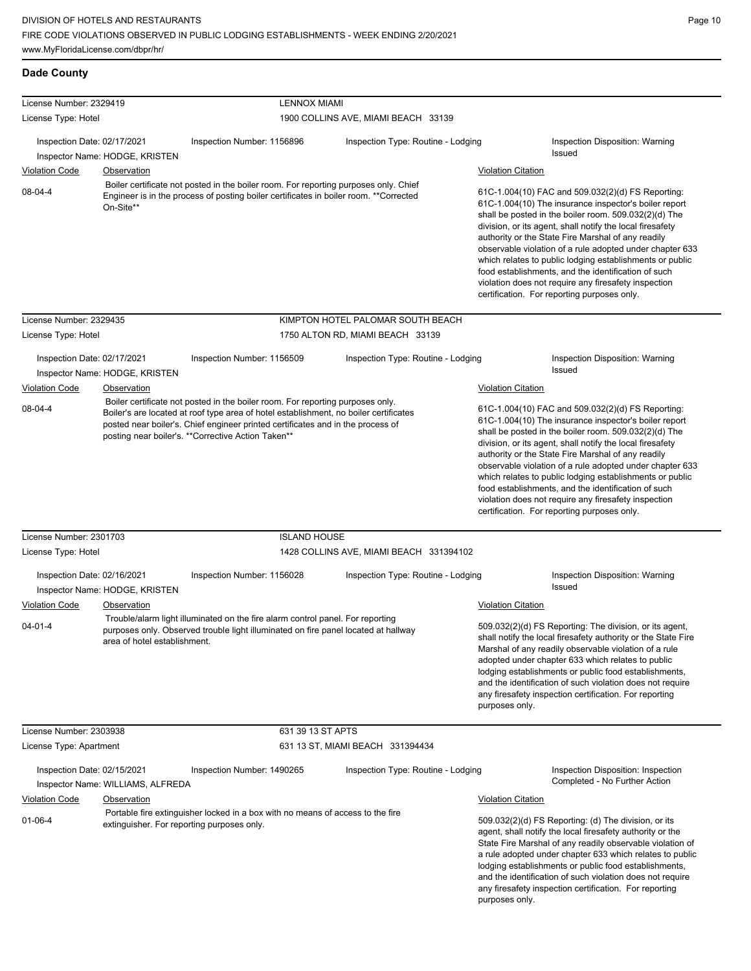| License Number: 2329419                              |                                                      | <b>LENNOX MIAMI</b>                                                                                                                                                                                                                                                                                               |                                                                                                                                                                                                                                                                                                                                                                                                                                                                                                                                                                              |                           |                                                                                                                                                                                                                                                                                                                                                                                                                                                                                                                                                                              |  |
|------------------------------------------------------|------------------------------------------------------|-------------------------------------------------------------------------------------------------------------------------------------------------------------------------------------------------------------------------------------------------------------------------------------------------------------------|------------------------------------------------------------------------------------------------------------------------------------------------------------------------------------------------------------------------------------------------------------------------------------------------------------------------------------------------------------------------------------------------------------------------------------------------------------------------------------------------------------------------------------------------------------------------------|---------------------------|------------------------------------------------------------------------------------------------------------------------------------------------------------------------------------------------------------------------------------------------------------------------------------------------------------------------------------------------------------------------------------------------------------------------------------------------------------------------------------------------------------------------------------------------------------------------------|--|
| License Type: Hotel                                  |                                                      |                                                                                                                                                                                                                                                                                                                   | 1900 COLLINS AVE, MIAMI BEACH 33139                                                                                                                                                                                                                                                                                                                                                                                                                                                                                                                                          |                           |                                                                                                                                                                                                                                                                                                                                                                                                                                                                                                                                                                              |  |
| Inspection Date: 02/17/2021                          |                                                      | Inspection Number: 1156896                                                                                                                                                                                                                                                                                        | Inspection Type: Routine - Lodging                                                                                                                                                                                                                                                                                                                                                                                                                                                                                                                                           |                           | Inspection Disposition: Warning<br>Issued                                                                                                                                                                                                                                                                                                                                                                                                                                                                                                                                    |  |
|                                                      | Inspector Name: HODGE, KRISTEN                       |                                                                                                                                                                                                                                                                                                                   |                                                                                                                                                                                                                                                                                                                                                                                                                                                                                                                                                                              |                           |                                                                                                                                                                                                                                                                                                                                                                                                                                                                                                                                                                              |  |
| <b>Violation Code</b>                                | <b>Observation</b>                                   |                                                                                                                                                                                                                                                                                                                   |                                                                                                                                                                                                                                                                                                                                                                                                                                                                                                                                                                              | <b>Violation Citation</b> |                                                                                                                                                                                                                                                                                                                                                                                                                                                                                                                                                                              |  |
| 08-04-4                                              | On-Site**                                            | Boiler certificate not posted in the boiler room. For reporting purposes only. Chief<br>Engineer is in the process of posting boiler certificates in boiler room. **Corrected                                                                                                                                     |                                                                                                                                                                                                                                                                                                                                                                                                                                                                                                                                                                              |                           | 61C-1.004(10) FAC and 509.032(2)(d) FS Reporting:<br>61C-1.004(10) The insurance inspector's boiler report<br>shall be posted in the boiler room. 509.032(2)(d) The<br>division, or its agent, shall notify the local firesafety<br>authority or the State Fire Marshal of any readily<br>observable violation of a rule adopted under chapter 633<br>which relates to public lodging establishments or public<br>food establishments, and the identification of such<br>violation does not require any firesafety inspection<br>certification. For reporting purposes only. |  |
| License Number: 2329435                              |                                                      |                                                                                                                                                                                                                                                                                                                   | KIMPTON HOTEL PALOMAR SOUTH BEACH                                                                                                                                                                                                                                                                                                                                                                                                                                                                                                                                            |                           |                                                                                                                                                                                                                                                                                                                                                                                                                                                                                                                                                                              |  |
| License Type: Hotel                                  |                                                      |                                                                                                                                                                                                                                                                                                                   | 1750 ALTON RD, MIAMI BEACH 33139                                                                                                                                                                                                                                                                                                                                                                                                                                                                                                                                             |                           |                                                                                                                                                                                                                                                                                                                                                                                                                                                                                                                                                                              |  |
| Inspection Date: 02/17/2021<br><b>Violation Code</b> | Inspector Name: HODGE, KRISTEN<br><b>Observation</b> | Inspection Number: 1156509                                                                                                                                                                                                                                                                                        | Inspection Type: Routine - Lodging                                                                                                                                                                                                                                                                                                                                                                                                                                                                                                                                           | <b>Violation Citation</b> | Inspection Disposition: Warning<br>Issued                                                                                                                                                                                                                                                                                                                                                                                                                                                                                                                                    |  |
| 08-04-4                                              |                                                      | Boiler certificate not posted in the boiler room. For reporting purposes only.<br>Boiler's are located at roof type area of hotel establishment, no boiler certificates<br>posted near boiler's. Chief engineer printed certificates and in the process of<br>posting near boiler's. ** Corrective Action Taken** | 61C-1.004(10) FAC and 509.032(2)(d) FS Reporting:<br>61C-1.004(10) The insurance inspector's boiler report<br>shall be posted in the boiler room. 509.032(2)(d) The<br>division, or its agent, shall notify the local firesafety<br>authority or the State Fire Marshal of any readily<br>observable violation of a rule adopted under chapter 633<br>which relates to public lodging establishments or public<br>food establishments, and the identification of such<br>violation does not require any firesafety inspection<br>certification. For reporting purposes only. |                           |                                                                                                                                                                                                                                                                                                                                                                                                                                                                                                                                                                              |  |
| License Number: 2301703                              |                                                      | <b>ISLAND HOUSE</b>                                                                                                                                                                                                                                                                                               |                                                                                                                                                                                                                                                                                                                                                                                                                                                                                                                                                                              |                           |                                                                                                                                                                                                                                                                                                                                                                                                                                                                                                                                                                              |  |
| License Type: Hotel                                  |                                                      |                                                                                                                                                                                                                                                                                                                   | 1428 COLLINS AVE, MIAMI BEACH 331394102                                                                                                                                                                                                                                                                                                                                                                                                                                                                                                                                      |                           |                                                                                                                                                                                                                                                                                                                                                                                                                                                                                                                                                                              |  |
| Inspection Date: 02/16/2021                          |                                                      | Inspection Number: 1156028                                                                                                                                                                                                                                                                                        | Inspection Type: Routine - Lodging                                                                                                                                                                                                                                                                                                                                                                                                                                                                                                                                           |                           | Inspection Disposition: Warning<br>Issued                                                                                                                                                                                                                                                                                                                                                                                                                                                                                                                                    |  |
|                                                      | Inspector Name: HODGE, KRISTEN                       |                                                                                                                                                                                                                                                                                                                   |                                                                                                                                                                                                                                                                                                                                                                                                                                                                                                                                                                              |                           |                                                                                                                                                                                                                                                                                                                                                                                                                                                                                                                                                                              |  |
| <b>Violation Code</b>                                | <b>Observation</b>                                   |                                                                                                                                                                                                                                                                                                                   |                                                                                                                                                                                                                                                                                                                                                                                                                                                                                                                                                                              | <b>Violation Citation</b> |                                                                                                                                                                                                                                                                                                                                                                                                                                                                                                                                                                              |  |
| $04 - 01 - 4$                                        | area of hotel establishment.                         | Trouble/alarm light illuminated on the fire alarm control panel. For reporting<br>purposes only. Observed trouble light illuminated on fire panel located at hallway                                                                                                                                              |                                                                                                                                                                                                                                                                                                                                                                                                                                                                                                                                                                              | purposes only.            | 509.032(2)(d) FS Reporting: The division, or its agent,<br>shall notify the local firesafety authority or the State Fire<br>Marshal of any readily observable violation of a rule<br>adopted under chapter 633 which relates to public<br>lodging establishments or public food establishments,<br>and the identification of such violation does not require<br>any firesafety inspection certification. For reporting                                                                                                                                                       |  |
| License Number: 2303938                              |                                                      | 631 39 13 ST APTS                                                                                                                                                                                                                                                                                                 |                                                                                                                                                                                                                                                                                                                                                                                                                                                                                                                                                                              |                           |                                                                                                                                                                                                                                                                                                                                                                                                                                                                                                                                                                              |  |
| License Type: Apartment                              |                                                      |                                                                                                                                                                                                                                                                                                                   | 631 13 ST, MIAMI BEACH 331394434                                                                                                                                                                                                                                                                                                                                                                                                                                                                                                                                             |                           |                                                                                                                                                                                                                                                                                                                                                                                                                                                                                                                                                                              |  |
| Inspection Date: 02/15/2021                          | Inspector Name: WILLIAMS, ALFREDA                    | Inspection Number: 1490265                                                                                                                                                                                                                                                                                        | Inspection Type: Routine - Lodging                                                                                                                                                                                                                                                                                                                                                                                                                                                                                                                                           |                           | Inspection Disposition: Inspection<br>Completed - No Further Action                                                                                                                                                                                                                                                                                                                                                                                                                                                                                                          |  |
| <b>Violation Code</b>                                | Observation                                          |                                                                                                                                                                                                                                                                                                                   |                                                                                                                                                                                                                                                                                                                                                                                                                                                                                                                                                                              | <b>Violation Citation</b> |                                                                                                                                                                                                                                                                                                                                                                                                                                                                                                                                                                              |  |
| $01 - 06 - 4$                                        |                                                      | Portable fire extinguisher locked in a box with no means of access to the fire<br>extinguisher. For reporting purposes only.                                                                                                                                                                                      |                                                                                                                                                                                                                                                                                                                                                                                                                                                                                                                                                                              | purposes only.            | 509.032(2)(d) FS Reporting: (d) The division, or its<br>agent, shall notify the local firesafety authority or the<br>State Fire Marshal of any readily observable violation of<br>a rule adopted under chapter 633 which relates to public<br>lodging establishments or public food establishments,<br>and the identification of such violation does not require<br>any firesafety inspection certification. For reporting                                                                                                                                                   |  |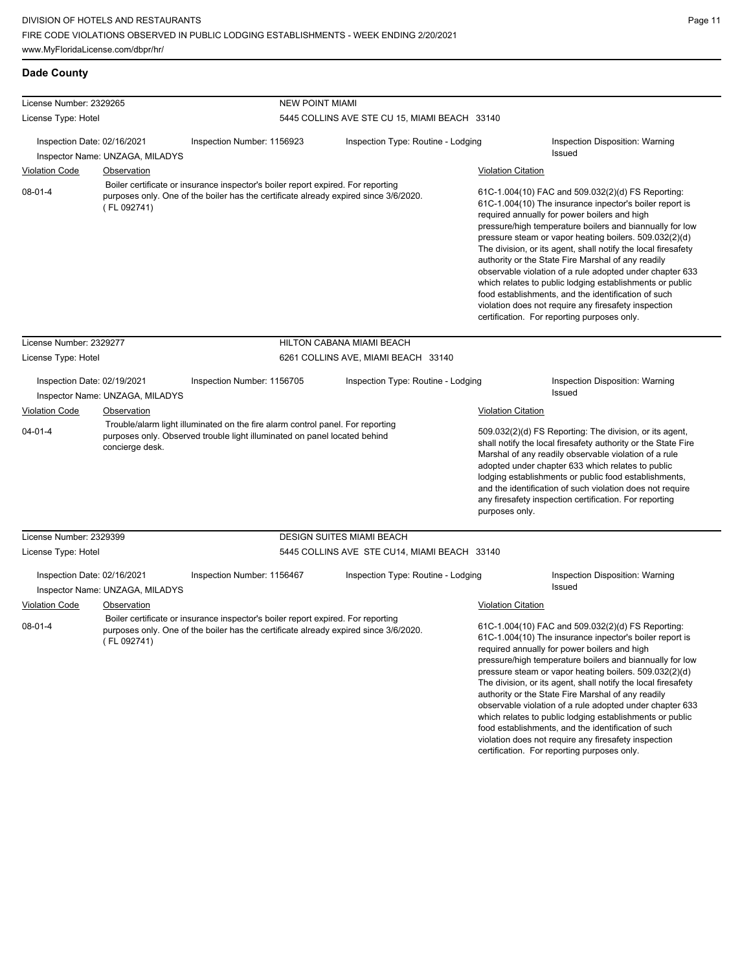certification. For reporting purposes only.

Page 11

| <b>Dade County</b>      |  |
|-------------------------|--|
| Licanea Numhar: 2320265 |  |

| License Number: 2329265                |                                 | <b>NEW POINT MIAMI</b>                                                                                                                                                   |                                               |                                             |                                                                                                                                                                                                                                                                                                                                                                                                                                                                                                                                                                                                                                                                                                 |  |
|----------------------------------------|---------------------------------|--------------------------------------------------------------------------------------------------------------------------------------------------------------------------|-----------------------------------------------|---------------------------------------------|-------------------------------------------------------------------------------------------------------------------------------------------------------------------------------------------------------------------------------------------------------------------------------------------------------------------------------------------------------------------------------------------------------------------------------------------------------------------------------------------------------------------------------------------------------------------------------------------------------------------------------------------------------------------------------------------------|--|
| License Type: Hotel                    |                                 |                                                                                                                                                                          | 5445 COLLINS AVE STE CU 15, MIAMI BEACH 33140 |                                             |                                                                                                                                                                                                                                                                                                                                                                                                                                                                                                                                                                                                                                                                                                 |  |
| Inspection Date: 02/16/2021            | Inspector Name: UNZAGA, MILADYS | Inspection Number: 1156923                                                                                                                                               | Inspection Type: Routine - Lodging            |                                             | Inspection Disposition: Warning<br>Issued                                                                                                                                                                                                                                                                                                                                                                                                                                                                                                                                                                                                                                                       |  |
| <b>Violation Code</b>                  | <b>Observation</b>              |                                                                                                                                                                          |                                               | <b>Violation Citation</b>                   |                                                                                                                                                                                                                                                                                                                                                                                                                                                                                                                                                                                                                                                                                                 |  |
| $08 - 01 - 4$                          | (FL 092741)                     | Boiler certificate or insurance inspector's boiler report expired. For reporting<br>purposes only. One of the boiler has the certificate already expired since 3/6/2020. |                                               |                                             | 61C-1.004(10) FAC and 509.032(2)(d) FS Reporting:<br>61C-1.004(10) The insurance inpector's boiler report is<br>required annually for power boilers and high<br>pressure/high temperature boilers and biannually for low<br>pressure steam or vapor heating boilers. 509.032(2)(d)<br>The division, or its agent, shall notify the local firesafety<br>authority or the State Fire Marshal of any readily<br>observable violation of a rule adopted under chapter 633<br>which relates to public lodging establishments or public<br>food establishments, and the identification of such<br>violation does not require any firesafety inspection<br>certification. For reporting purposes only. |  |
| License Number: 2329277                |                                 |                                                                                                                                                                          | HILTON CABANA MIAMI BEACH                     |                                             |                                                                                                                                                                                                                                                                                                                                                                                                                                                                                                                                                                                                                                                                                                 |  |
| License Type: Hotel                    |                                 |                                                                                                                                                                          | 6261 COLLINS AVE, MIAMI BEACH 33140           |                                             |                                                                                                                                                                                                                                                                                                                                                                                                                                                                                                                                                                                                                                                                                                 |  |
| Inspection Date: 02/19/2021            | Inspector Name: UNZAGA, MILADYS | Inspection Number: 1156705                                                                                                                                               | Inspection Type: Routine - Lodging            |                                             | Inspection Disposition: Warning<br>Issued                                                                                                                                                                                                                                                                                                                                                                                                                                                                                                                                                                                                                                                       |  |
| <b>Violation Code</b><br>$04 - 01 - 4$ | Observation<br>concierge desk.  | Trouble/alarm light illuminated on the fire alarm control panel. For reporting<br>purposes only. Observed trouble light illuminated on panel located behind              |                                               | <b>Violation Citation</b><br>purposes only. | 509.032(2)(d) FS Reporting: The division, or its agent,<br>shall notify the local firesafety authority or the State Fire<br>Marshal of any readily observable violation of a rule<br>adopted under chapter 633 which relates to public<br>lodging establishments or public food establishments,<br>and the identification of such violation does not require<br>any firesafety inspection certification. For reporting                                                                                                                                                                                                                                                                          |  |
| License Number: 2329399                |                                 |                                                                                                                                                                          | <b>DESIGN SUITES MIAMI BEACH</b>              |                                             |                                                                                                                                                                                                                                                                                                                                                                                                                                                                                                                                                                                                                                                                                                 |  |
| License Type: Hotel                    |                                 |                                                                                                                                                                          | 5445 COLLINS AVE STE CU14, MIAMI BEACH 33140  |                                             |                                                                                                                                                                                                                                                                                                                                                                                                                                                                                                                                                                                                                                                                                                 |  |
| Inspection Date: 02/16/2021            | Inspector Name: UNZAGA, MILADYS | Inspection Number: 1156467                                                                                                                                               | Inspection Type: Routine - Lodging            |                                             | Inspection Disposition: Warning<br>Issued                                                                                                                                                                                                                                                                                                                                                                                                                                                                                                                                                                                                                                                       |  |
| <b>Violation Code</b>                  | <b>Observation</b>              |                                                                                                                                                                          |                                               | <b>Violation Citation</b>                   |                                                                                                                                                                                                                                                                                                                                                                                                                                                                                                                                                                                                                                                                                                 |  |
| $08 - 01 - 4$                          | (FL 092741)                     | Boiler certificate or insurance inspector's boiler report expired. For reporting<br>purposes only. One of the boiler has the certificate already expired since 3/6/2020. |                                               |                                             | 61C-1.004(10) FAC and 509.032(2)(d) FS Reporting:<br>61C-1.004(10) The insurance inpector's boiler report is<br>required annually for power boilers and high<br>pressure/high temperature boilers and biannually for low<br>pressure steam or vapor heating boilers. 509.032(2)(d)<br>The division, or its agent, shall notify the local firesafety<br>authority or the State Fire Marshal of any readily<br>observable violation of a rule adopted under chapter 633<br>which relates to public lodging establishments or public<br>food establishments, and the identification of such<br>violation does not require any firesafety inspection                                                |  |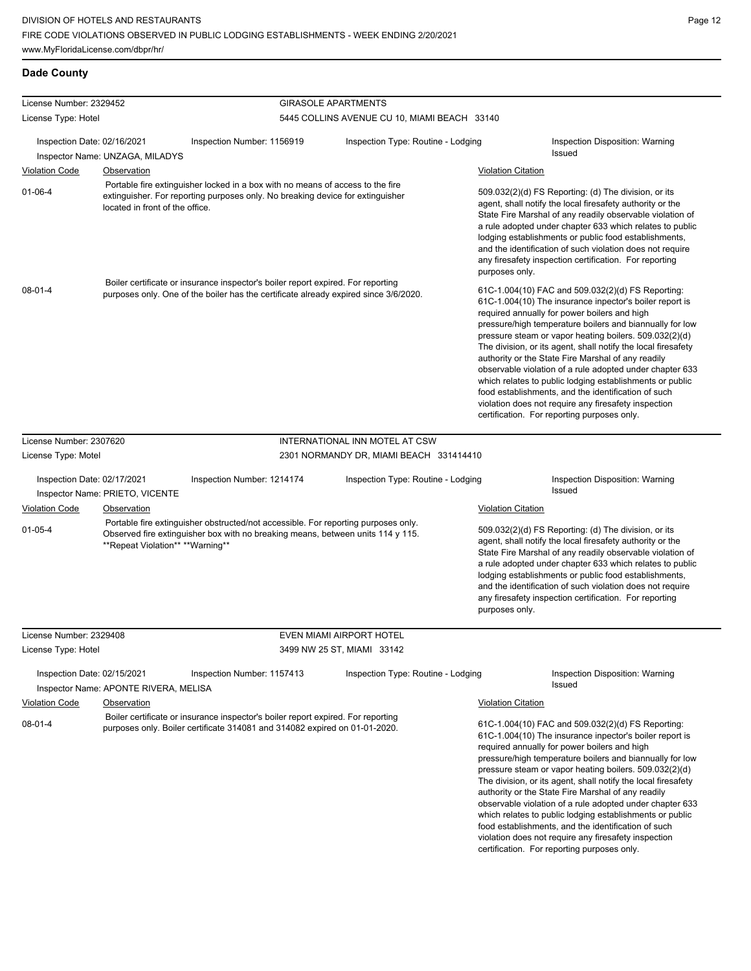| License Number: 2329452     |                                                |                                                                                                                                                                          | <b>GIRASOLE APARTMENTS</b>                   |                           |                                                                                                                                                                                                                                                                                                                                                                                                                                                                                                                                                                                                                                                                                                 |
|-----------------------------|------------------------------------------------|--------------------------------------------------------------------------------------------------------------------------------------------------------------------------|----------------------------------------------|---------------------------|-------------------------------------------------------------------------------------------------------------------------------------------------------------------------------------------------------------------------------------------------------------------------------------------------------------------------------------------------------------------------------------------------------------------------------------------------------------------------------------------------------------------------------------------------------------------------------------------------------------------------------------------------------------------------------------------------|
| License Type: Hotel         |                                                |                                                                                                                                                                          | 5445 COLLINS AVENUE CU 10, MIAMI BEACH 33140 |                           |                                                                                                                                                                                                                                                                                                                                                                                                                                                                                                                                                                                                                                                                                                 |
| Inspection Date: 02/16/2021 |                                                | Inspection Number: 1156919                                                                                                                                               | Inspection Type: Routine - Lodging           |                           | Inspection Disposition: Warning<br>Issued                                                                                                                                                                                                                                                                                                                                                                                                                                                                                                                                                                                                                                                       |
| <b>Violation Code</b>       | Inspector Name: UNZAGA, MILADYS                |                                                                                                                                                                          |                                              |                           |                                                                                                                                                                                                                                                                                                                                                                                                                                                                                                                                                                                                                                                                                                 |
| $01 - 06 - 4$               | Observation<br>located in front of the office. | Portable fire extinguisher locked in a box with no means of access to the fire<br>extinguisher. For reporting purposes only. No breaking device for extinguisher         |                                              | <b>Violation Citation</b> | 509.032(2)(d) FS Reporting: (d) The division, or its<br>agent, shall notify the local firesafety authority or the<br>State Fire Marshal of any readily observable violation of<br>a rule adopted under chapter 633 which relates to public<br>lodging establishments or public food establishments,                                                                                                                                                                                                                                                                                                                                                                                             |
|                             |                                                |                                                                                                                                                                          |                                              | purposes only.            | and the identification of such violation does not require<br>any firesafety inspection certification. For reporting                                                                                                                                                                                                                                                                                                                                                                                                                                                                                                                                                                             |
| $08 - 01 - 4$               |                                                | Boiler certificate or insurance inspector's boiler report expired. For reporting<br>purposes only. One of the boiler has the certificate already expired since 3/6/2020. |                                              |                           | 61C-1.004(10) FAC and 509.032(2)(d) FS Reporting:<br>61C-1.004(10) The insurance inpector's boiler report is<br>required annually for power boilers and high<br>pressure/high temperature boilers and biannually for low<br>pressure steam or vapor heating boilers. 509.032(2)(d)<br>The division, or its agent, shall notify the local firesafety<br>authority or the State Fire Marshal of any readily<br>observable violation of a rule adopted under chapter 633<br>which relates to public lodging establishments or public<br>food establishments, and the identification of such<br>violation does not require any firesafety inspection<br>certification. For reporting purposes only. |
| License Number: 2307620     |                                                |                                                                                                                                                                          | INTERNATIONAL INN MOTEL AT CSW               |                           |                                                                                                                                                                                                                                                                                                                                                                                                                                                                                                                                                                                                                                                                                                 |
| License Type: Motel         |                                                |                                                                                                                                                                          | 2301 NORMANDY DR, MIAMI BEACH 331414410      |                           |                                                                                                                                                                                                                                                                                                                                                                                                                                                                                                                                                                                                                                                                                                 |
| Inspection Date: 02/17/2021 | Inspector Name: PRIETO, VICENTE                | Inspection Number: 1214174                                                                                                                                               | Inspection Type: Routine - Lodging           |                           | Inspection Disposition: Warning<br>Issued                                                                                                                                                                                                                                                                                                                                                                                                                                                                                                                                                                                                                                                       |
| <b>Violation Code</b>       | Observation                                    |                                                                                                                                                                          |                                              | <b>Violation Citation</b> |                                                                                                                                                                                                                                                                                                                                                                                                                                                                                                                                                                                                                                                                                                 |
| $01 - 05 - 4$               | **Repeat Violation** **Warning**               | Portable fire extinguisher obstructed/not accessible. For reporting purposes only.<br>Observed fire extinguisher box with no breaking means, between units 114 y 115.    |                                              | purposes only.            | 509.032(2)(d) FS Reporting: (d) The division, or its<br>agent, shall notify the local firesafety authority or the<br>State Fire Marshal of any readily observable violation of<br>a rule adopted under chapter 633 which relates to public<br>lodging establishments or public food establishments,<br>and the identification of such violation does not require<br>any firesafety inspection certification. For reporting                                                                                                                                                                                                                                                                      |
| License Number: 2329408     |                                                |                                                                                                                                                                          | EVEN MIAMI AIRPORT HOTEL                     |                           |                                                                                                                                                                                                                                                                                                                                                                                                                                                                                                                                                                                                                                                                                                 |
| License Type: Hotel         |                                                |                                                                                                                                                                          | 3499 NW 25 ST, MIAMI 33142                   |                           |                                                                                                                                                                                                                                                                                                                                                                                                                                                                                                                                                                                                                                                                                                 |
| Inspection Date: 02/15/2021 | Inspector Name: APONTE RIVERA, MELISA          | Inspection Number: 1157413                                                                                                                                               | Inspection Type: Routine - Lodging           |                           | <b>Inspection Disposition: Warning</b><br>Issued                                                                                                                                                                                                                                                                                                                                                                                                                                                                                                                                                                                                                                                |
| <b>Violation Code</b>       | Observation                                    |                                                                                                                                                                          |                                              | <b>Violation Citation</b> |                                                                                                                                                                                                                                                                                                                                                                                                                                                                                                                                                                                                                                                                                                 |
| $08 - 01 - 4$               |                                                | Boiler certificate or insurance inspector's boiler report expired. For reporting<br>purposes only. Boiler certificate 314081 and 314082 expired on 01-01-2020.           |                                              |                           | 61C-1.004(10) FAC and 509.032(2)(d) FS Reporting:<br>61C-1.004(10) The insurance inpector's boiler report is<br>required annually for power boilers and high<br>pressure/high temperature boilers and biannually for low<br>pressure steam or vapor heating boilers. 509.032(2)(d)<br>The division, or its agent, shall notify the local firesafety<br>authority or the State Fire Marshal of any readily<br>observable violation of a rule adopted under chapter 633<br>which relates to public lodging establishments or public<br>food establishments, and the identification of such                                                                                                        |

violation does not require any firesafety inspection certification. For reporting purposes only.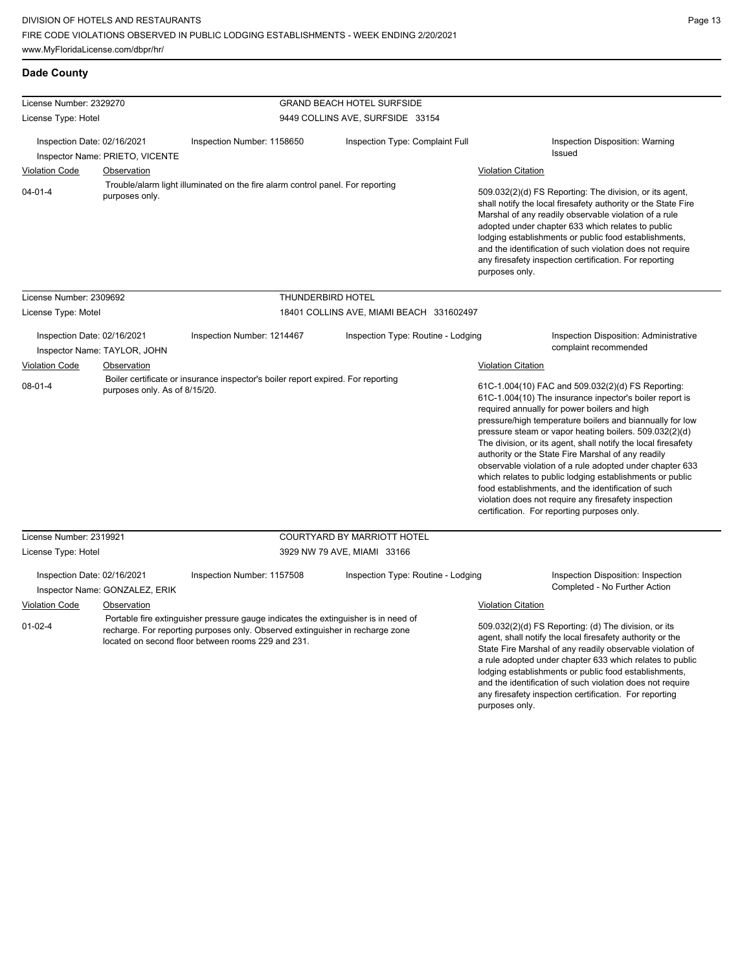any firesafety inspection certification. For reporting

|  | Dade County |  |
|--|-------------|--|
|--|-------------|--|

| License Number: 2329270                                               |                                                                         |                                                                                                                                                                                                                           | <b>GRAND BEACH HOTEL SURFSIDE</b>        |                                                                                                                                                                                                                                                                                                                                                                                                                                                                                                                                                                                                                                                                                                 |
|-----------------------------------------------------------------------|-------------------------------------------------------------------------|---------------------------------------------------------------------------------------------------------------------------------------------------------------------------------------------------------------------------|------------------------------------------|-------------------------------------------------------------------------------------------------------------------------------------------------------------------------------------------------------------------------------------------------------------------------------------------------------------------------------------------------------------------------------------------------------------------------------------------------------------------------------------------------------------------------------------------------------------------------------------------------------------------------------------------------------------------------------------------------|
| License Type: Hotel                                                   |                                                                         | 9449 COLLINS AVE, SURFSIDE 33154                                                                                                                                                                                          |                                          |                                                                                                                                                                                                                                                                                                                                                                                                                                                                                                                                                                                                                                                                                                 |
| Inspection Date: 02/16/2021<br><b>Violation Code</b><br>$04 - 01 - 4$ | Inspector Name: PRIETO, VICENTE<br><b>Observation</b><br>purposes only. | Inspection Number: 1158650<br>Trouble/alarm light illuminated on the fire alarm control panel. For reporting                                                                                                              | Inspection Type: Complaint Full          | Inspection Disposition: Warning<br><b>Issued</b><br><b>Violation Citation</b><br>509.032(2)(d) FS Reporting: The division, or its agent,<br>shall notify the local firesafety authority or the State Fire<br>Marshal of any readily observable violation of a rule<br>adopted under chapter 633 which relates to public<br>lodging establishments or public food establishments,<br>and the identification of such violation does not require<br>any firesafety inspection certification. For reporting<br>purposes only.                                                                                                                                                                       |
| License Number: 2309692                                               |                                                                         | THUNDERBIRD HOTEL                                                                                                                                                                                                         |                                          |                                                                                                                                                                                                                                                                                                                                                                                                                                                                                                                                                                                                                                                                                                 |
| License Type: Motel                                                   |                                                                         |                                                                                                                                                                                                                           | 18401 COLLINS AVE, MIAMI BEACH 331602497 |                                                                                                                                                                                                                                                                                                                                                                                                                                                                                                                                                                                                                                                                                                 |
| Inspection Date: 02/16/2021                                           | Inspector Name: TAYLOR, JOHN                                            | Inspection Number: 1214467                                                                                                                                                                                                | Inspection Type: Routine - Lodging       | Inspection Disposition: Administrative<br>complaint recommended                                                                                                                                                                                                                                                                                                                                                                                                                                                                                                                                                                                                                                 |
| <b>Violation Code</b>                                                 | <b>Observation</b>                                                      |                                                                                                                                                                                                                           |                                          | <b>Violation Citation</b>                                                                                                                                                                                                                                                                                                                                                                                                                                                                                                                                                                                                                                                                       |
| $08 - 01 - 4$                                                         | purposes only. As of 8/15/20.                                           | Boiler certificate or insurance inspector's boiler report expired. For reporting                                                                                                                                          |                                          | 61C-1.004(10) FAC and 509.032(2)(d) FS Reporting:<br>61C-1.004(10) The insurance inpector's boiler report is<br>required annually for power boilers and high<br>pressure/high temperature boilers and biannually for low<br>pressure steam or vapor heating boilers. 509.032(2)(d)<br>The division, or its agent, shall notify the local firesafety<br>authority or the State Fire Marshal of any readily<br>observable violation of a rule adopted under chapter 633<br>which relates to public lodging establishments or public<br>food establishments, and the identification of such<br>violation does not require any firesafety inspection<br>certification. For reporting purposes only. |
| License Number: 2319921                                               |                                                                         |                                                                                                                                                                                                                           | <b>COURTYARD BY MARRIOTT HOTEL</b>       |                                                                                                                                                                                                                                                                                                                                                                                                                                                                                                                                                                                                                                                                                                 |
| License Type: Hotel                                                   |                                                                         |                                                                                                                                                                                                                           | 3929 NW 79 AVE, MIAMI 33166              |                                                                                                                                                                                                                                                                                                                                                                                                                                                                                                                                                                                                                                                                                                 |
| Inspection Date: 02/16/2021                                           | Inspector Name: GONZALEZ, ERIK                                          | Inspection Number: 1157508                                                                                                                                                                                                | Inspection Type: Routine - Lodging       | Inspection Disposition: Inspection<br>Completed - No Further Action                                                                                                                                                                                                                                                                                                                                                                                                                                                                                                                                                                                                                             |
| <b>Violation Code</b>                                                 | Observation                                                             |                                                                                                                                                                                                                           |                                          | <b>Violation Citation</b>                                                                                                                                                                                                                                                                                                                                                                                                                                                                                                                                                                                                                                                                       |
| $01 - 02 - 4$                                                         |                                                                         | Portable fire extinguisher pressure gauge indicates the extinguisher is in need of<br>recharge. For reporting purposes only. Observed extinguisher in recharge zone<br>located on second floor between rooms 229 and 231. |                                          | 509.032(2)(d) FS Reporting: (d) The division, or its<br>agent, shall notify the local firesafety authority or the<br>State Fire Marshal of any readily observable violation of<br>a rule adopted under chapter 633 which relates to public<br>lodging establishments or public food establishments,<br>and the identification of such violation does not require                                                                                                                                                                                                                                                                                                                                |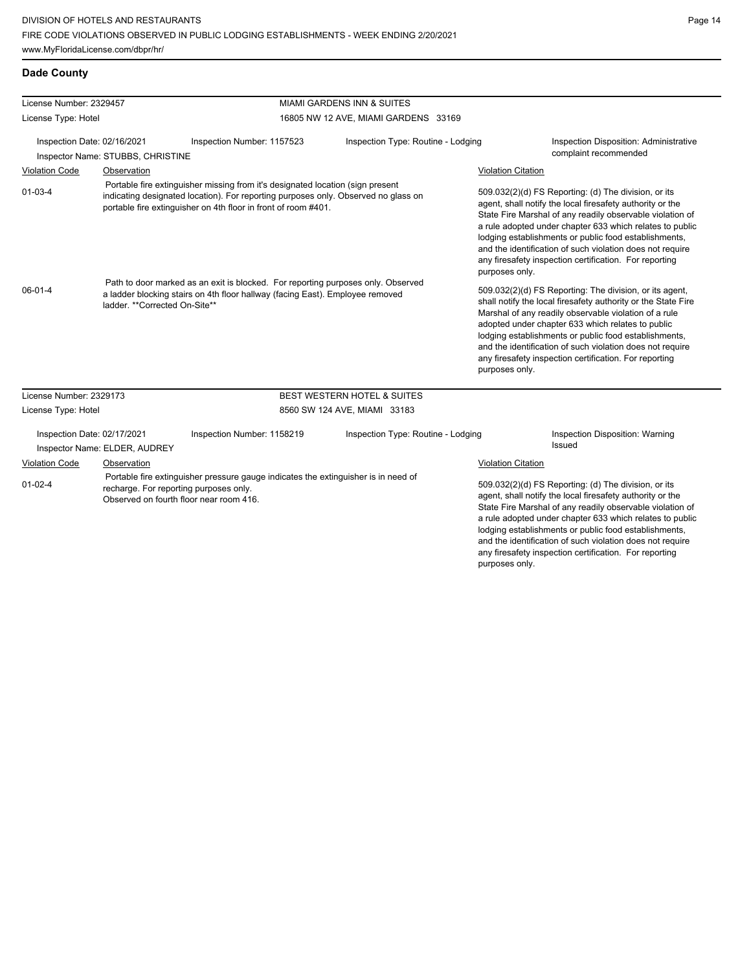| License Number: 2329457     |                                   |                                                                                                                                                                         | <b>MIAMI GARDENS INN &amp; SUITES</b>                                                                                                                                |                           |                                                                                                                                                                                                                                                                                                                                                                                                                                              |
|-----------------------------|-----------------------------------|-------------------------------------------------------------------------------------------------------------------------------------------------------------------------|----------------------------------------------------------------------------------------------------------------------------------------------------------------------|---------------------------|----------------------------------------------------------------------------------------------------------------------------------------------------------------------------------------------------------------------------------------------------------------------------------------------------------------------------------------------------------------------------------------------------------------------------------------------|
| License Type: Hotel         |                                   |                                                                                                                                                                         | 16805 NW 12 AVE, MIAMI GARDENS 33169                                                                                                                                 |                           |                                                                                                                                                                                                                                                                                                                                                                                                                                              |
| Inspection Date: 02/16/2021 | Inspector Name: STUBBS, CHRISTINE | Inspection Number: 1157523                                                                                                                                              | Inspection Type: Routine - Lodging                                                                                                                                   |                           | Inspection Disposition: Administrative<br>complaint recommended                                                                                                                                                                                                                                                                                                                                                                              |
| <b>Violation Code</b>       | Observation                       |                                                                                                                                                                         |                                                                                                                                                                      | <b>Violation Citation</b> |                                                                                                                                                                                                                                                                                                                                                                                                                                              |
| $01 - 03 - 4$               |                                   | portable fire extinguisher on 4th floor in front of room #401.                                                                                                          | Portable fire extinguisher missing from it's designated location (sign present<br>indicating designated location). For reporting purposes only. Observed no glass on |                           | 509.032(2)(d) FS Reporting: (d) The division, or its<br>agent, shall notify the local firesafety authority or the<br>State Fire Marshal of any readily observable violation of<br>a rule adopted under chapter 633 which relates to public<br>lodging establishments or public food establishments,<br>and the identification of such violation does not require<br>any firesafety inspection certification. For reporting<br>purposes only. |
| $06 - 01 - 4$               | ladder. ** Corrected On-Site**    | Path to door marked as an exit is blocked. For reporting purposes only. Observed<br>a ladder blocking stairs on 4th floor hallway (facing East). Employee removed       |                                                                                                                                                                      | purposes only.            | 509.032(2)(d) FS Reporting: The division, or its agent,<br>shall notify the local firesafety authority or the State Fire<br>Marshal of any readily observable violation of a rule<br>adopted under chapter 633 which relates to public<br>lodging establishments or public food establishments,<br>and the identification of such violation does not require<br>any firesafety inspection certification. For reporting                       |
| License Number: 2329173     |                                   |                                                                                                                                                                         | <b>BEST WESTERN HOTEL &amp; SUITES</b>                                                                                                                               |                           |                                                                                                                                                                                                                                                                                                                                                                                                                                              |
| License Type: Hotel         |                                   |                                                                                                                                                                         | 8560 SW 124 AVE, MIAMI 33183                                                                                                                                         |                           |                                                                                                                                                                                                                                                                                                                                                                                                                                              |
| Inspection Date: 02/17/2021 | Inspector Name: ELDER, AUDREY     | Inspection Number: 1158219                                                                                                                                              | Inspection Type: Routine - Lodging                                                                                                                                   |                           | Inspection Disposition: Warning<br>Issued                                                                                                                                                                                                                                                                                                                                                                                                    |
| <b>Violation Code</b>       | Observation                       |                                                                                                                                                                         |                                                                                                                                                                      | <b>Violation Citation</b> |                                                                                                                                                                                                                                                                                                                                                                                                                                              |
| $01 - 02 - 4$               |                                   | Portable fire extinguisher pressure gauge indicates the extinguisher is in need of<br>recharge. For reporting purposes only.<br>Observed on fourth floor near room 416. |                                                                                                                                                                      |                           | 509.032(2)(d) FS Reporting: (d) The division, or its<br>agent, shall notify the local firesafety authority or the<br>State Fire Marshal of any readily observable violation of<br>a rule adopted under chapter 633 which relates to public<br>lodging establishments or public food establishments,<br>and the identification of such violation does not require<br>any firesafety inspection certification. For reporting                   |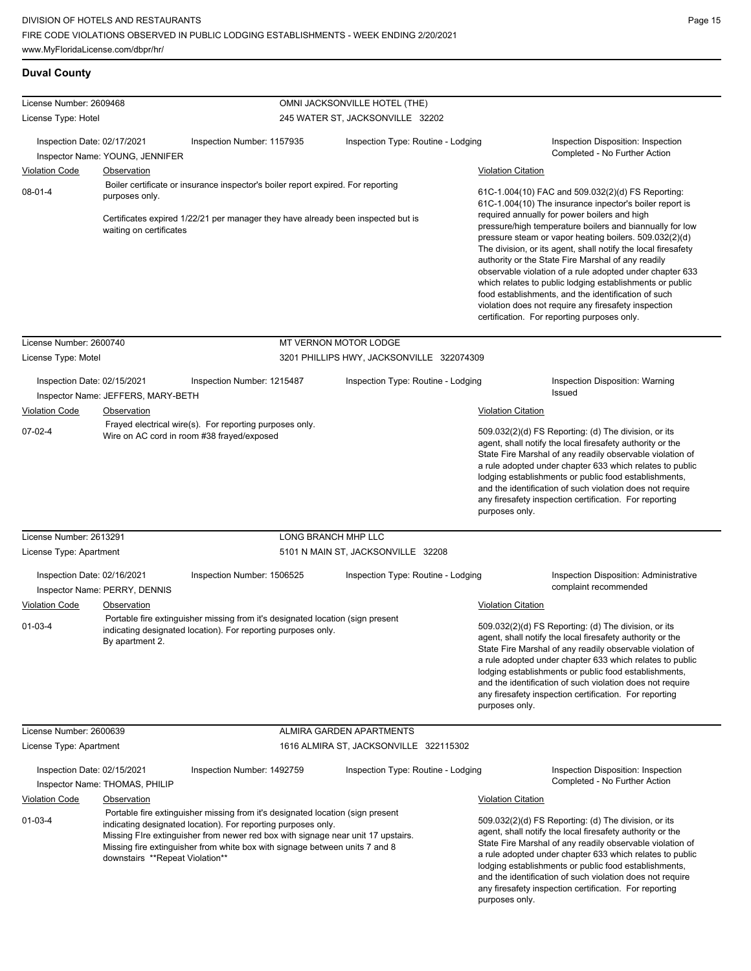| License Number: 2609468                                                                                             |                                                |                                                                                                                                                                                                                                                                                                                    | OMNI JACKSONVILLE HOTEL (THE)             |                                                                                                                                                                                                                                                                                                                                                                                                                                                                                                                                                                                                                                                                                                 |  |  |
|---------------------------------------------------------------------------------------------------------------------|------------------------------------------------|--------------------------------------------------------------------------------------------------------------------------------------------------------------------------------------------------------------------------------------------------------------------------------------------------------------------|-------------------------------------------|-------------------------------------------------------------------------------------------------------------------------------------------------------------------------------------------------------------------------------------------------------------------------------------------------------------------------------------------------------------------------------------------------------------------------------------------------------------------------------------------------------------------------------------------------------------------------------------------------------------------------------------------------------------------------------------------------|--|--|
| License Type: Hotel                                                                                                 |                                                |                                                                                                                                                                                                                                                                                                                    | 245 WATER ST, JACKSONVILLE 32202          |                                                                                                                                                                                                                                                                                                                                                                                                                                                                                                                                                                                                                                                                                                 |  |  |
| Inspection Date: 02/17/2021                                                                                         |                                                | Inspection Number: 1157935                                                                                                                                                                                                                                                                                         | Inspection Type: Routine - Lodging        | Inspection Disposition: Inspection<br>Completed - No Further Action                                                                                                                                                                                                                                                                                                                                                                                                                                                                                                                                                                                                                             |  |  |
| <b>Violation Code</b>                                                                                               | Inspector Name: YOUNG, JENNIFER<br>Observation |                                                                                                                                                                                                                                                                                                                    |                                           | <b>Violation Citation</b>                                                                                                                                                                                                                                                                                                                                                                                                                                                                                                                                                                                                                                                                       |  |  |
| $08-01-4$<br>purposes only.<br>waiting on certificates                                                              |                                                | Boiler certificate or insurance inspector's boiler report expired. For reporting<br>Certificates expired 1/22/21 per manager they have already been inspected but is                                                                                                                                               |                                           | 61C-1.004(10) FAC and 509.032(2)(d) FS Reporting:<br>61C-1.004(10) The insurance inpector's boiler report is<br>required annually for power boilers and high<br>pressure/high temperature boilers and biannually for low<br>pressure steam or vapor heating boilers. 509.032(2)(d)<br>The division, or its agent, shall notify the local firesafety<br>authority or the State Fire Marshal of any readily<br>observable violation of a rule adopted under chapter 633<br>which relates to public lodging establishments or public<br>food establishments, and the identification of such<br>violation does not require any firesafety inspection<br>certification. For reporting purposes only. |  |  |
| License Number: 2600740                                                                                             |                                                |                                                                                                                                                                                                                                                                                                                    | MT VERNON MOTOR LODGE                     |                                                                                                                                                                                                                                                                                                                                                                                                                                                                                                                                                                                                                                                                                                 |  |  |
| License Type: Motel                                                                                                 |                                                |                                                                                                                                                                                                                                                                                                                    | 3201 PHILLIPS HWY, JACKSONVILLE 322074309 |                                                                                                                                                                                                                                                                                                                                                                                                                                                                                                                                                                                                                                                                                                 |  |  |
| Inspection Date: 02/15/2021<br>Inspector Name: JEFFERS, MARY-BETH<br>Violation Code<br>Observation<br>$07 - 02 - 4$ |                                                | Inspection Number: 1215487                                                                                                                                                                                                                                                                                         | Inspection Type: Routine - Lodging        | Inspection Disposition: Warning<br>Issued                                                                                                                                                                                                                                                                                                                                                                                                                                                                                                                                                                                                                                                       |  |  |
|                                                                                                                     |                                                | Frayed electrical wire(s). For reporting purposes only.<br>Wire on AC cord in room #38 frayed/exposed                                                                                                                                                                                                              |                                           | <b>Violation Citation</b><br>509.032(2)(d) FS Reporting: (d) The division, or its<br>agent, shall notify the local firesafety authority or the<br>State Fire Marshal of any readily observable violation of<br>a rule adopted under chapter 633 which relates to public<br>lodging establishments or public food establishments,<br>and the identification of such violation does not require<br>any firesafety inspection certification. For reporting<br>purposes only.                                                                                                                                                                                                                       |  |  |
| License Number: 2613291                                                                                             |                                                |                                                                                                                                                                                                                                                                                                                    | LONG BRANCH MHP LLC                       |                                                                                                                                                                                                                                                                                                                                                                                                                                                                                                                                                                                                                                                                                                 |  |  |
| License Type: Apartment                                                                                             |                                                |                                                                                                                                                                                                                                                                                                                    | 5101 N MAIN ST, JACKSONVILLE 32208        |                                                                                                                                                                                                                                                                                                                                                                                                                                                                                                                                                                                                                                                                                                 |  |  |
| Inspection Date: 02/16/2021                                                                                         | Inspector Name: PERRY, DENNIS                  | Inspection Number: 1506525                                                                                                                                                                                                                                                                                         | Inspection Type: Routine - Lodging        | Inspection Disposition: Administrative<br>complaint recommended                                                                                                                                                                                                                                                                                                                                                                                                                                                                                                                                                                                                                                 |  |  |
| <b>Violation Code</b>                                                                                               | Observation                                    |                                                                                                                                                                                                                                                                                                                    |                                           | <b>Violation Citation</b>                                                                                                                                                                                                                                                                                                                                                                                                                                                                                                                                                                                                                                                                       |  |  |
| $01 - 03 - 4$                                                                                                       | By apartment 2.                                | Portable fire extinguisher missing from it's designated location (sign present<br>indicating designated location). For reporting purposes only.                                                                                                                                                                    |                                           | 509.032(2)(d) FS Reporting: (d) The division, or its<br>agent, shall notify the local firesafety authority or the<br>State Fire Marshal of any readily observable violation of<br>a rule adopted under chapter 633 which relates to public<br>lodging establishments or public food establishments,<br>and the identification of such violation does not require<br>any firesafety inspection certification. For reporting<br>purposes only.                                                                                                                                                                                                                                                    |  |  |
| License Number: 2600639                                                                                             |                                                |                                                                                                                                                                                                                                                                                                                    | ALMIRA GARDEN APARTMENTS                  |                                                                                                                                                                                                                                                                                                                                                                                                                                                                                                                                                                                                                                                                                                 |  |  |
| License Type: Apartment                                                                                             |                                                |                                                                                                                                                                                                                                                                                                                    | 1616 ALMIRA ST, JACKSONVILLE 322115302    |                                                                                                                                                                                                                                                                                                                                                                                                                                                                                                                                                                                                                                                                                                 |  |  |
| Inspection Date: 02/15/2021                                                                                         | Inspector Name: THOMAS, PHILIP                 | Inspection Number: 1492759                                                                                                                                                                                                                                                                                         | Inspection Type: Routine - Lodging        | Inspection Disposition: Inspection<br>Completed - No Further Action                                                                                                                                                                                                                                                                                                                                                                                                                                                                                                                                                                                                                             |  |  |
| <b>Violation Code</b>                                                                                               | <b>Observation</b>                             |                                                                                                                                                                                                                                                                                                                    |                                           | <b>Violation Citation</b>                                                                                                                                                                                                                                                                                                                                                                                                                                                                                                                                                                                                                                                                       |  |  |
| $01 - 03 - 4$                                                                                                       | downstairs **Repeat Violation**                | Portable fire extinguisher missing from it's designated location (sign present<br>indicating designated location). For reporting purposes only.<br>Missing Fire extinguisher from newer red box with signage near unit 17 upstairs.<br>Missing fire extinguisher from white box with signage between units 7 and 8 |                                           | 509.032(2)(d) FS Reporting: (d) The division, or its<br>agent, shall notify the local firesafety authority or the<br>State Fire Marshal of any readily observable violation of<br>a rule adopted under chapter 633 which relates to public<br>lodging establishments or public food establishments,<br>and the identification of such violation does not require<br>any firesafety inspection certification. For reporting                                                                                                                                                                                                                                                                      |  |  |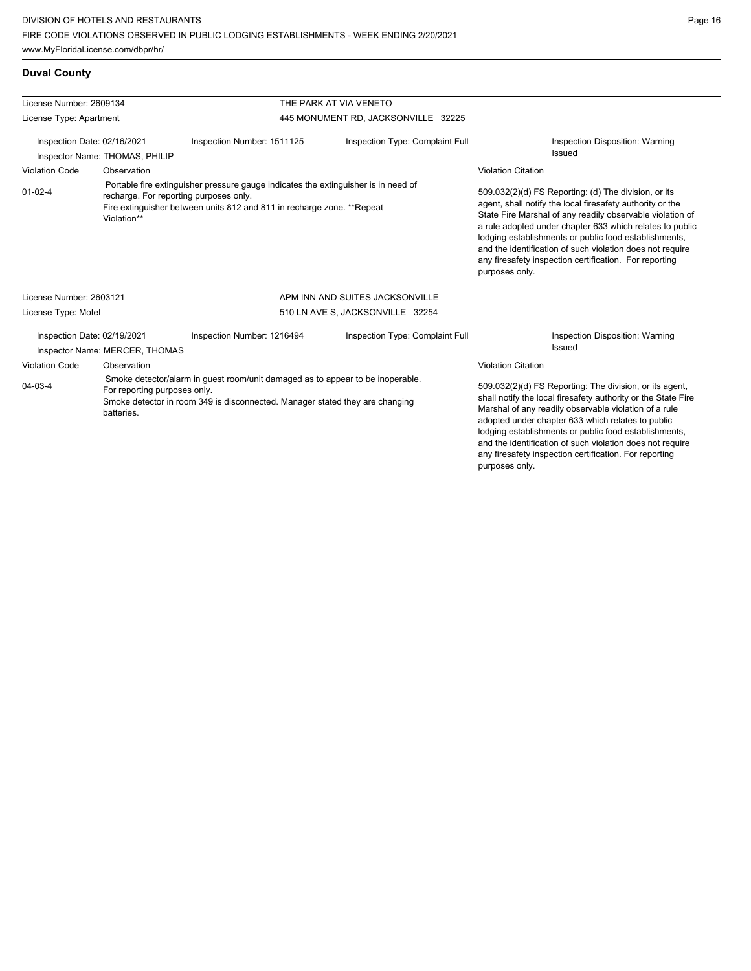## **Duval County**

| License Number: 2609134      |                                            |                                                                                                                                                                                                        | THE PARK AT VIA VENETO              |                                                                                                                                                                                                                                                                                                                                                                                                                                              |  |
|------------------------------|--------------------------------------------|--------------------------------------------------------------------------------------------------------------------------------------------------------------------------------------------------------|-------------------------------------|----------------------------------------------------------------------------------------------------------------------------------------------------------------------------------------------------------------------------------------------------------------------------------------------------------------------------------------------------------------------------------------------------------------------------------------------|--|
| License Type: Apartment      |                                            |                                                                                                                                                                                                        | 445 MONUMENT RD, JACKSONVILLE 32225 |                                                                                                                                                                                                                                                                                                                                                                                                                                              |  |
| Inspection Date: 02/16/2021  | Inspector Name: THOMAS, PHILIP             | Inspection Number: 1511125                                                                                                                                                                             | Inspection Type: Complaint Full     | Inspection Disposition: Warning<br><b>Issued</b>                                                                                                                                                                                                                                                                                                                                                                                             |  |
| <b>Violation Code</b>        | Observation                                |                                                                                                                                                                                                        |                                     | <b>Violation Citation</b>                                                                                                                                                                                                                                                                                                                                                                                                                    |  |
| $01 - 02 - 4$<br>Violation** |                                            | Portable fire extinguisher pressure gauge indicates the extinguisher is in need of<br>recharge. For reporting purposes only.<br>Fire extinguisher between units 812 and 811 in recharge zone. **Repeat |                                     | 509.032(2)(d) FS Reporting: (d) The division, or its<br>agent, shall notify the local firesafety authority or the<br>State Fire Marshal of any readily observable violation of<br>a rule adopted under chapter 633 which relates to public<br>lodging establishments or public food establishments,<br>and the identification of such violation does not require<br>any firesafety inspection certification. For reporting<br>purposes only. |  |
| License Number: 2603121      |                                            |                                                                                                                                                                                                        | APM INN AND SUITES JACKSONVILLE     |                                                                                                                                                                                                                                                                                                                                                                                                                                              |  |
| License Type: Motel          |                                            |                                                                                                                                                                                                        | 510 LN AVE S, JACKSONVILLE 32254    |                                                                                                                                                                                                                                                                                                                                                                                                                                              |  |
| Inspection Date: 02/19/2021  | Inspector Name: MERCER, THOMAS             | Inspection Number: 1216494                                                                                                                                                                             | Inspection Type: Complaint Full     | Inspection Disposition: Warning<br><b>Issued</b>                                                                                                                                                                                                                                                                                                                                                                                             |  |
| <b>Violation Code</b>        | Observation                                |                                                                                                                                                                                                        |                                     | <b>Violation Citation</b>                                                                                                                                                                                                                                                                                                                                                                                                                    |  |
| $04 - 03 - 4$                | For reporting purposes only.<br>batteries. | Smoke detector/alarm in guest room/unit damaged as to appear to be inoperable.<br>Smoke detector in room 349 is disconnected. Manager stated they are changing                                         |                                     | 509.032(2)(d) FS Reporting: The division, or its agent,<br>shall notify the local firesafety authority or the State Fire<br>Marshal of any readily observable violation of a rule<br>adopted under chapter 633 which relates to public<br>lodging establishments or public food establishments,<br>and the identification of such violation does not require                                                                                 |  |

any firesafety inspection certification. For reporting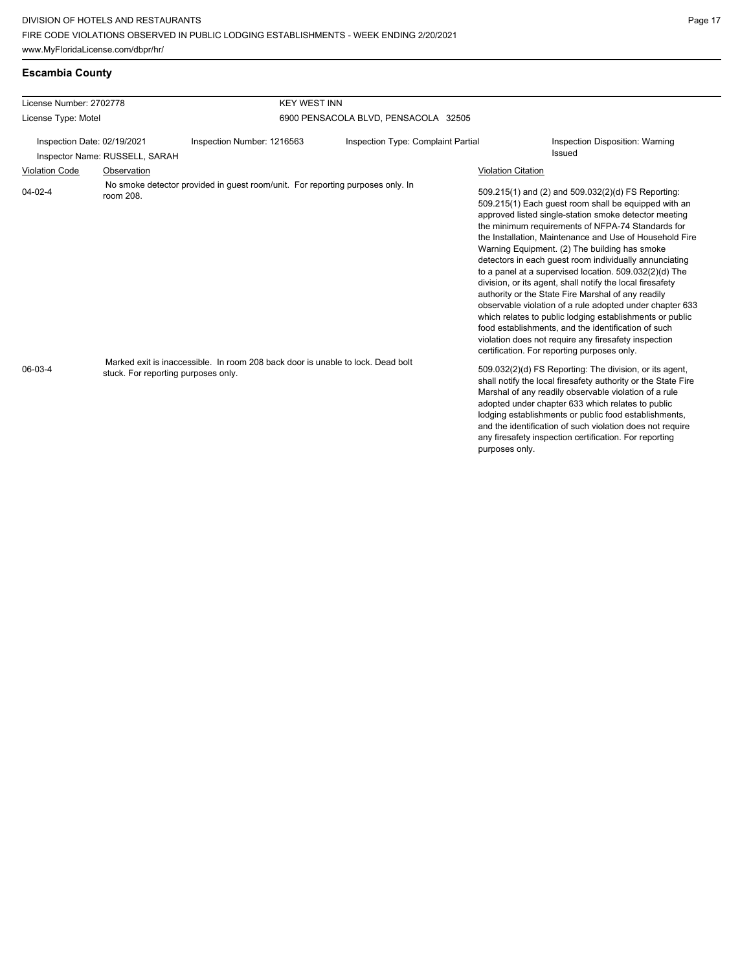| Escambia County |  |
|-----------------|--|
|-----------------|--|

| License Number: 2702778     |                                                  | <b>KEY WEST INN</b>                                                                                                                                               |                                           |                                                                                                                                                                                                                                                                                                                                                                                                                                                                                                                                                                                                                                                                                                                                                                                                                                                                                                                                                                                                                                                                                                                                                                                                                                                                                                               |
|-----------------------------|--------------------------------------------------|-------------------------------------------------------------------------------------------------------------------------------------------------------------------|-------------------------------------------|---------------------------------------------------------------------------------------------------------------------------------------------------------------------------------------------------------------------------------------------------------------------------------------------------------------------------------------------------------------------------------------------------------------------------------------------------------------------------------------------------------------------------------------------------------------------------------------------------------------------------------------------------------------------------------------------------------------------------------------------------------------------------------------------------------------------------------------------------------------------------------------------------------------------------------------------------------------------------------------------------------------------------------------------------------------------------------------------------------------------------------------------------------------------------------------------------------------------------------------------------------------------------------------------------------------|
| License Type: Motel         |                                                  |                                                                                                                                                                   | 6900 PENSACOLA BLVD, PENSACOLA 32505      |                                                                                                                                                                                                                                                                                                                                                                                                                                                                                                                                                                                                                                                                                                                                                                                                                                                                                                                                                                                                                                                                                                                                                                                                                                                                                                               |
| Inspection Date: 02/19/2021 | Inspector Name: RUSSELL, SARAH                   | Inspection Number: 1216563                                                                                                                                        | <b>Inspection Type: Complaint Partial</b> | Inspection Disposition: Warning<br>Issued                                                                                                                                                                                                                                                                                                                                                                                                                                                                                                                                                                                                                                                                                                                                                                                                                                                                                                                                                                                                                                                                                                                                                                                                                                                                     |
| <b>Violation Code</b>       | Observation                                      |                                                                                                                                                                   |                                           | <b>Violation Citation</b>                                                                                                                                                                                                                                                                                                                                                                                                                                                                                                                                                                                                                                                                                                                                                                                                                                                                                                                                                                                                                                                                                                                                                                                                                                                                                     |
| $04 - 02 - 4$<br>06-03-4    | room 208.<br>stuck. For reporting purposes only. | No smoke detector provided in quest room/unit. For reporting purposes only. In<br>Marked exit is inaccessible. In room 208 back door is unable to lock. Dead bolt |                                           | 509.215(1) and (2) and 509.032(2)(d) FS Reporting:<br>509.215(1) Each guest room shall be equipped with an<br>approved listed single-station smoke detector meeting<br>the minimum requirements of NFPA-74 Standards for<br>the Installation, Maintenance and Use of Household Fire<br>Warning Equipment. (2) The building has smoke<br>detectors in each quest room individually annunciating<br>to a panel at a supervised location. 509.032(2)(d) The<br>division, or its agent, shall notify the local firesafety<br>authority or the State Fire Marshal of any readily<br>observable violation of a rule adopted under chapter 633<br>which relates to public lodging establishments or public<br>food establishments, and the identification of such<br>violation does not require any firesafety inspection<br>certification. For reporting purposes only.<br>509.032(2)(d) FS Reporting: The division, or its agent,<br>shall notify the local firesafety authority or the State Fire<br>Marshal of any readily observable violation of a rule<br>adopted under chapter 633 which relates to public<br>lodging establishments or public food establishments,<br>and the identification of such violation does not require<br>any firesafety inspection certification. For reporting<br>purposes only. |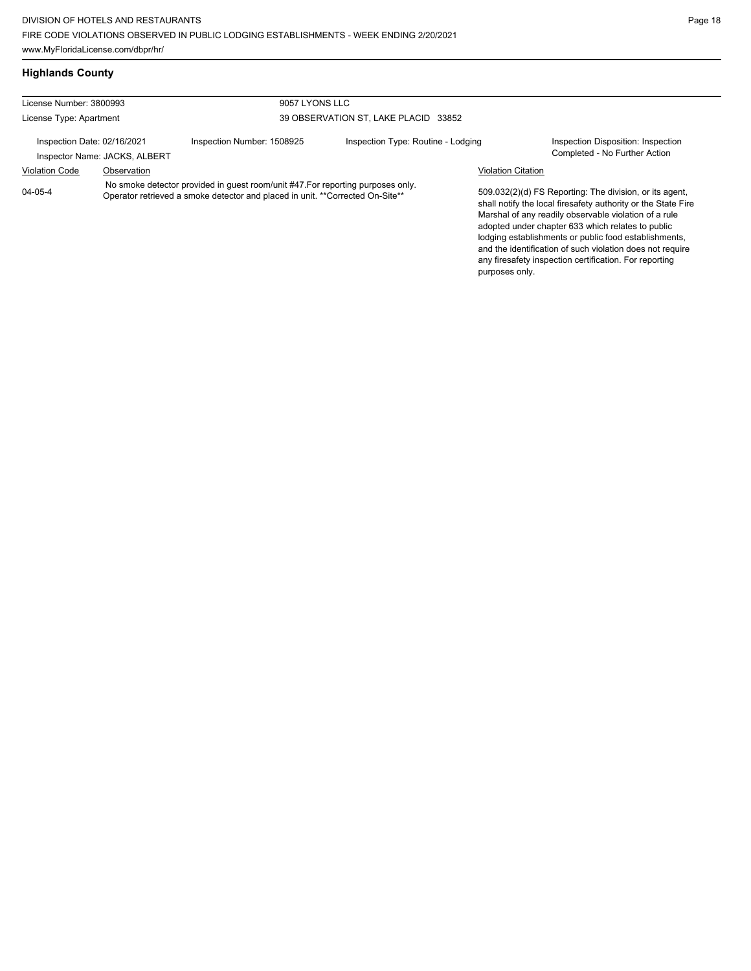**Highlands County**

and the identification of such violation does not require any firesafety inspection certification. For reporting

| License Number: 3800993     |                               | 9057 LYONS LLC                                                                                                                                                   |                                         |                           |                                                                                                                                                                                                                                                                                                 |
|-----------------------------|-------------------------------|------------------------------------------------------------------------------------------------------------------------------------------------------------------|-----------------------------------------|---------------------------|-------------------------------------------------------------------------------------------------------------------------------------------------------------------------------------------------------------------------------------------------------------------------------------------------|
| License Type: Apartment     |                               |                                                                                                                                                                  | 39 OBSERVATION ST, LAKE PLACID<br>33852 |                           |                                                                                                                                                                                                                                                                                                 |
| Inspection Date: 02/16/2021 | Inspector Name: JACKS, ALBERT | Inspection Number: 1508925                                                                                                                                       | Inspection Type: Routine - Lodging      |                           | Inspection Disposition: Inspection<br>Completed - No Further Action                                                                                                                                                                                                                             |
| <b>Violation Code</b>       | Observation                   |                                                                                                                                                                  |                                         | <b>Violation Citation</b> |                                                                                                                                                                                                                                                                                                 |
| $04 - 05 - 4$               |                               | No smoke detector provided in quest room/unit #47. For reporting purposes only.<br>Operator retrieved a smoke detector and placed in unit. **Corrected On-Site** |                                         |                           | 509.032(2)(d) FS Reporting: The division, or its agent,<br>shall notify the local firesafety authority or the State Fire<br>Marshal of any readily observable violation of a rule<br>adopted under chapter 633 which relates to public<br>lodging establishments or public food establishments, |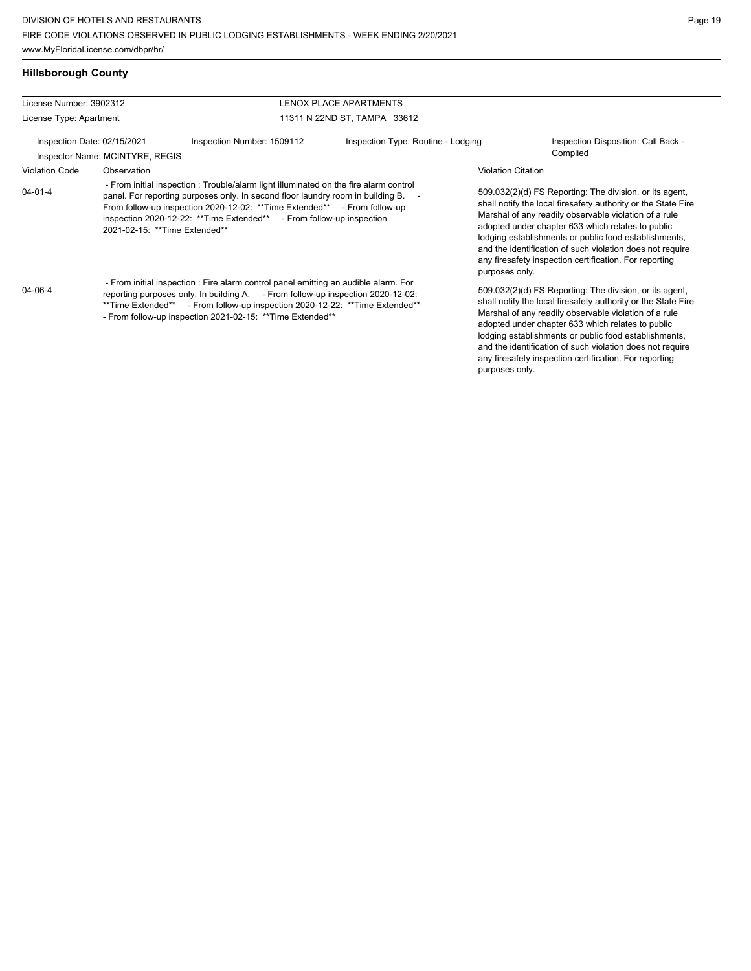## **Hillsborough County**

| License Number: 3902312                                        |             |                                                                                                                                                                                                                                                                                                                              | LENOX PLACE APARTMENTS             |                           |                                                                                                                                                                                                                                                                                                                                                                                                                        |
|----------------------------------------------------------------|-------------|------------------------------------------------------------------------------------------------------------------------------------------------------------------------------------------------------------------------------------------------------------------------------------------------------------------------------|------------------------------------|---------------------------|------------------------------------------------------------------------------------------------------------------------------------------------------------------------------------------------------------------------------------------------------------------------------------------------------------------------------------------------------------------------------------------------------------------------|
| License Type: Apartment                                        |             |                                                                                                                                                                                                                                                                                                                              | 11311 N 22ND ST, TAMPA 33612       |                           |                                                                                                                                                                                                                                                                                                                                                                                                                        |
| Inspection Date: 02/15/2021<br>Inspector Name: MCINTYRE, REGIS |             | Inspection Number: 1509112                                                                                                                                                                                                                                                                                                   | Inspection Type: Routine - Lodging |                           | Inspection Disposition: Call Back -<br>Complied                                                                                                                                                                                                                                                                                                                                                                        |
| <b>Violation Code</b>                                          | Observation |                                                                                                                                                                                                                                                                                                                              |                                    | <b>Violation Citation</b> |                                                                                                                                                                                                                                                                                                                                                                                                                        |
| 04-01-4<br>2021-02-15: ** Time Extended**                      |             | - From initial inspection: Trouble/alarm light illuminated on the fire alarm control<br>panel. For reporting purposes only. In second floor laundry room in building B.<br>From follow-up inspection 2020-12-02: **Time Extended** - From follow-up<br>inspection 2020-12-22: ** Time Extended** - From follow-up inspection |                                    | purposes only.            | 509.032(2)(d) FS Reporting: The division, or its agent,<br>shall notify the local firesafety authority or the State Fire<br>Marshal of any readily observable violation of a rule<br>adopted under chapter 633 which relates to public<br>lodging establishments or public food establishments,<br>and the identification of such violation does not require<br>any firesafety inspection certification. For reporting |
| 04-06-4                                                        |             | - From initial inspection : Fire alarm control panel emitting an audible alarm. For<br>reporting purposes only. In building A. - From follow-up inspection 2020-12-02:<br>**Time Extended** - From follow-up inspection 2020-12-22: **Time Extended**<br>- From follow-up inspection 2021-02-15: ** Time Extended**          |                                    |                           | 509.032(2)(d) FS Reporting: The division, or its agent,<br>shall notify the local firesafety authority or the State Fire<br>Marshal of any readily observable violation of a rule<br>adopted under chapter 633 which relates to public<br>lodging establishments or public food establishments,                                                                                                                        |

and the identification of such violation does not require any firesafety inspection certification. For reporting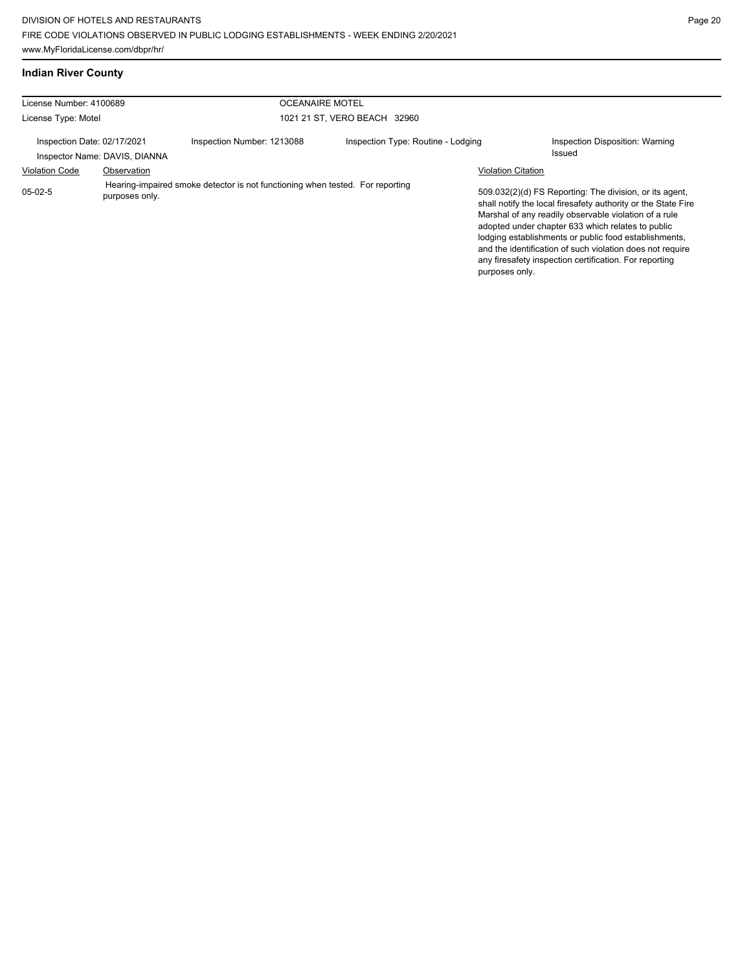|  | Indian River County |
|--|---------------------|
|  |                     |

| License Number: 4100689     |                               | <b>OCEANAIRE MOTEL</b>                                                        |                                    |                           |                                                                                                                                                                                                                                                                                                                                                                                                                        |
|-----------------------------|-------------------------------|-------------------------------------------------------------------------------|------------------------------------|---------------------------|------------------------------------------------------------------------------------------------------------------------------------------------------------------------------------------------------------------------------------------------------------------------------------------------------------------------------------------------------------------------------------------------------------------------|
| License Type: Motel         |                               |                                                                               | 1021 21 ST, VERO BEACH 32960       |                           |                                                                                                                                                                                                                                                                                                                                                                                                                        |
| Inspection Date: 02/17/2021 | Inspector Name: DAVIS, DIANNA | Inspection Number: 1213088                                                    | Inspection Type: Routine - Lodging |                           | Inspection Disposition: Warning<br>Issued                                                                                                                                                                                                                                                                                                                                                                              |
| <b>Violation Code</b>       | Observation                   |                                                                               |                                    | <b>Violation Citation</b> |                                                                                                                                                                                                                                                                                                                                                                                                                        |
| $05-02-5$                   | purposes only.                | Hearing-impaired smoke detector is not functioning when tested. For reporting |                                    | purposes only.            | 509.032(2)(d) FS Reporting: The division, or its agent,<br>shall notify the local firesafety authority or the State Fire<br>Marshal of any readily observable violation of a rule<br>adopted under chapter 633 which relates to public<br>lodging establishments or public food establishments,<br>and the identification of such violation does not require<br>any firesafety inspection certification. For reporting |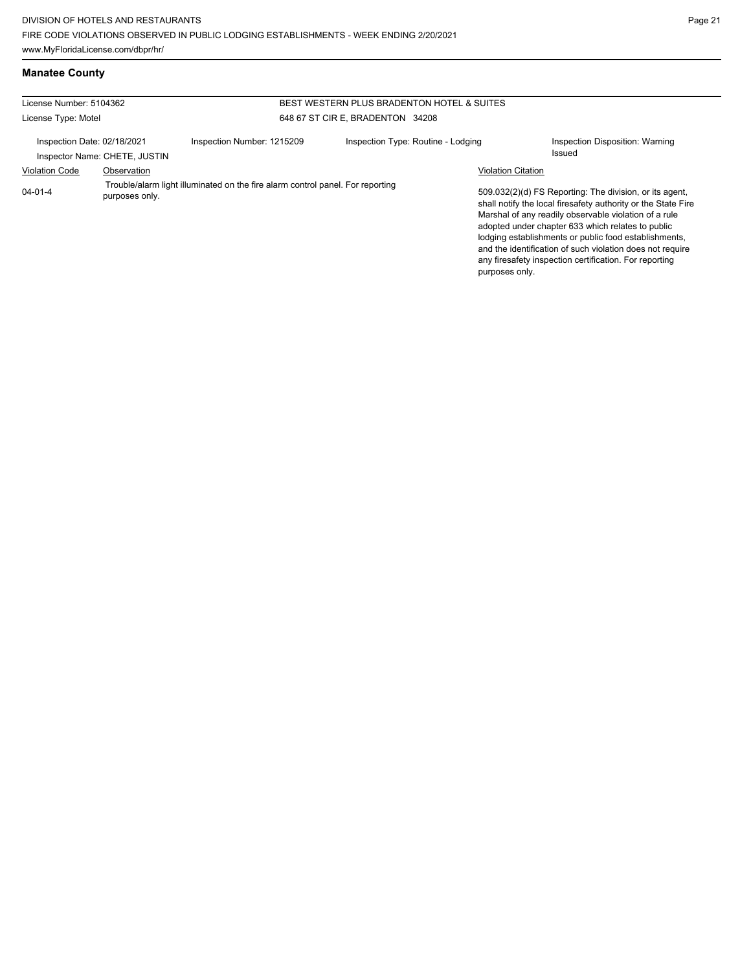## **Manatee County**

| License Number: 5104362                                 |                               | BEST WESTERN PLUS BRADENTON HOTEL & SUITES                                     |                                    |                           |                                                                                                                                                                                                                                                                                                                                                                                                                        |  |
|---------------------------------------------------------|-------------------------------|--------------------------------------------------------------------------------|------------------------------------|---------------------------|------------------------------------------------------------------------------------------------------------------------------------------------------------------------------------------------------------------------------------------------------------------------------------------------------------------------------------------------------------------------------------------------------------------------|--|
| 648 67 ST CIR E, BRADENTON 34208<br>License Type: Motel |                               |                                                                                |                                    |                           |                                                                                                                                                                                                                                                                                                                                                                                                                        |  |
| Inspection Date: 02/18/2021                             | Inspector Name: CHETE, JUSTIN | Inspection Number: 1215209                                                     | Inspection Type: Routine - Lodging |                           | Inspection Disposition: Warning<br><b>Issued</b>                                                                                                                                                                                                                                                                                                                                                                       |  |
| <b>Violation Code</b>                                   | Observation                   |                                                                                |                                    | <b>Violation Citation</b> |                                                                                                                                                                                                                                                                                                                                                                                                                        |  |
| $04 - 01 - 4$                                           | purposes only.                | Trouble/alarm light illuminated on the fire alarm control panel. For reporting |                                    | purposes only.            | 509.032(2)(d) FS Reporting: The division, or its agent,<br>shall notify the local firesafety authority or the State Fire<br>Marshal of any readily observable violation of a rule<br>adopted under chapter 633 which relates to public<br>lodging establishments or public food establishments,<br>and the identification of such violation does not require<br>any firesafety inspection certification. For reporting |  |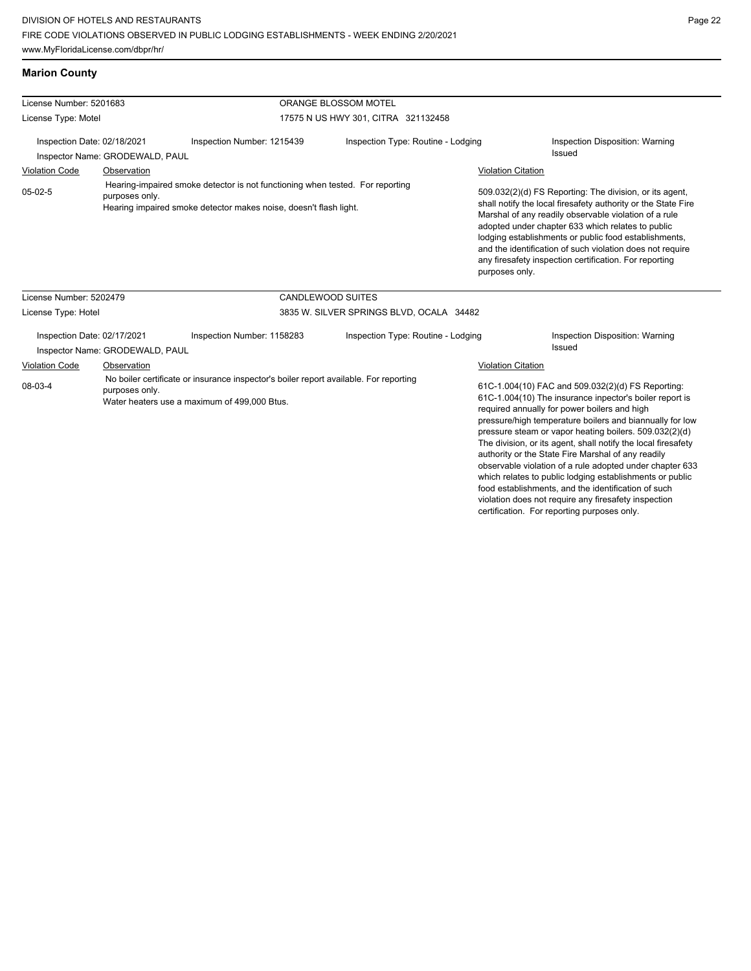## **Marion County**

| License Number: 5201683     |                                 |                                                                                                                                                    | ORANGE BLOSSOM MOTEL                     |                                                  |                                                                                                                                                                                                                                                                                                                                                                                                                                                                                                                                                                                                                                                  |
|-----------------------------|---------------------------------|----------------------------------------------------------------------------------------------------------------------------------------------------|------------------------------------------|--------------------------------------------------|--------------------------------------------------------------------------------------------------------------------------------------------------------------------------------------------------------------------------------------------------------------------------------------------------------------------------------------------------------------------------------------------------------------------------------------------------------------------------------------------------------------------------------------------------------------------------------------------------------------------------------------------------|
| License Type: Motel         |                                 |                                                                                                                                                    | 17575 N US HWY 301, CITRA 321132458      |                                                  |                                                                                                                                                                                                                                                                                                                                                                                                                                                                                                                                                                                                                                                  |
| Inspection Date: 02/18/2021 |                                 | Inspection Number: 1215439                                                                                                                         | Inspection Type: Routine - Lodging       |                                                  | Inspection Disposition: Warning<br><b>Issued</b>                                                                                                                                                                                                                                                                                                                                                                                                                                                                                                                                                                                                 |
|                             | Inspector Name: GRODEWALD, PAUL |                                                                                                                                                    |                                          |                                                  |                                                                                                                                                                                                                                                                                                                                                                                                                                                                                                                                                                                                                                                  |
| <b>Violation Code</b>       | Observation                     |                                                                                                                                                    |                                          | <b>Violation Citation</b>                        |                                                                                                                                                                                                                                                                                                                                                                                                                                                                                                                                                                                                                                                  |
| $05-02-5$                   | purposes only.                  | Hearing-impaired smoke detector is not functioning when tested. For reporting<br>Hearing impaired smoke detector makes noise, doesn't flash light. |                                          | purposes only.                                   | 509.032(2)(d) FS Reporting: The division, or its agent,<br>shall notify the local firesafety authority or the State Fire<br>Marshal of any readily observable violation of a rule<br>adopted under chapter 633 which relates to public<br>lodging establishments or public food establishments,<br>and the identification of such violation does not require<br>any firesafety inspection certification. For reporting                                                                                                                                                                                                                           |
| License Number: 5202479     |                                 |                                                                                                                                                    | <b>CANDLEWOOD SUITES</b>                 |                                                  |                                                                                                                                                                                                                                                                                                                                                                                                                                                                                                                                                                                                                                                  |
| License Type: Hotel         |                                 |                                                                                                                                                    | 3835 W. SILVER SPRINGS BLVD, OCALA 34482 |                                                  |                                                                                                                                                                                                                                                                                                                                                                                                                                                                                                                                                                                                                                                  |
| Inspection Date: 02/17/2021 |                                 | Inspection Number: 1158283                                                                                                                         | Inspection Type: Routine - Lodging       | Inspection Disposition: Warning<br><b>Issued</b> |                                                                                                                                                                                                                                                                                                                                                                                                                                                                                                                                                                                                                                                  |
|                             | Inspector Name: GRODEWALD, PAUL |                                                                                                                                                    |                                          |                                                  |                                                                                                                                                                                                                                                                                                                                                                                                                                                                                                                                                                                                                                                  |
| <b>Violation Code</b>       | Observation                     |                                                                                                                                                    |                                          | <b>Violation Citation</b>                        |                                                                                                                                                                                                                                                                                                                                                                                                                                                                                                                                                                                                                                                  |
| 08-03-4                     | purposes only.                  | No boiler certificate or insurance inspector's boiler report available. For reporting<br>Water heaters use a maximum of 499,000 Btus.              |                                          |                                                  | 61C-1.004(10) FAC and 509.032(2)(d) FS Reporting:<br>61C-1.004(10) The insurance inpector's boiler report is<br>required annually for power boilers and high<br>pressure/high temperature boilers and biannually for low<br>pressure steam or vapor heating boilers. 509.032(2)(d)<br>The division, or its agent, shall notify the local firesafety<br>authority or the State Fire Marshal of any readily<br>observable violation of a rule adopted under chapter 633<br>which relates to public lodging establishments or public<br>food establishments, and the identification of such<br>violation does not require any firesafety inspection |

certification. For reporting purposes only.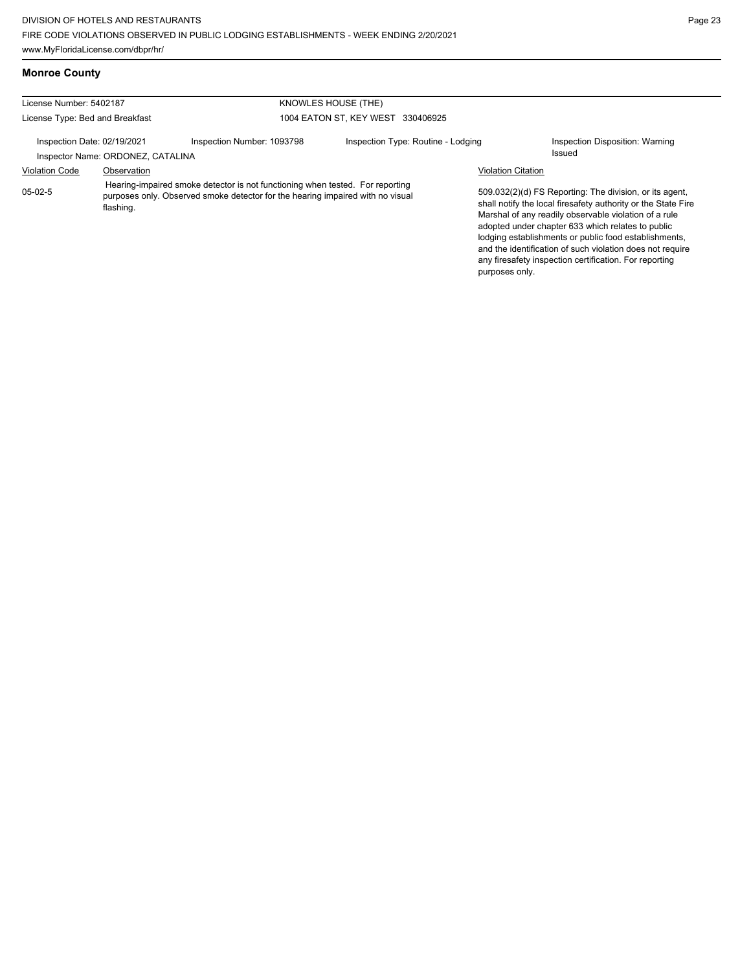**Monroe County**

| License Number: 5402187<br>KNOWLES HOUSE (THE) |                                   |                                                                                                                                                                 |                                    |                           |                                                                                                                                                                                                                                                                                                                                                                                                                        |
|------------------------------------------------|-----------------------------------|-----------------------------------------------------------------------------------------------------------------------------------------------------------------|------------------------------------|---------------------------|------------------------------------------------------------------------------------------------------------------------------------------------------------------------------------------------------------------------------------------------------------------------------------------------------------------------------------------------------------------------------------------------------------------------|
| License Type: Bed and Breakfast                |                                   |                                                                                                                                                                 | 1004 EATON ST. KEY WEST 330406925  |                           |                                                                                                                                                                                                                                                                                                                                                                                                                        |
| Inspection Date: 02/19/2021                    | Inspector Name: ORDONEZ, CATALINA | Inspection Number: 1093798                                                                                                                                      | Inspection Type: Routine - Lodging |                           | Inspection Disposition: Warning<br>Issued                                                                                                                                                                                                                                                                                                                                                                              |
| Violation Code                                 | Observation                       |                                                                                                                                                                 |                                    | <b>Violation Citation</b> |                                                                                                                                                                                                                                                                                                                                                                                                                        |
| 05-02-5                                        | flashing.                         | Hearing-impaired smoke detector is not functioning when tested. For reporting<br>purposes only. Observed smoke detector for the hearing impaired with no visual |                                    |                           | 509.032(2)(d) FS Reporting: The division, or its agent,<br>shall notify the local firesafety authority or the State Fire<br>Marshal of any readily observable violation of a rule<br>adopted under chapter 633 which relates to public<br>lodging establishments or public food establishments,<br>and the identification of such violation does not require<br>any firesafety inspection certification. For reporting |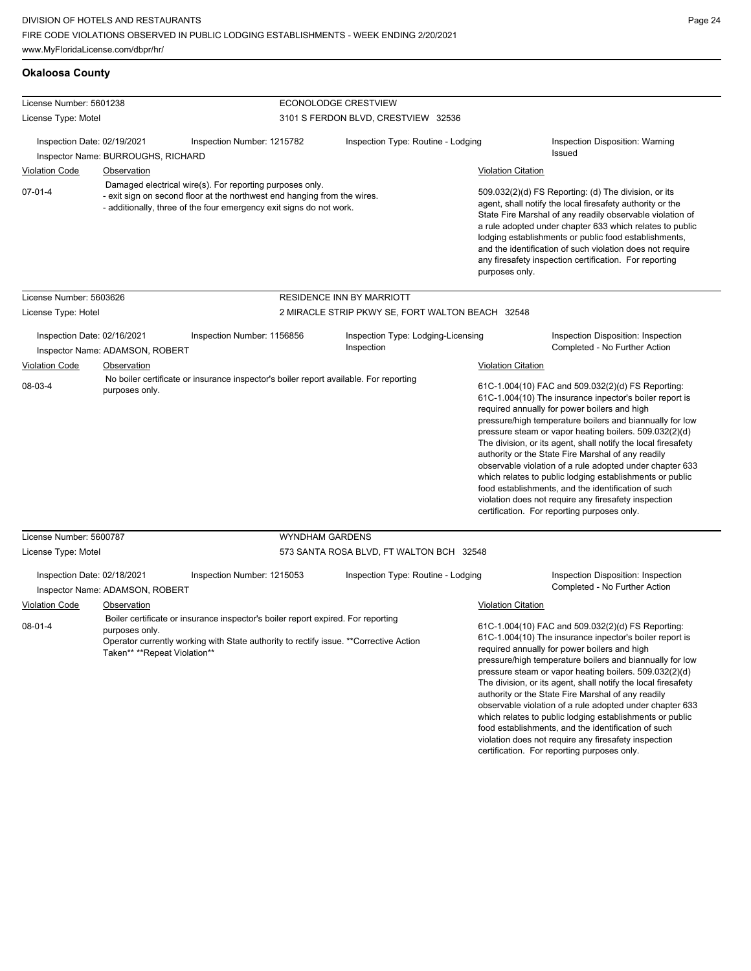| <b>Okaloosa County</b>                                                              |                                                                  |                                                                                                                                                                                                             |                                                                                |                                                                                                                                                                                                                                                                                                                                                                                                                                              |                                                                                                                                                                                                                                                                                                                                                                                                                                                                                                                                                                                                                                                                                                                                                                        |
|-------------------------------------------------------------------------------------|------------------------------------------------------------------|-------------------------------------------------------------------------------------------------------------------------------------------------------------------------------------------------------------|--------------------------------------------------------------------------------|----------------------------------------------------------------------------------------------------------------------------------------------------------------------------------------------------------------------------------------------------------------------------------------------------------------------------------------------------------------------------------------------------------------------------------------------|------------------------------------------------------------------------------------------------------------------------------------------------------------------------------------------------------------------------------------------------------------------------------------------------------------------------------------------------------------------------------------------------------------------------------------------------------------------------------------------------------------------------------------------------------------------------------------------------------------------------------------------------------------------------------------------------------------------------------------------------------------------------|
| License Number: 5601238                                                             |                                                                  |                                                                                                                                                                                                             | ECONOLODGE CRESTVIEW                                                           |                                                                                                                                                                                                                                                                                                                                                                                                                                              |                                                                                                                                                                                                                                                                                                                                                                                                                                                                                                                                                                                                                                                                                                                                                                        |
| License Type: Motel                                                                 |                                                                  |                                                                                                                                                                                                             | 3101 S FERDON BLVD, CRESTVIEW 32536                                            |                                                                                                                                                                                                                                                                                                                                                                                                                                              |                                                                                                                                                                                                                                                                                                                                                                                                                                                                                                                                                                                                                                                                                                                                                                        |
| Inspection Date: 02/19/2021                                                         | Inspector Name: BURROUGHS, RICHARD                               | Inspection Number: 1215782                                                                                                                                                                                  | Inspection Type: Routine - Lodging                                             |                                                                                                                                                                                                                                                                                                                                                                                                                                              | <b>Inspection Disposition: Warning</b><br>Issued                                                                                                                                                                                                                                                                                                                                                                                                                                                                                                                                                                                                                                                                                                                       |
| <b>Violation Code</b>                                                               | Observation                                                      |                                                                                                                                                                                                             |                                                                                | <b>Violation Citation</b>                                                                                                                                                                                                                                                                                                                                                                                                                    |                                                                                                                                                                                                                                                                                                                                                                                                                                                                                                                                                                                                                                                                                                                                                                        |
| $07 - 01 - 4$                                                                       |                                                                  | Damaged electrical wire(s). For reporting purposes only.<br>- exit sign on second floor at the northwest end hanging from the wires.<br>- additionally, three of the four emergency exit signs do not work. |                                                                                | 509.032(2)(d) FS Reporting: (d) The division, or its<br>agent, shall notify the local firesafety authority or the<br>State Fire Marshal of any readily observable violation of<br>a rule adopted under chapter 633 which relates to public<br>lodging establishments or public food establishments,<br>and the identification of such violation does not require<br>any firesafety inspection certification. For reporting<br>purposes only. |                                                                                                                                                                                                                                                                                                                                                                                                                                                                                                                                                                                                                                                                                                                                                                        |
| License Number: 5603626                                                             |                                                                  |                                                                                                                                                                                                             | RESIDENCE INN BY MARRIOTT                                                      |                                                                                                                                                                                                                                                                                                                                                                                                                                              |                                                                                                                                                                                                                                                                                                                                                                                                                                                                                                                                                                                                                                                                                                                                                                        |
| License Type: Hotel                                                                 |                                                                  |                                                                                                                                                                                                             | 2 MIRACLE STRIP PKWY SE, FORT WALTON BEACH 32548                               |                                                                                                                                                                                                                                                                                                                                                                                                                                              |                                                                                                                                                                                                                                                                                                                                                                                                                                                                                                                                                                                                                                                                                                                                                                        |
| Inspection Date: 02/16/2021<br>Violation Code<br>08-03-4<br>License Number: 5600787 | Inspector Name: ADAMSON, ROBERT<br>Observation<br>purposes only. | Inspection Number: 1156856<br>No boiler certificate or insurance inspector's boiler report available. For reporting<br><b>WYNDHAM GARDENS</b>                                                               | Inspection Type: Lodging-Licensing<br>Inspection                               | <b>Violation Citation</b>                                                                                                                                                                                                                                                                                                                                                                                                                    | Inspection Disposition: Inspection<br>Completed - No Further Action<br>61C-1.004(10) FAC and 509.032(2)(d) FS Reporting:<br>61C-1.004(10) The insurance inpector's boiler report is<br>required annually for power boilers and high<br>pressure/high temperature boilers and biannually for low<br>pressure steam or vapor heating boilers. 509.032(2)(d)<br>The division, or its agent, shall notify the local firesafety<br>authority or the State Fire Marshal of any readily<br>observable violation of a rule adopted under chapter 633<br>which relates to public lodging establishments or public<br>food establishments, and the identification of such<br>violation does not require any firesafety inspection<br>certification. For reporting purposes only. |
|                                                                                     |                                                                  |                                                                                                                                                                                                             |                                                                                |                                                                                                                                                                                                                                                                                                                                                                                                                                              |                                                                                                                                                                                                                                                                                                                                                                                                                                                                                                                                                                                                                                                                                                                                                                        |
| License Type: Motel<br>Inspection Date: 02/18/2021                                  | Inspector Name: ADAMSON, ROBERT                                  | Inspection Number: 1215053                                                                                                                                                                                  | 573 SANTA ROSA BLVD, FT WALTON BCH 32548<br>Inspection Type: Routine - Lodging |                                                                                                                                                                                                                                                                                                                                                                                                                                              | Inspection Disposition: Inspection<br>Completed - No Further Action                                                                                                                                                                                                                                                                                                                                                                                                                                                                                                                                                                                                                                                                                                    |
| <b>Violation Code</b><br>$08 - 01 - 4$                                              | Observation<br>purposes only.<br>Taken** **Repeat Violation**    | Boiler certificate or insurance inspector's boiler report expired. For reporting<br>Operator currently working with State authority to rectify issue. ** Corrective Action                                  |                                                                                | <b>Violation Citation</b>                                                                                                                                                                                                                                                                                                                                                                                                                    | 61C-1.004(10) FAC and 509.032(2)(d) FS Reporting:<br>61C-1.004(10) The insurance inpector's boiler report is<br>required annually for power boilers and high<br>pressure/high temperature boilers and biannually for low<br>pressure steam or vapor heating boilers. 509.032(2)(d)<br>The division, or its agent, shall notify the local firesafety<br>authority or the State Fire Marshal of any readily<br>chsen/able violation of a rule adopted under chapter 633                                                                                                                                                                                                                                                                                                  |

servable violation of a rule adopted under chapter 633 which relates to public lodging establishments or public food establishments, and the identification of such violation does not require any firesafety inspection certification. For reporting purposes only.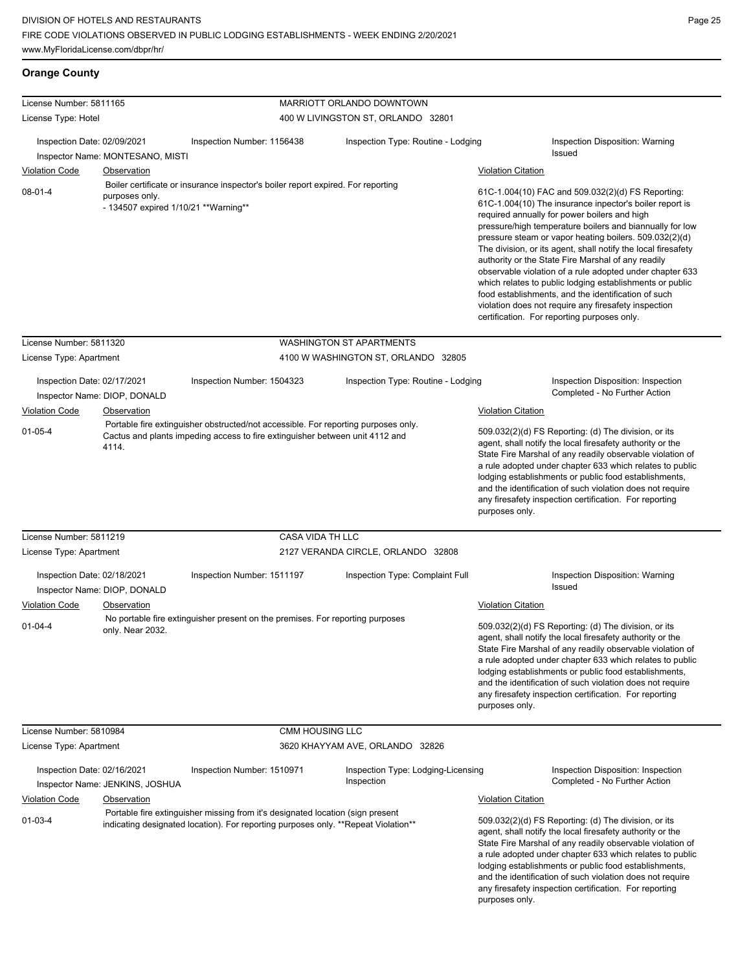# **Orange County**

| License Number: 5811165     |                                                         |                                                                                                                                                                      |                                    | MARRIOTT ORLANDO DOWNTOWN                        |                           |                                                                                                                                                                                                                                                                                                                                                                                                                                                                                                                                                                                                                                                                                                 |
|-----------------------------|---------------------------------------------------------|----------------------------------------------------------------------------------------------------------------------------------------------------------------------|------------------------------------|--------------------------------------------------|---------------------------|-------------------------------------------------------------------------------------------------------------------------------------------------------------------------------------------------------------------------------------------------------------------------------------------------------------------------------------------------------------------------------------------------------------------------------------------------------------------------------------------------------------------------------------------------------------------------------------------------------------------------------------------------------------------------------------------------|
| License Type: Hotel         |                                                         |                                                                                                                                                                      | 400 W LIVINGSTON ST, ORLANDO 32801 |                                                  |                           |                                                                                                                                                                                                                                                                                                                                                                                                                                                                                                                                                                                                                                                                                                 |
| Inspection Date: 02/09/2021 |                                                         | Inspection Number: 1156438                                                                                                                                           |                                    | Inspection Type: Routine - Lodging               |                           | Inspection Disposition: Warning                                                                                                                                                                                                                                                                                                                                                                                                                                                                                                                                                                                                                                                                 |
|                             | Inspector Name: MONTESANO, MISTI                        |                                                                                                                                                                      |                                    |                                                  |                           | Issued                                                                                                                                                                                                                                                                                                                                                                                                                                                                                                                                                                                                                                                                                          |
| <b>Violation Code</b>       | Observation                                             |                                                                                                                                                                      |                                    |                                                  | <b>Violation Citation</b> |                                                                                                                                                                                                                                                                                                                                                                                                                                                                                                                                                                                                                                                                                                 |
| $08-01-4$                   | purposes only.<br>- 134507 expired 1/10/21 ** Warning** | Boiler certificate or insurance inspector's boiler report expired. For reporting                                                                                     |                                    |                                                  |                           | 61C-1.004(10) FAC and 509.032(2)(d) FS Reporting:<br>61C-1.004(10) The insurance inpector's boiler report is<br>required annually for power boilers and high<br>pressure/high temperature boilers and biannually for low<br>pressure steam or vapor heating boilers. 509.032(2)(d)<br>The division, or its agent, shall notify the local firesafety<br>authority or the State Fire Marshal of any readily<br>observable violation of a rule adopted under chapter 633<br>which relates to public lodging establishments or public<br>food establishments, and the identification of such<br>violation does not require any firesafety inspection<br>certification. For reporting purposes only. |
| License Number: 5811320     |                                                         |                                                                                                                                                                      |                                    | <b>WASHINGTON ST APARTMENTS</b>                  |                           |                                                                                                                                                                                                                                                                                                                                                                                                                                                                                                                                                                                                                                                                                                 |
| License Type: Apartment     |                                                         |                                                                                                                                                                      |                                    | 4100 W WASHINGTON ST, ORLANDO 32805              |                           |                                                                                                                                                                                                                                                                                                                                                                                                                                                                                                                                                                                                                                                                                                 |
| Inspection Date: 02/17/2021 | Inspector Name: DIOP, DONALD                            | Inspection Number: 1504323                                                                                                                                           |                                    | Inspection Type: Routine - Lodging               |                           | Inspection Disposition: Inspection<br>Completed - No Further Action                                                                                                                                                                                                                                                                                                                                                                                                                                                                                                                                                                                                                             |
| <b>Violation Code</b>       | Observation                                             |                                                                                                                                                                      |                                    |                                                  | <b>Violation Citation</b> |                                                                                                                                                                                                                                                                                                                                                                                                                                                                                                                                                                                                                                                                                                 |
| $01 - 05 - 4$               | 4114.                                                   | Portable fire extinguisher obstructed/not accessible. For reporting purposes only.<br>Cactus and plants impeding access to fire extinguisher between unit 4112 and   |                                    |                                                  | purposes only.            | 509.032(2)(d) FS Reporting: (d) The division, or its<br>agent, shall notify the local firesafety authority or the<br>State Fire Marshal of any readily observable violation of<br>a rule adopted under chapter 633 which relates to public<br>lodging establishments or public food establishments,<br>and the identification of such violation does not require<br>any firesafety inspection certification. For reporting                                                                                                                                                                                                                                                                      |
| License Number: 5811219     |                                                         |                                                                                                                                                                      | CASA VIDA TH LLC                   |                                                  |                           |                                                                                                                                                                                                                                                                                                                                                                                                                                                                                                                                                                                                                                                                                                 |
| License Type: Apartment     |                                                         |                                                                                                                                                                      |                                    | 2127 VERANDA CIRCLE, ORLANDO 32808               |                           |                                                                                                                                                                                                                                                                                                                                                                                                                                                                                                                                                                                                                                                                                                 |
| Inspection Date: 02/18/2021 | Inspector Name: DIOP, DONALD                            | Inspection Number: 1511197                                                                                                                                           |                                    | Inspection Type: Complaint Full                  |                           | Inspection Disposition: Warning<br>Issued                                                                                                                                                                                                                                                                                                                                                                                                                                                                                                                                                                                                                                                       |
| <b>Violation Code</b>       | Observation                                             |                                                                                                                                                                      |                                    |                                                  | <b>Violation Citation</b> |                                                                                                                                                                                                                                                                                                                                                                                                                                                                                                                                                                                                                                                                                                 |
| $01 - 04 - 4$               | only. Near 2032.                                        | No portable fire extinguisher present on the premises. For reporting purposes                                                                                        |                                    |                                                  | purposes only.            | 509.032(2)(d) FS Reporting: (d) The division, or its<br>agent, shall notify the local firesafety authority or the<br>State Fire Marshal of any readily observable violation of<br>a rule adopted under chapter 633 which relates to public<br>lodging establishments or public food establishments,<br>and the identification of such violation does not require<br>any firesafety inspection certification. For reporting                                                                                                                                                                                                                                                                      |
| License Number: 5810984     |                                                         |                                                                                                                                                                      | <b>CMM HOUSING LLC</b>             |                                                  |                           |                                                                                                                                                                                                                                                                                                                                                                                                                                                                                                                                                                                                                                                                                                 |
| License Type: Apartment     |                                                         |                                                                                                                                                                      |                                    | 3620 KHAYYAM AVE, ORLANDO 32826                  |                           |                                                                                                                                                                                                                                                                                                                                                                                                                                                                                                                                                                                                                                                                                                 |
| Inspection Date: 02/16/2021 | Inspector Name: JENKINS, JOSHUA                         | Inspection Number: 1510971                                                                                                                                           |                                    | Inspection Type: Lodging-Licensing<br>Inspection |                           | Inspection Disposition: Inspection<br>Completed - No Further Action                                                                                                                                                                                                                                                                                                                                                                                                                                                                                                                                                                                                                             |
| <b>Violation Code</b>       | Observation                                             |                                                                                                                                                                      |                                    |                                                  | <b>Violation Citation</b> |                                                                                                                                                                                                                                                                                                                                                                                                                                                                                                                                                                                                                                                                                                 |
| $01 - 03 - 4$               |                                                         | Portable fire extinguisher missing from it's designated location (sign present<br>indicating designated location). For reporting purposes only. **Repeat Violation** |                                    |                                                  | purposes only.            | 509.032(2)(d) FS Reporting: (d) The division, or its<br>agent, shall notify the local firesafety authority or the<br>State Fire Marshal of any readily observable violation of<br>a rule adopted under chapter 633 which relates to public<br>lodging establishments or public food establishments,<br>and the identification of such violation does not require<br>any firesafety inspection certification. For reporting                                                                                                                                                                                                                                                                      |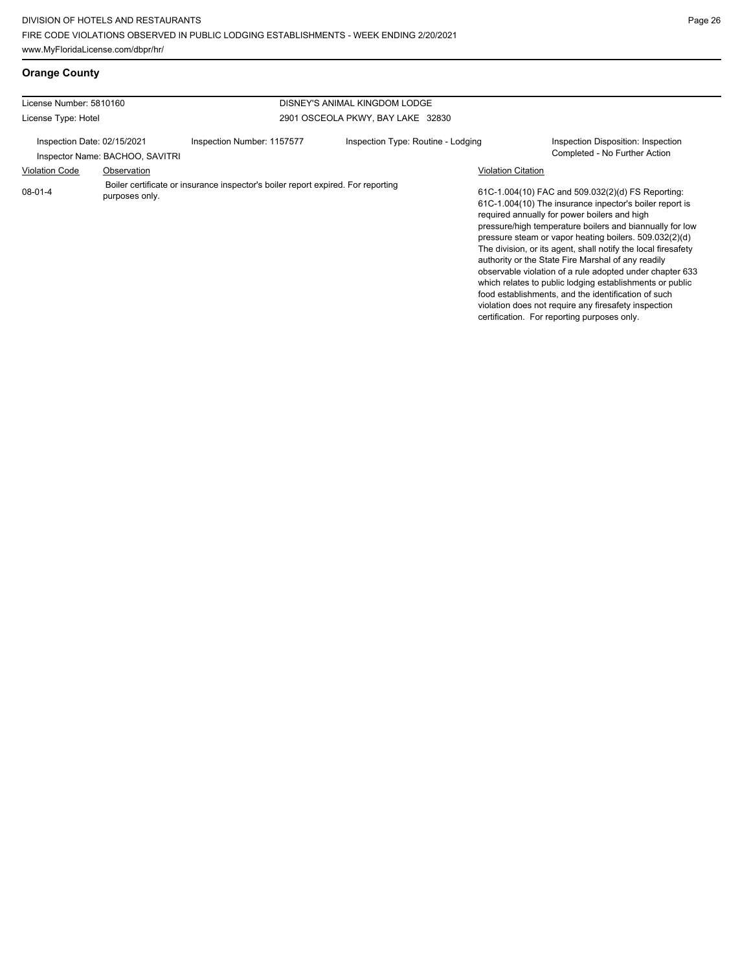**Orange County**

| License Number: 5810160     |                                 |                                                                                  | DISNEY'S ANIMAL KINGDOM LODGE      |                           |                                                                                                                                                                                                                                                                                                                                                                                                                                                                                                                                                                                                                                                                                                 |
|-----------------------------|---------------------------------|----------------------------------------------------------------------------------|------------------------------------|---------------------------|-------------------------------------------------------------------------------------------------------------------------------------------------------------------------------------------------------------------------------------------------------------------------------------------------------------------------------------------------------------------------------------------------------------------------------------------------------------------------------------------------------------------------------------------------------------------------------------------------------------------------------------------------------------------------------------------------|
| License Type: Hotel         |                                 |                                                                                  | 2901 OSCEOLA PKWY, BAY LAKE 32830  |                           |                                                                                                                                                                                                                                                                                                                                                                                                                                                                                                                                                                                                                                                                                                 |
| Inspection Date: 02/15/2021 | Inspector Name: BACHOO, SAVITRI | Inspection Number: 1157577                                                       | Inspection Type: Routine - Lodging |                           | Inspection Disposition: Inspection<br>Completed - No Further Action                                                                                                                                                                                                                                                                                                                                                                                                                                                                                                                                                                                                                             |
| <b>Violation Code</b>       | Observation                     |                                                                                  |                                    | <b>Violation Citation</b> |                                                                                                                                                                                                                                                                                                                                                                                                                                                                                                                                                                                                                                                                                                 |
| $08-01-4$                   | purposes only.                  | Boiler certificate or insurance inspector's boiler report expired. For reporting |                                    |                           | 61C-1.004(10) FAC and 509.032(2)(d) FS Reporting:<br>61C-1.004(10) The insurance inpector's boiler report is<br>required annually for power boilers and high<br>pressure/high temperature boilers and biannually for low<br>pressure steam or vapor heating boilers. 509.032(2)(d)<br>The division, or its agent, shall notify the local firesafety<br>authority or the State Fire Marshal of any readily<br>observable violation of a rule adopted under chapter 633<br>which relates to public lodging establishments or public<br>food establishments, and the identification of such<br>violation does not require any firesafety inspection<br>certification. For reporting purposes only. |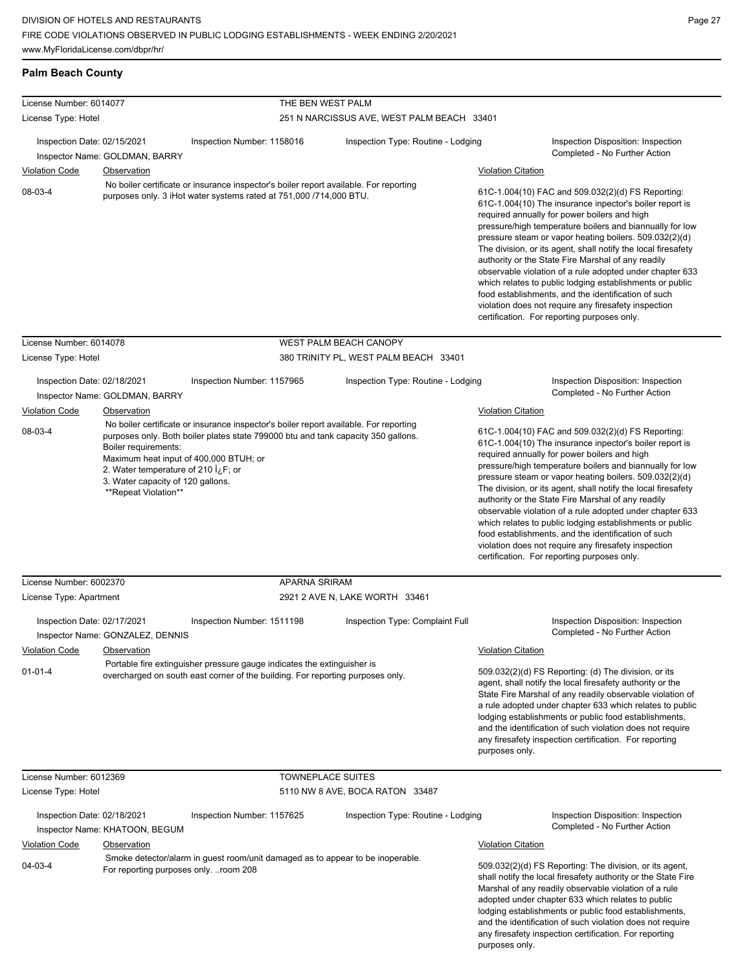**Palm Beach County**

License Number: 6014077

| License Type: Hotel                                  |                                                                                                                                                                                                                                                                                                                                                           |                                                                                                                                                             | 251 N NARCISSUS AVE, WEST PALM BEACH 33401 |                                                                                                                                                                                                                                                                                                                                                                                                                                                                                                                                                                                                                                                                                                 |                                                                                                                                                                                                                                                                                                                                                                                                                                                                                                                                                                                                                                                                                                 |
|------------------------------------------------------|-----------------------------------------------------------------------------------------------------------------------------------------------------------------------------------------------------------------------------------------------------------------------------------------------------------------------------------------------------------|-------------------------------------------------------------------------------------------------------------------------------------------------------------|--------------------------------------------|-------------------------------------------------------------------------------------------------------------------------------------------------------------------------------------------------------------------------------------------------------------------------------------------------------------------------------------------------------------------------------------------------------------------------------------------------------------------------------------------------------------------------------------------------------------------------------------------------------------------------------------------------------------------------------------------------|-------------------------------------------------------------------------------------------------------------------------------------------------------------------------------------------------------------------------------------------------------------------------------------------------------------------------------------------------------------------------------------------------------------------------------------------------------------------------------------------------------------------------------------------------------------------------------------------------------------------------------------------------------------------------------------------------|
| Inspection Date: 02/15/2021                          | Inspector Name: GOLDMAN, BARRY                                                                                                                                                                                                                                                                                                                            | Inspection Number: 1158016                                                                                                                                  | Inspection Type: Routine - Lodging         |                                                                                                                                                                                                                                                                                                                                                                                                                                                                                                                                                                                                                                                                                                 | Inspection Disposition: Inspection<br>Completed - No Further Action                                                                                                                                                                                                                                                                                                                                                                                                                                                                                                                                                                                                                             |
| <b>Violation Code</b>                                | <b>Observation</b>                                                                                                                                                                                                                                                                                                                                        |                                                                                                                                                             |                                            | <b>Violation Citation</b>                                                                                                                                                                                                                                                                                                                                                                                                                                                                                                                                                                                                                                                                       |                                                                                                                                                                                                                                                                                                                                                                                                                                                                                                                                                                                                                                                                                                 |
| 08-03-4                                              |                                                                                                                                                                                                                                                                                                                                                           | No boiler certificate or insurance inspector's boiler report available. For reporting<br>purposes only. 3 iHot water systems rated at 751,000 /714,000 BTU. |                                            |                                                                                                                                                                                                                                                                                                                                                                                                                                                                                                                                                                                                                                                                                                 | 61C-1.004(10) FAC and 509.032(2)(d) FS Reporting:<br>61C-1.004(10) The insurance inpector's boiler report is<br>required annually for power boilers and high<br>pressure/high temperature boilers and biannually for low<br>pressure steam or vapor heating boilers. 509.032(2)(d)<br>The division, or its agent, shall notify the local firesafety<br>authority or the State Fire Marshal of any readily<br>observable violation of a rule adopted under chapter 633<br>which relates to public lodging establishments or public<br>food establishments, and the identification of such<br>violation does not require any firesafety inspection<br>certification. For reporting purposes only. |
| License Number: 6014078                              |                                                                                                                                                                                                                                                                                                                                                           |                                                                                                                                                             | WEST PALM BEACH CANOPY                     |                                                                                                                                                                                                                                                                                                                                                                                                                                                                                                                                                                                                                                                                                                 |                                                                                                                                                                                                                                                                                                                                                                                                                                                                                                                                                                                                                                                                                                 |
| License Type: Hotel                                  |                                                                                                                                                                                                                                                                                                                                                           |                                                                                                                                                             | 380 TRINITY PL, WEST PALM BEACH 33401      |                                                                                                                                                                                                                                                                                                                                                                                                                                                                                                                                                                                                                                                                                                 |                                                                                                                                                                                                                                                                                                                                                                                                                                                                                                                                                                                                                                                                                                 |
| Inspection Date: 02/18/2021                          | Inspector Name: GOLDMAN, BARRY                                                                                                                                                                                                                                                                                                                            | Inspection Number: 1157965                                                                                                                                  | Inspection Type: Routine - Lodging         |                                                                                                                                                                                                                                                                                                                                                                                                                                                                                                                                                                                                                                                                                                 | Inspection Disposition: Inspection<br>Completed - No Further Action                                                                                                                                                                                                                                                                                                                                                                                                                                                                                                                                                                                                                             |
| Violation Code                                       | <b>Observation</b>                                                                                                                                                                                                                                                                                                                                        |                                                                                                                                                             |                                            | <b>Violation Citation</b>                                                                                                                                                                                                                                                                                                                                                                                                                                                                                                                                                                                                                                                                       |                                                                                                                                                                                                                                                                                                                                                                                                                                                                                                                                                                                                                                                                                                 |
| 08-03-4                                              | No boiler certificate or insurance inspector's boiler report available. For reporting<br>purposes only. Both boiler plates state 799000 btu and tank capacity 350 gallons.<br>Boiler requirements:<br>Maximum heat input of 400,000 BTUH; or<br>2. Water temperature of 210 <i>i</i> , F; or<br>3. Water capacity of 120 gallons.<br>**Repeat Violation** |                                                                                                                                                             |                                            | 61C-1.004(10) FAC and 509.032(2)(d) FS Reporting:<br>61C-1.004(10) The insurance inpector's boiler report is<br>required annually for power boilers and high<br>pressure/high temperature boilers and biannually for low<br>pressure steam or vapor heating boilers. 509.032(2)(d)<br>The division, or its agent, shall notify the local firesafety<br>authority or the State Fire Marshal of any readily<br>observable violation of a rule adopted under chapter 633<br>which relates to public lodging establishments or public<br>food establishments, and the identification of such<br>violation does not require any firesafety inspection<br>certification. For reporting purposes only. |                                                                                                                                                                                                                                                                                                                                                                                                                                                                                                                                                                                                                                                                                                 |
| License Number: 6002370                              |                                                                                                                                                                                                                                                                                                                                                           | <b>APARNA SRIRAM</b>                                                                                                                                        |                                            |                                                                                                                                                                                                                                                                                                                                                                                                                                                                                                                                                                                                                                                                                                 |                                                                                                                                                                                                                                                                                                                                                                                                                                                                                                                                                                                                                                                                                                 |
| License Type: Apartment                              |                                                                                                                                                                                                                                                                                                                                                           |                                                                                                                                                             | 2921 2 AVE N, LAKE WORTH 33461             |                                                                                                                                                                                                                                                                                                                                                                                                                                                                                                                                                                                                                                                                                                 |                                                                                                                                                                                                                                                                                                                                                                                                                                                                                                                                                                                                                                                                                                 |
| Inspection Date: 02/17/2021<br>Violation Code        | Inspector Name: GONZALEZ, DENNIS<br>Observation                                                                                                                                                                                                                                                                                                           | Inspection Number: 1511198                                                                                                                                  | Inspection Type: Complaint Full            | <b>Violation Citation</b>                                                                                                                                                                                                                                                                                                                                                                                                                                                                                                                                                                                                                                                                       | Inspection Disposition: Inspection<br>Completed - No Further Action                                                                                                                                                                                                                                                                                                                                                                                                                                                                                                                                                                                                                             |
| 01-01-4                                              |                                                                                                                                                                                                                                                                                                                                                           | Portable fire extinguisher pressure gauge indicates the extinguisher is<br>overcharged on south east corner of the building. For reporting purposes only.   |                                            | purposes only.                                                                                                                                                                                                                                                                                                                                                                                                                                                                                                                                                                                                                                                                                  | 509.032(2)(d) FS Reporting: (d) The division, or its<br>agent, shall notify the local firesafety authority or the<br>State Fire Marshal of any readily observable violation of<br>a rule adopted under chapter 633 which relates to public<br>lodging establishments or public food establishments,<br>and the identification of such violation does not require<br>any firesafety inspection certification. For reporting                                                                                                                                                                                                                                                                      |
| License Number: 6012369                              |                                                                                                                                                                                                                                                                                                                                                           | <b>TOWNEPLACE SUITES</b>                                                                                                                                    |                                            |                                                                                                                                                                                                                                                                                                                                                                                                                                                                                                                                                                                                                                                                                                 |                                                                                                                                                                                                                                                                                                                                                                                                                                                                                                                                                                                                                                                                                                 |
| License Type: Hotel                                  |                                                                                                                                                                                                                                                                                                                                                           |                                                                                                                                                             | 5110 NW 8 AVE, BOCA RATON 33487            |                                                                                                                                                                                                                                                                                                                                                                                                                                                                                                                                                                                                                                                                                                 |                                                                                                                                                                                                                                                                                                                                                                                                                                                                                                                                                                                                                                                                                                 |
| Inspection Date: 02/18/2021<br><b>Violation Code</b> | Inspector Name: KHATOON, BEGUM<br><b>Observation</b>                                                                                                                                                                                                                                                                                                      | Inspection Number: 1157625                                                                                                                                  | Inspection Type: Routine - Lodging         | <b>Violation Citation</b>                                                                                                                                                                                                                                                                                                                                                                                                                                                                                                                                                                                                                                                                       | Inspection Disposition: Inspection<br>Completed - No Further Action                                                                                                                                                                                                                                                                                                                                                                                                                                                                                                                                                                                                                             |
|                                                      |                                                                                                                                                                                                                                                                                                                                                           |                                                                                                                                                             |                                            |                                                                                                                                                                                                                                                                                                                                                                                                                                                                                                                                                                                                                                                                                                 |                                                                                                                                                                                                                                                                                                                                                                                                                                                                                                                                                                                                                                                                                                 |

THE BEN WEST PALM

04-03-4 Smoke detector/alarm in guest room/unit damaged as to appear to be inoperable. For reporting purposes only. ..room 208

509.032(2)(d) FS Reporting: The division, or its agent, shall notify the local firesafety authority or the State Fire Marshal of any readily observable violation of a rule adopted under chapter 633 which relates to public lodging establishments or public food establishments, and the identification of such violation does not require any firesafety inspection certification. For reporting purposes only.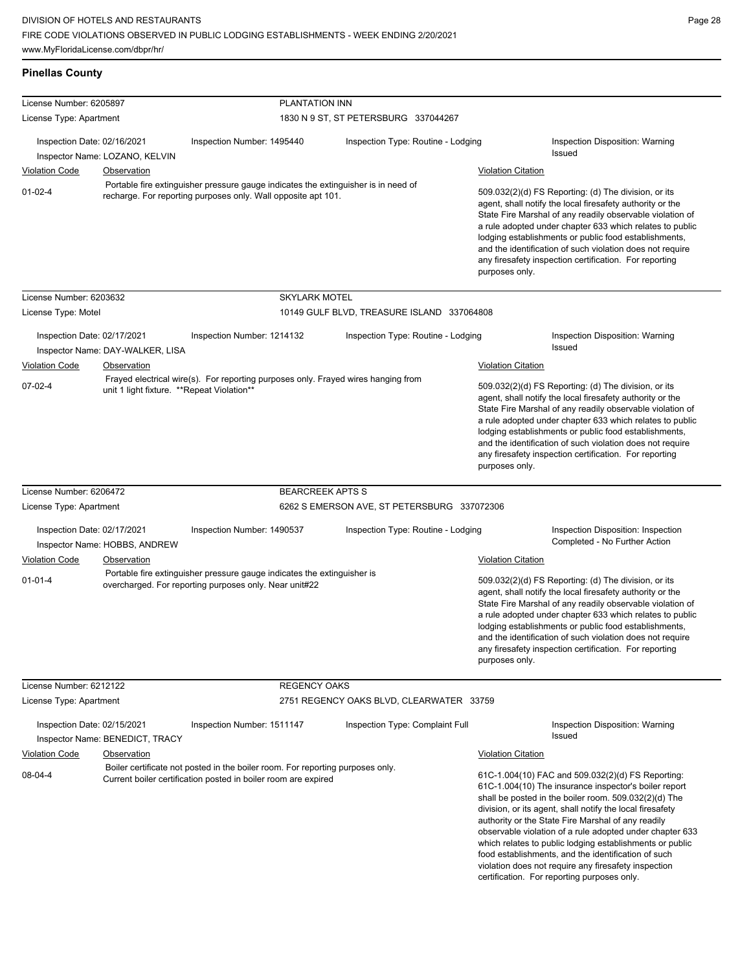| <b>Pinellas County</b>      |                                                                                                                                                     |                                                                                                                                                  |                                             |                           |                                                                                                                                                                                                                                                                                                                                                                                                                                                                                                                               |  |
|-----------------------------|-----------------------------------------------------------------------------------------------------------------------------------------------------|--------------------------------------------------------------------------------------------------------------------------------------------------|---------------------------------------------|---------------------------|-------------------------------------------------------------------------------------------------------------------------------------------------------------------------------------------------------------------------------------------------------------------------------------------------------------------------------------------------------------------------------------------------------------------------------------------------------------------------------------------------------------------------------|--|
| License Number: 6205897     |                                                                                                                                                     | PLANTATION INN                                                                                                                                   |                                             |                           |                                                                                                                                                                                                                                                                                                                                                                                                                                                                                                                               |  |
| License Type: Apartment     |                                                                                                                                                     |                                                                                                                                                  | 1830 N 9 ST, ST PETERSBURG 337044267        |                           |                                                                                                                                                                                                                                                                                                                                                                                                                                                                                                                               |  |
| Inspection Date: 02/16/2021 |                                                                                                                                                     | Inspection Number: 1495440                                                                                                                       | Inspection Type: Routine - Lodging          |                           | Inspection Disposition: Warning<br><b>Issued</b>                                                                                                                                                                                                                                                                                                                                                                                                                                                                              |  |
|                             | Inspector Name: LOZANO, KELVIN                                                                                                                      |                                                                                                                                                  |                                             |                           |                                                                                                                                                                                                                                                                                                                                                                                                                                                                                                                               |  |
| <b>Violation Code</b>       | <b>Observation</b>                                                                                                                                  |                                                                                                                                                  |                                             | <b>Violation Citation</b> |                                                                                                                                                                                                                                                                                                                                                                                                                                                                                                                               |  |
| $01 - 02 - 4$               | Portable fire extinguisher pressure gauge indicates the extinguisher is in need of<br>recharge. For reporting purposes only. Wall opposite apt 101. |                                                                                                                                                  |                                             |                           | 509.032(2)(d) FS Reporting: (d) The division, or its<br>agent, shall notify the local firesafety authority or the<br>State Fire Marshal of any readily observable violation of<br>a rule adopted under chapter 633 which relates to public<br>lodging establishments or public food establishments,<br>and the identification of such violation does not require<br>any firesafety inspection certification. For reporting<br>purposes only.                                                                                  |  |
| License Number: 6203632     |                                                                                                                                                     | <b>SKYLARK MOTEL</b>                                                                                                                             |                                             |                           |                                                                                                                                                                                                                                                                                                                                                                                                                                                                                                                               |  |
| License Type: Motel         |                                                                                                                                                     |                                                                                                                                                  | 10149 GULF BLVD, TREASURE ISLAND 337064808  |                           |                                                                                                                                                                                                                                                                                                                                                                                                                                                                                                                               |  |
| Inspection Date: 02/17/2021 | Inspector Name: DAY-WALKER, LISA                                                                                                                    | Inspection Number: 1214132                                                                                                                       | Inspection Type: Routine - Lodging          |                           | Inspection Disposition: Warning<br>Issued                                                                                                                                                                                                                                                                                                                                                                                                                                                                                     |  |
| <b>Violation Code</b>       | Observation                                                                                                                                         |                                                                                                                                                  |                                             | <b>Violation Citation</b> |                                                                                                                                                                                                                                                                                                                                                                                                                                                                                                                               |  |
| 07-02-4                     | unit 1 light fixture. **Repeat Violation**                                                                                                          | Frayed electrical wire(s). For reporting purposes only. Frayed wires hanging from                                                                |                                             | purposes only.            | 509.032(2)(d) FS Reporting: (d) The division, or its<br>agent, shall notify the local firesafety authority or the<br>State Fire Marshal of any readily observable violation of<br>a rule adopted under chapter 633 which relates to public<br>lodging establishments or public food establishments,<br>and the identification of such violation does not require<br>any firesafety inspection certification. For reporting                                                                                                    |  |
| License Number: 6206472     |                                                                                                                                                     | <b>BEARCREEK APTS S</b>                                                                                                                          |                                             |                           |                                                                                                                                                                                                                                                                                                                                                                                                                                                                                                                               |  |
| License Type: Apartment     |                                                                                                                                                     |                                                                                                                                                  | 6262 S EMERSON AVE, ST PETERSBURG 337072306 |                           |                                                                                                                                                                                                                                                                                                                                                                                                                                                                                                                               |  |
| Inspection Date: 02/17/2021 | Inspector Name: HOBBS, ANDREW                                                                                                                       | Inspection Number: 1490537                                                                                                                       | Inspection Type: Routine - Lodging          |                           | Inspection Disposition: Inspection<br>Completed - No Further Action                                                                                                                                                                                                                                                                                                                                                                                                                                                           |  |
| <b>Violation Code</b>       | Observation                                                                                                                                         |                                                                                                                                                  |                                             | <b>Violation Citation</b> |                                                                                                                                                                                                                                                                                                                                                                                                                                                                                                                               |  |
| $01 - 01 - 4$               |                                                                                                                                                     | Portable fire extinguisher pressure gauge indicates the extinguisher is<br>overcharged. For reporting purposes only. Near unit#22                |                                             | purposes only.            | 509.032(2)(d) FS Reporting: (d) The division, or its<br>agent, shall notify the local firesafety authority or the<br>State Fire Marshal of any readily observable violation of<br>a rule adopted under chapter 633 which relates to public<br>lodging establishments or public food establishments,<br>and the identification of such violation does not require<br>any firesafety inspection certification. For reporting                                                                                                    |  |
| License Number: 6212122     |                                                                                                                                                     | <b>REGENCY OAKS</b>                                                                                                                              |                                             |                           |                                                                                                                                                                                                                                                                                                                                                                                                                                                                                                                               |  |
| License Type: Apartment     |                                                                                                                                                     |                                                                                                                                                  | 2751 REGENCY OAKS BLVD, CLEARWATER 33759    |                           |                                                                                                                                                                                                                                                                                                                                                                                                                                                                                                                               |  |
| Inspection Date: 02/15/2021 | Inspector Name: BENEDICT, TRACY                                                                                                                     | Inspection Number: 1511147                                                                                                                       | Inspection Type: Complaint Full             |                           | Inspection Disposition: Warning<br><b>Issued</b>                                                                                                                                                                                                                                                                                                                                                                                                                                                                              |  |
| <b>Violation Code</b>       | Observation                                                                                                                                         |                                                                                                                                                  |                                             | <b>Violation Citation</b> |                                                                                                                                                                                                                                                                                                                                                                                                                                                                                                                               |  |
| 08-04-4                     |                                                                                                                                                     | Boiler certificate not posted in the boiler room. For reporting purposes only.<br>Current boiler certification posted in boiler room are expired |                                             |                           | 61C-1.004(10) FAC and 509.032(2)(d) FS Reporting:<br>61C-1.004(10) The insurance inspector's boiler report<br>shall be posted in the boiler room. 509.032(2)(d) The<br>division, or its agent, shall notify the local firesafety<br>authority or the State Fire Marshal of any readily<br>observable violation of a rule adopted under chapter 633<br>which relates to public lodging establishments or public<br>food establishments, and the identification of such<br>violation does not require any firesafety inspection |  |

certification. For reporting purposes only.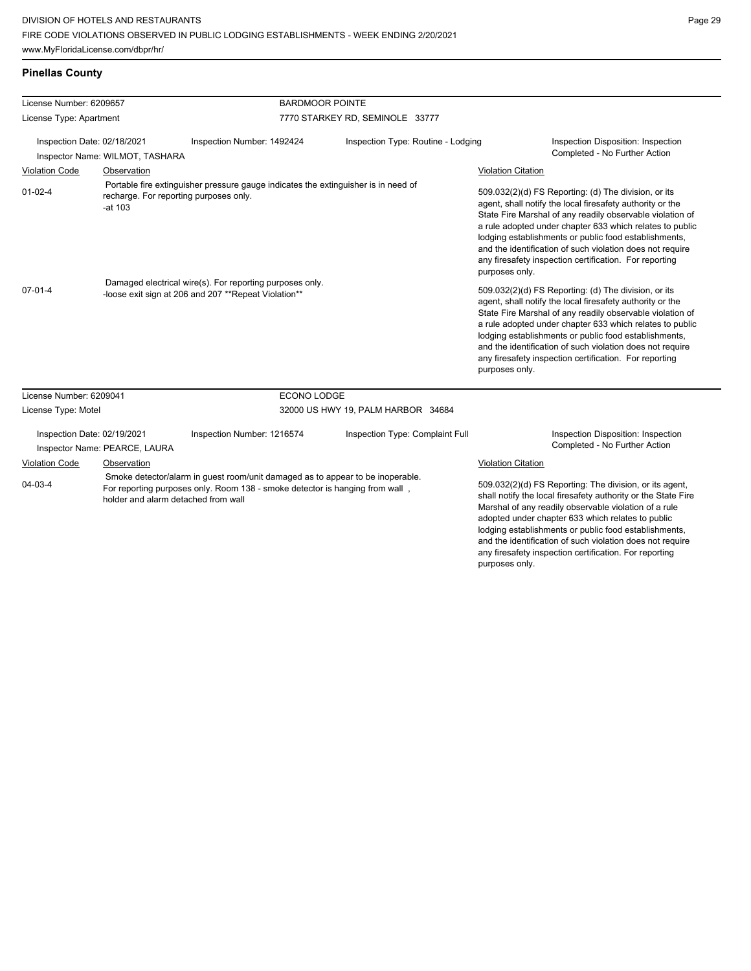| <b>Pinellas County</b> |  |  |  |
|------------------------|--|--|--|
|------------------------|--|--|--|

| License Number: 6209657     |                                 | <b>BARDMOOR POINTE</b>                                                                                                                                                                                |                                    |                                                                                                                                                                                                                                                                                                                                                                                                                                              |
|-----------------------------|---------------------------------|-------------------------------------------------------------------------------------------------------------------------------------------------------------------------------------------------------|------------------------------------|----------------------------------------------------------------------------------------------------------------------------------------------------------------------------------------------------------------------------------------------------------------------------------------------------------------------------------------------------------------------------------------------------------------------------------------------|
| License Type: Apartment     |                                 |                                                                                                                                                                                                       | 7770 STARKEY RD, SEMINOLE 33777    |                                                                                                                                                                                                                                                                                                                                                                                                                                              |
| Inspection Date: 02/18/2021 | Inspector Name: WILMOT, TASHARA | Inspection Number: 1492424                                                                                                                                                                            | Inspection Type: Routine - Lodging | Inspection Disposition: Inspection<br>Completed - No Further Action                                                                                                                                                                                                                                                                                                                                                                          |
| <b>Violation Code</b>       | Observation                     |                                                                                                                                                                                                       |                                    | <b>Violation Citation</b>                                                                                                                                                                                                                                                                                                                                                                                                                    |
| $01 - 02 - 4$               | -at 103                         | Portable fire extinguisher pressure gauge indicates the extinguisher is in need of<br>recharge. For reporting purposes only.                                                                          |                                    | 509.032(2)(d) FS Reporting: (d) The division, or its<br>agent, shall notify the local firesafety authority or the<br>State Fire Marshal of any readily observable violation of<br>a rule adopted under chapter 633 which relates to public<br>lodging establishments or public food establishments,<br>and the identification of such violation does not require<br>any firesafety inspection certification. For reporting<br>purposes only. |
| $07-01-4$                   |                                 | Damaged electrical wire(s). For reporting purposes only.<br>-loose exit sign at 206 and 207 ** Repeat Violation**                                                                                     |                                    | 509.032(2)(d) FS Reporting: (d) The division, or its<br>agent, shall notify the local firesafety authority or the<br>State Fire Marshal of any readily observable violation of<br>a rule adopted under chapter 633 which relates to public<br>lodging establishments or public food establishments,<br>and the identification of such violation does not require<br>any firesafety inspection certification. For reporting<br>purposes only. |
| License Number: 6209041     |                                 | ECONO LODGE                                                                                                                                                                                           |                                    |                                                                                                                                                                                                                                                                                                                                                                                                                                              |
| License Type: Motel         |                                 |                                                                                                                                                                                                       | 32000 US HWY 19, PALM HARBOR 34684 |                                                                                                                                                                                                                                                                                                                                                                                                                                              |
| Inspection Date: 02/19/2021 | Inspector Name: PEARCE, LAURA   | Inspection Number: 1216574                                                                                                                                                                            | Inspection Type: Complaint Full    | Inspection Disposition: Inspection<br>Completed - No Further Action                                                                                                                                                                                                                                                                                                                                                                          |
| Violation Code              | Observation                     |                                                                                                                                                                                                       |                                    | <b>Violation Citation</b>                                                                                                                                                                                                                                                                                                                                                                                                                    |
| $04 - 03 - 4$               |                                 | Smoke detector/alarm in guest room/unit damaged as to appear to be inoperable.<br>For reporting purposes only. Room 138 - smoke detector is hanging from wall,<br>holder and alarm detached from wall |                                    | 509.032(2)(d) FS Reporting: The division, or its agent,<br>shall notify the local firesafety authority or the State Fire<br>Marshal of any readily observable violation of a rule<br>adopted under chapter 633 which relates to public<br>lodging establishments or public food establishments,<br>and the identification of such violation does not require<br>any firesafety inspection certification. For reporting                       |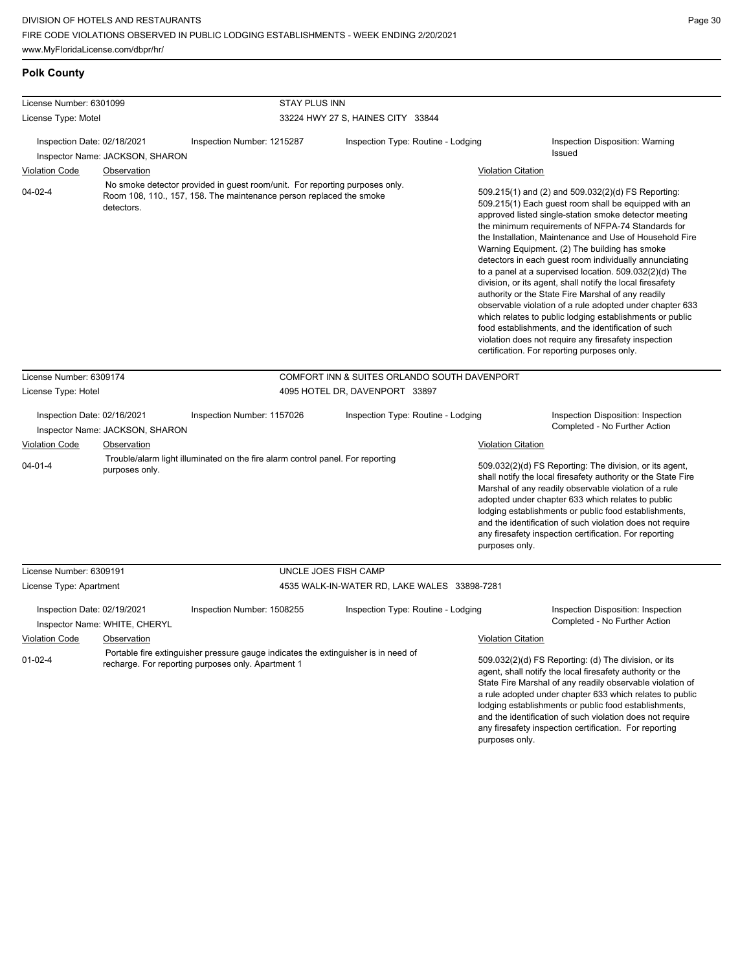**Polk County**

lodging establishments or public food establishments, and the identification of such violation does not require any firesafety inspection certification. For reporting

| License Number: 6301099                                                                                |                                 | <b>STAY PLUS INN</b>                                                                                                                               |                                                                                    |                           |                                                                                                                                                                                                                                                                                                                                                                                                                                                                                                                                                                                                                                                                                                                                                                                                                                                                   |  |
|--------------------------------------------------------------------------------------------------------|---------------------------------|----------------------------------------------------------------------------------------------------------------------------------------------------|------------------------------------------------------------------------------------|---------------------------|-------------------------------------------------------------------------------------------------------------------------------------------------------------------------------------------------------------------------------------------------------------------------------------------------------------------------------------------------------------------------------------------------------------------------------------------------------------------------------------------------------------------------------------------------------------------------------------------------------------------------------------------------------------------------------------------------------------------------------------------------------------------------------------------------------------------------------------------------------------------|--|
| License Type: Motel                                                                                    |                                 | 33224 HWY 27 S, HAINES CITY 33844                                                                                                                  |                                                                                    |                           |                                                                                                                                                                                                                                                                                                                                                                                                                                                                                                                                                                                                                                                                                                                                                                                                                                                                   |  |
| Inspection Date: 02/18/2021                                                                            |                                 | Inspection Number: 1215287                                                                                                                         | Inspection Type: Routine - Lodging                                                 |                           | Inspection Disposition: Warning                                                                                                                                                                                                                                                                                                                                                                                                                                                                                                                                                                                                                                                                                                                                                                                                                                   |  |
|                                                                                                        | Inspector Name: JACKSON, SHARON |                                                                                                                                                    |                                                                                    |                           | <b>Issued</b>                                                                                                                                                                                                                                                                                                                                                                                                                                                                                                                                                                                                                                                                                                                                                                                                                                                     |  |
| <b>Violation Code</b>                                                                                  | Observation                     |                                                                                                                                                    |                                                                                    | <b>Violation Citation</b> |                                                                                                                                                                                                                                                                                                                                                                                                                                                                                                                                                                                                                                                                                                                                                                                                                                                                   |  |
| $04 - 02 - 4$                                                                                          | detectors.                      | No smoke detector provided in guest room/unit. For reporting purposes only.<br>Room 108, 110., 157, 158. The maintenance person replaced the smoke |                                                                                    |                           | 509.215(1) and (2) and 509.032(2)(d) FS Reporting:<br>509.215(1) Each guest room shall be equipped with an<br>approved listed single-station smoke detector meeting<br>the minimum requirements of NFPA-74 Standards for<br>the Installation, Maintenance and Use of Household Fire<br>Warning Equipment. (2) The building has smoke<br>detectors in each guest room individually annunciating<br>to a panel at a supervised location. 509.032(2)(d) The<br>division, or its agent, shall notify the local firesafety<br>authority or the State Fire Marshal of any readily<br>observable violation of a rule adopted under chapter 633<br>which relates to public lodging establishments or public<br>food establishments, and the identification of such<br>violation does not require any firesafety inspection<br>certification. For reporting purposes only. |  |
| License Number: 6309174                                                                                |                                 |                                                                                                                                                    | COMFORT INN & SUITES ORLANDO SOUTH DAVENPORT                                       |                           |                                                                                                                                                                                                                                                                                                                                                                                                                                                                                                                                                                                                                                                                                                                                                                                                                                                                   |  |
| License Type: Hotel                                                                                    |                                 |                                                                                                                                                    | 4095 HOTEL DR, DAVENPORT 33897                                                     |                           |                                                                                                                                                                                                                                                                                                                                                                                                                                                                                                                                                                                                                                                                                                                                                                                                                                                                   |  |
| Inspection Date: 02/16/2021<br>Inspector Name: JACKSON, SHARON<br>Violation Code<br><b>Observation</b> |                                 | Inspection Type: Routine - Lodging<br>Inspection Number: 1157026<br>Trouble/alarm light illuminated on the fire alarm control panel. For reporting |                                                                                    | <b>Violation Citation</b> | Inspection Disposition: Inspection<br>Completed - No Further Action                                                                                                                                                                                                                                                                                                                                                                                                                                                                                                                                                                                                                                                                                                                                                                                               |  |
| $04 - 01 - 4$                                                                                          | purposes only.                  |                                                                                                                                                    |                                                                                    | purposes only.            | 509.032(2)(d) FS Reporting: The division, or its agent,<br>shall notify the local firesafety authority or the State Fire<br>Marshal of any readily observable violation of a rule<br>adopted under chapter 633 which relates to public<br>lodging establishments or public food establishments,<br>and the identification of such violation does not require<br>any firesafety inspection certification. For reporting                                                                                                                                                                                                                                                                                                                                                                                                                                            |  |
| License Number: 6309191                                                                                |                                 |                                                                                                                                                    | UNCLE JOES FISH CAMP                                                               |                           |                                                                                                                                                                                                                                                                                                                                                                                                                                                                                                                                                                                                                                                                                                                                                                                                                                                                   |  |
| License Type: Apartment                                                                                |                                 |                                                                                                                                                    | 4535 WALK-IN-WATER RD, LAKE WALES 33898-7281                                       |                           |                                                                                                                                                                                                                                                                                                                                                                                                                                                                                                                                                                                                                                                                                                                                                                                                                                                                   |  |
|                                                                                                        |                                 |                                                                                                                                                    |                                                                                    |                           |                                                                                                                                                                                                                                                                                                                                                                                                                                                                                                                                                                                                                                                                                                                                                                                                                                                                   |  |
| Inspection Date: 02/19/2021                                                                            | Inspector Name: WHITE, CHERYL   | Inspection Number: 1508255                                                                                                                         | Inspection Type: Routine - Lodging                                                 |                           | Inspection Disposition: Inspection<br>Completed - No Further Action                                                                                                                                                                                                                                                                                                                                                                                                                                                                                                                                                                                                                                                                                                                                                                                               |  |
| <b>Violation Code</b>                                                                                  | Observation                     |                                                                                                                                                    |                                                                                    | <b>Violation Citation</b> |                                                                                                                                                                                                                                                                                                                                                                                                                                                                                                                                                                                                                                                                                                                                                                                                                                                                   |  |
| $01 - 02 - 4$                                                                                          |                                 | recharge. For reporting purposes only. Apartment 1                                                                                                 | Portable fire extinguisher pressure gauge indicates the extinguisher is in need of |                           | 509.032(2)(d) FS Reporting: (d) The division, or its<br>agent, shall notify the local firesafety authority or the<br>State Fire Marshal of any readily observable violation of<br>a rule adopted under chapter 633 which relates to public                                                                                                                                                                                                                                                                                                                                                                                                                                                                                                                                                                                                                        |  |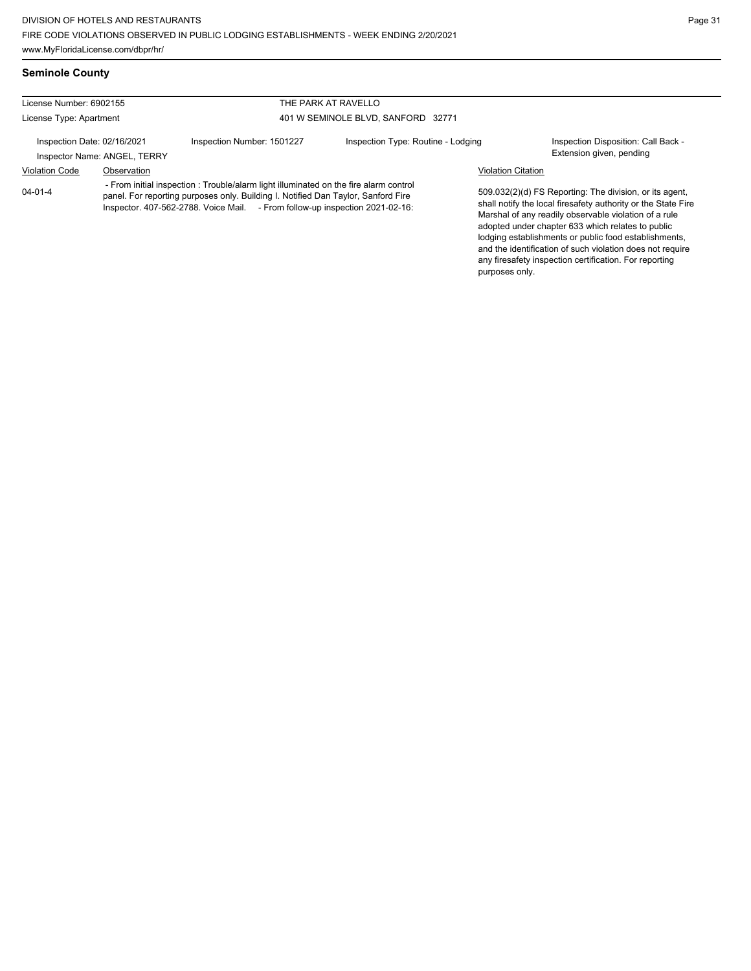**Seminole County**

any firesafety inspection certification. For reporting

| License Number: 6902155     |                              |                                                                                                                                                                                                                                                           | THE PARK AT RAVELLO                |                                                                                                                                                                                                                                                                                                                                                              |                                                                 |
|-----------------------------|------------------------------|-----------------------------------------------------------------------------------------------------------------------------------------------------------------------------------------------------------------------------------------------------------|------------------------------------|--------------------------------------------------------------------------------------------------------------------------------------------------------------------------------------------------------------------------------------------------------------------------------------------------------------------------------------------------------------|-----------------------------------------------------------------|
| License Type: Apartment     |                              | 401 W SEMINOLE BLVD, SANFORD 32771                                                                                                                                                                                                                        |                                    |                                                                                                                                                                                                                                                                                                                                                              |                                                                 |
| Inspection Date: 02/16/2021 | Inspector Name: ANGEL, TERRY | Inspection Number: 1501227                                                                                                                                                                                                                                | Inspection Type: Routine - Lodging |                                                                                                                                                                                                                                                                                                                                                              | Inspection Disposition: Call Back -<br>Extension given, pending |
| <b>Violation Code</b>       | Observation                  |                                                                                                                                                                                                                                                           |                                    | <b>Violation Citation</b>                                                                                                                                                                                                                                                                                                                                    |                                                                 |
| $04 - 01 - 4$               |                              | - From initial inspection: Trouble/alarm light illuminated on the fire alarm control<br>panel. For reporting purposes only. Building I. Notified Dan Taylor, Sanford Fire<br>Inspector. 407-562-2788. Voice Mail. - From follow-up inspection 2021-02-16: |                                    | 509.032(2)(d) FS Reporting: The division, or its agent,<br>shall notify the local firesafety authority or the State Fire<br>Marshal of any readily observable violation of a rule<br>adopted under chapter 633 which relates to public<br>lodging establishments or public food establishments,<br>and the identification of such violation does not require |                                                                 |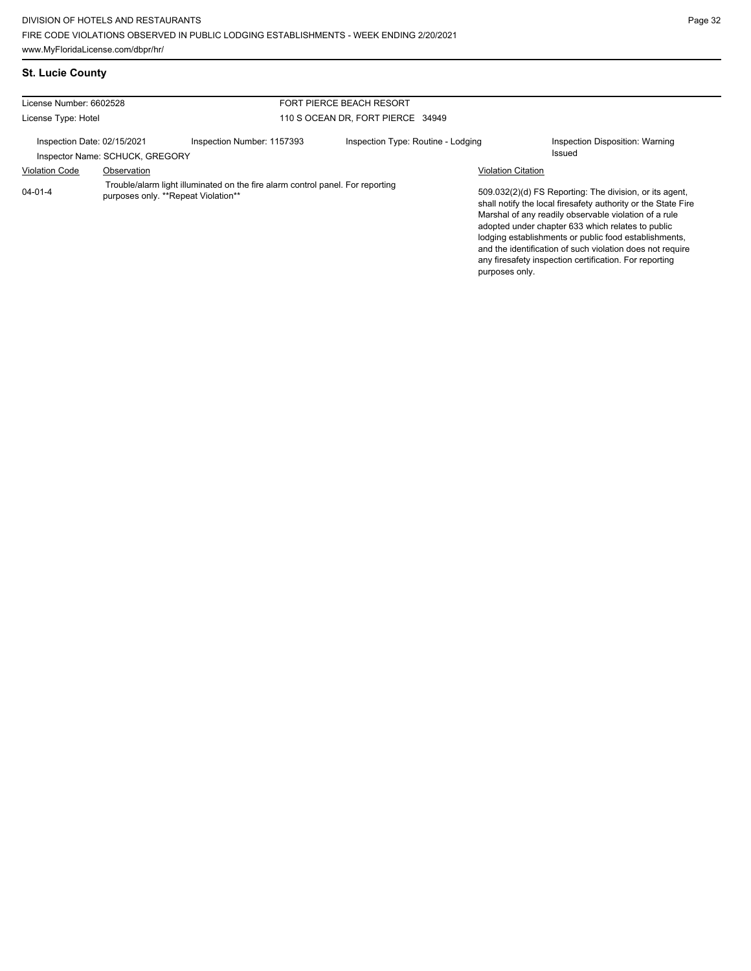|  | <b>St. Lucie County</b> |  |
|--|-------------------------|--|
|  |                         |  |

| License Number: 6602528                                                       |                                                    | <b>FORT PIERCE BEACH RESORT</b>    |                                                                                |                                                                                                                                                                                                                                                                                                                                                                                                                        |  |
|-------------------------------------------------------------------------------|----------------------------------------------------|------------------------------------|--------------------------------------------------------------------------------|------------------------------------------------------------------------------------------------------------------------------------------------------------------------------------------------------------------------------------------------------------------------------------------------------------------------------------------------------------------------------------------------------------------------|--|
|                                                                               |                                                    | 110 S OCEAN DR. FORT PIERCE 34949  |                                                                                |                                                                                                                                                                                                                                                                                                                                                                                                                        |  |
|                                                                               | Inspection Number: 1157393                         | Inspection Type: Routine - Lodging |                                                                                | Inspection Disposition: Warning<br>Issued                                                                                                                                                                                                                                                                                                                                                                              |  |
| Observation                                                                   |                                                    |                                    | <b>Violation Citation</b>                                                      |                                                                                                                                                                                                                                                                                                                                                                                                                        |  |
| <b>Violation Code</b><br>$04 - 01 - 4$<br>purposes only. **Repeat Violation** |                                                    |                                    | purposes only.                                                                 | 509.032(2)(d) FS Reporting: The division, or its agent,<br>shall notify the local firesafety authority or the State Fire<br>Marshal of any readily observable violation of a rule<br>adopted under chapter 633 which relates to public<br>lodging establishments or public food establishments,<br>and the identification of such violation does not require<br>any firesafety inspection certification. For reporting |  |
|                                                                               | License Type: Hotel<br>Inspection Date: 02/15/2021 | Inspector Name: SCHUCK, GREGORY    | Trouble/alarm light illuminated on the fire alarm control panel. For reporting |                                                                                                                                                                                                                                                                                                                                                                                                                        |  |